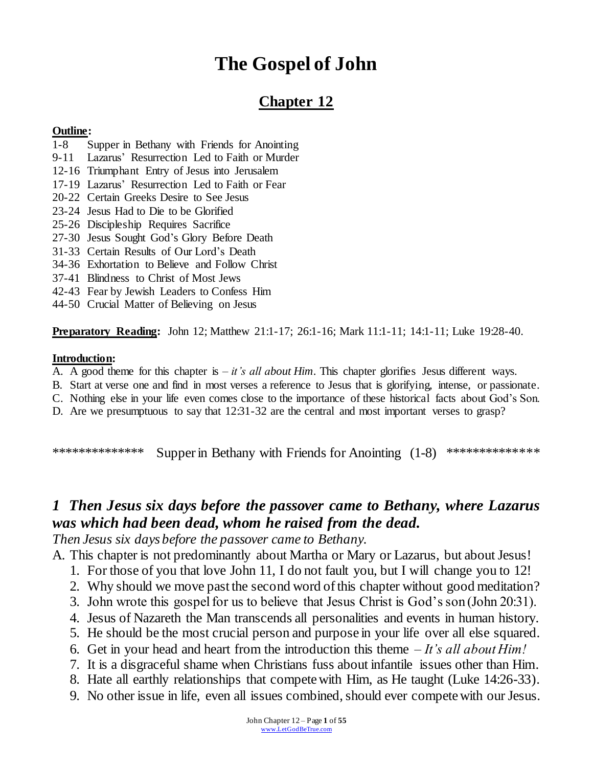# **The Gospel of John**

## **Chapter 12**

#### **Outline:**

- 1-8 Supper in Bethany with Friends for Anointing
- 9-11 Lazarus' Resurrection Led to Faith or Murder
- 12-16 Triumphant Entry of Jesus into Jerusalem
- 17-19 Lazarus' Resurrection Led to Faith or Fear
- 20-22 Certain Greeks Desire to See Jesus
- 23-24 Jesus Had to Die to be Glorified
- 25-26 Discipleship Requires Sacrifice
- 27-30 Jesus Sought God's Glory Before Death
- 31-33 Certain Results of Our Lord's Death
- 34-36 Exhortation to Believe and Follow Christ
- 37-41 Blindness to Christ of Most Jews
- 42-43 Fear by Jewish Leaders to Confess Him
- 44-50 Crucial Matter of Believing on Jesus

**Preparatory Reading:** John 12; Matthew 21:1-17; 26:1-16; Mark 11:1-11; 14:1-11; Luke 19:28-40.

#### **Introduction:**

- A. A good theme for this chapter is *it's all about Him*. This chapter glorifies Jesus different ways.
- B. Start at verse one and find in most verses a reference to Jesus that is glorifying, intense, or passionate.
- C. Nothing else in your life even comes close to the importance of these historical facts about God's Son.
- D. Are we presumptuous to say that 12:31-32 are the central and most important verses to grasp?

\*\*\*\*\*\*\*\*\*\*\*\*\*\* Supper in Bethany with Friends for Anointing (1-8) \*\*\*\*\*\*\*\*\*\*\*\*\*\*

## *1 Then Jesus six days before the passover came to Bethany, where Lazarus was which had been dead, whom he raised from the dead.*

*Then Jesus six days before the passover came to Bethany.*

A. This chapter is not predominantly about Martha or Mary or Lazarus, but about Jesus!

- 1. For those of you that love John 11, I do not fault you, but I will change you to 12!
- 2. Why should we move past the second word of this chapter without good meditation?
- 3. John wrote this gospel for us to believe that Jesus Christ is God's son (John 20:31).
- 4. Jesus of Nazareth the Man transcends all personalities and events in human history.
- 5. He should be the most crucial person and purpose in your life over all else squared.
- 6. Get in your head and heart from the introduction this theme *It's all about Him!*
- 7. It is a disgraceful shame when Christians fuss about infantile issues other than Him.
- 8. Hate all earthly relationships that compete with Him, as He taught (Luke 14:26-33).
- 9. No other issue in life, even all issues combined, should ever compete with our Jesus.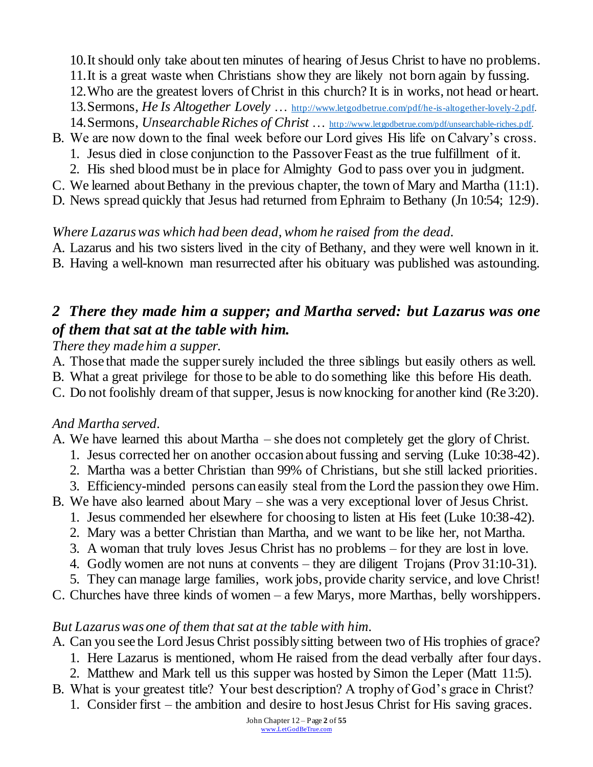10.It should only take about ten minutes of hearing of Jesus Christ to have no problems.

- 11.It is a great waste when Christians show they are likely not born again by fussing.
- 12.Who are the greatest lovers of Christ in this church? It is in works, not head or heart.
- 13.Sermons, *He Is Altogether Lovely* … [http://www.letgodbetrue.com/pdf/he-is-altogether-lovely-2.pdf.](http://www.letgodbetrue.com/pdf/he-is-altogether-lovely-2.pdf)
- 14.Sermons, *Unsearchable Riches of Christ* … [http://www.letgodbetrue.com/pdf/unsearchable-riches.pdf.](http://www.letgodbetrue.com/pdf/unsearchable-riches.pdf)
- B. We are now down to the final week before our Lord gives His life on Calvary's cross.
	- 1. Jesus died in close conjunction to the Passover Feast as the true fulfillment of it.
	- 2. His shed blood must be in place for Almighty God to pass over you in judgment.
- C. We learned about Bethany in the previous chapter, the town of Mary and Martha (11:1).
- D. News spread quickly that Jesus had returned from Ephraim to Bethany (Jn 10:54; 12:9).

### *Where Lazarus was which had been dead, whom he raised from the dead.*

A. Lazarus and his two sisters lived in the city of Bethany, and they were well known in it. B. Having a well-known man resurrected after his obituary was published was astounding.

## *2 There they made him a supper; and Martha served: but Lazarus was one of them that sat at the table with him.*

### *There they made him a supper.*

- A. Those that made the supper surely included the three siblings but easily others as well.
- B. What a great privilege for those to be able to do something like this before His death.
- C. Do not foolishly dream of that supper, Jesus is now knocking for another kind (Re 3:20).

## *And Martha served.*

- A. We have learned this about Martha she does not completely get the glory of Christ.
	- 1. Jesus corrected her on another occasion about fussing and serving (Luke 10:38-42).
	- 2. Martha was a better Christian than 99% of Christians, but she still lacked priorities.
	- 3. Efficiency-minded persons can easily steal from the Lord the passion they owe Him.
- B. We have also learned about Mary she was a very exceptional lover of Jesus Christ.
	- 1. Jesus commended her elsewhere for choosing to listen at His feet (Luke 10:38-42).
	- 2. Mary was a better Christian than Martha, and we want to be like her, not Martha.
	- 3. A woman that truly loves Jesus Christ has no problems for they are lost in love.
	- 4. Godly women are not nuns at convents they are diligent Trojans (Prov 31:10-31).
	- 5. They can manage large families, work jobs, provide charity service, and love Christ!
- C. Churches have three kinds of women a few Marys, more Marthas, belly worshippers.

## *But Lazarus was one of them that sat at the table with him.*

- A. Can you see the Lord Jesus Christ possibly sitting between two of His trophies of grace?
	- 1. Here Lazarus is mentioned, whom He raised from the dead verbally after four days.
	- 2. Matthew and Mark tell us this supper was hosted by Simon the Leper (Matt 11:5).
- B. What is your greatest title? Your best description? A trophy of God's grace in Christ?
	- 1. Consider first the ambition and desire to host Jesus Christ for His saving graces.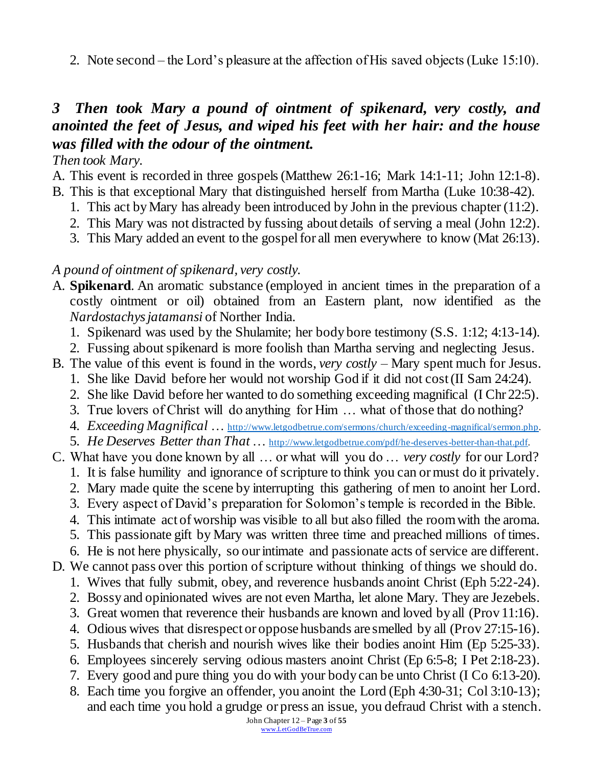2. Note second – the Lord's pleasure at the affection of His saved objects (Luke 15:10).

## *3 Then took Mary a pound of ointment of spikenard, very costly, and anointed the feet of Jesus, and wiped his feet with her hair: and the house was filled with the odour of the ointment.*

#### *Then took Mary.*

- A. This event is recorded in three gospels (Matthew 26:1-16; Mark 14:1-11; John 12:1-8).
- B. This is that exceptional Mary that distinguished herself from Martha (Luke 10:38-42).
	- 1. This act by Mary has already been introduced by John in the previous chapter (11:2).
	- 2. This Mary was not distracted by fussing about details of serving a meal (John 12:2).
	- 3. This Mary added an event to the gospel for all men everywhere to know (Mat 26:13).

#### *A pound of ointment of spikenard, very costly.*

- A. **Spikenard**. An aromatic substance (employed in ancient times in the preparation of a costly ointment or oil) obtained from an Eastern plant, now identified as the *Nardostachys jatamansi* of Norther India.
	- 1. Spikenard was used by the Shulamite; her body bore testimony (S.S. 1:12; 4:13-14).
	- 2. Fussing about spikenard is more foolish than Martha serving and neglecting Jesus.
- B. The value of this event is found in the words, *very costly* Mary spent much for Jesus.
	- 1. She like David before her would not worship God if it did not cost (II Sam 24:24).
	- 2. She like David before her wanted to do something exceeding magnifical (I Chr 22:5).
	- 3. True lovers of Christ will do anything for Him … what of those that do nothing?
	- 4. *Exceeding Magnifical* … [http://www.letgodbetrue.com/sermons/church/exceeding-magnifical/sermon.php.](http://www.letgodbetrue.com/sermons/church/exceeding-magnifical/sermon.php)
- 5. *He Deserves Better than That* … <http://www.letgodbetrue.com/pdf/he-deserves-better-than-that.pdf>.
- C. What have you done known by all … or what will you do … *very costly* for our Lord?
	- 1. It is false humility and ignorance of scripture to think you can or must do it privately.
	- 2. Mary made quite the scene by interrupting this gathering of men to anoint her Lord.
	- 3. Every aspect of David's preparation for Solomon's temple is recorded in the Bible.
	- 4. This intimate act of worship was visible to all but also filled the room with the aroma.
	- 5. This passionate gift by Mary was written three time and preached millions of times.
	- 6. He is not here physically, so our intimate and passionate acts of service are different.
- D. We cannot pass over this portion of scripture without thinking of things we should do. 1. Wives that fully submit, obey, and reverence husbands anoint Christ (Eph 5:22-24).
	- 2. Bossy and opinionated wives are not even Martha, let alone Mary. They are Jezebels.
	- 3. Great women that reverence their husbands are known and loved by all (Prov 11:16).
	- 4. Odious wives that disrespect or oppose husbands are smelled by all (Prov 27:15-16).
	- 5. Husbands that cherish and nourish wives like their bodies anoint Him (Ep 5:25-33).
	- 6. Employees sincerely serving odious masters anoint Christ (Ep 6:5-8; I Pet 2:18-23).
	- 7. Every good and pure thing you do with your body can be unto Christ (I Co 6:13-20).
	- 8. Each time you forgive an offender, you anoint the Lord (Eph 4:30-31; Col 3:10-13); and each time you hold a grudge or press an issue, you defraud Christ with a stench.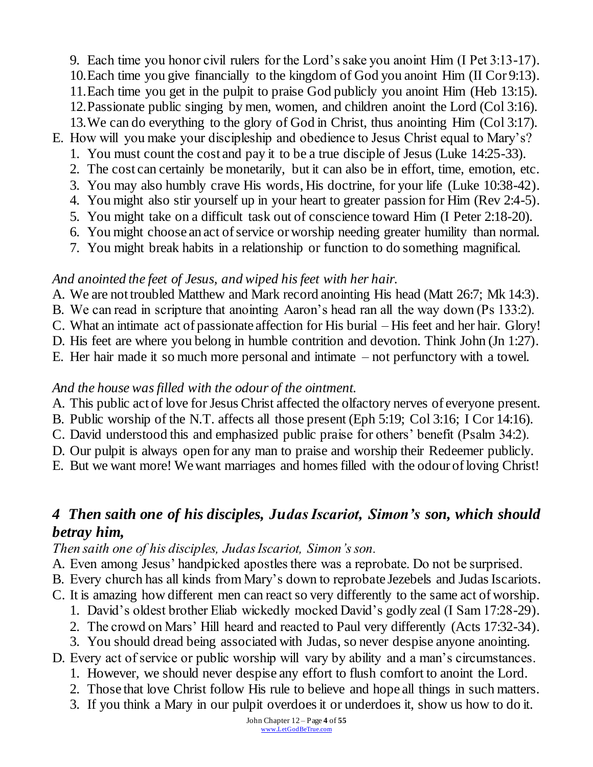9. Each time you honor civil rulers for the Lord's sake you anoint Him (I Pet 3:13-17). 10.Each time you give financially to the kingdom of God you anoint Him (II Cor 9:13). 11.Each time you get in the pulpit to praise God publicly you anoint Him (Heb 13:15). 12.Passionate public singing by men, women, and children anoint the Lord (Col 3:16). 13.We can do everything to the glory of God in Christ, thus anointing Him (Col 3:17). E. How will you make your discipleship and obedience to Jesus Christ equal to Mary's?

- 1. You must count the cost and pay it to be a true disciple of Jesus (Luke 14:25-33).
- 2. The cost can certainly be monetarily, but it can also be in effort, time, emotion, etc.
- 3. You may also humbly crave His words, His doctrine, for your life (Luke 10:38-42).
- 4. You might also stir yourself up in your heart to greater passion for Him (Rev 2:4-5).
- 5. You might take on a difficult task out of conscience toward Him (I Peter 2:18-20). 6. You might choose an act of service or worship needing greater humility than normal.
- 7. You might break habits in a relationship or function to do something magnifical.

### *And anointed the feet of Jesus, and wiped his feet with her hair.*

- A. We are not troubled Matthew and Mark record anointing His head (Matt 26:7; Mk 14:3).
- B. We can read in scripture that anointing Aaron's head ran all the way down (Ps 133:2).
- C. What an intimate act of passionate affection for His burial His feet and her hair. Glory!
- D. His feet are where you belong in humble contrition and devotion. Think John (Jn 1:27).
- E. Her hair made it so much more personal and intimate not perfunctory with a towel.

### *And the house was filled with the odour of the ointment.*

- A. This public act of love for Jesus Christ affected the olfactory nerves of everyone present.
- B. Public worship of the N.T. affects all those present (Eph 5:19; Col 3:16; I Cor 14:16).
- C. David understood this and emphasized public praise for others' benefit (Psalm 34:2).
- D. Our pulpit is always open for any man to praise and worship their Redeemer publicly.
- E. But we want more! We want marriages and homes filled with the odour of loving Christ!

# *4 Then saith one of his disciples, Judas Iscariot, Simon's son, which should betray him,*

*Then saith one of his disciples, Judas Iscariot, Simon's son.*

- A. Even among Jesus' handpicked apostles there was a reprobate. Do not be surprised.
- B. Every church has all kinds from Mary's down to reprobate Jezebels and Judas Iscariots.
- C. It is amazing how different men can react so very differently to the same act of worship.
	- 1. David's oldest brother Eliab wickedly mocked David's godly zeal (I Sam 17:28-29).
	- 2. The crowd on Mars' Hill heard and reacted to Paul very differently (Acts 17:32-34).
	- 3. You should dread being associated with Judas, so never despise anyone anointing.
- D. Every act of service or public worship will vary by ability and a man's circumstances.
	- 1. However, we should never despise any effort to flush comfort to anoint the Lord.
	- 2. Those that love Christ follow His rule to believe and hope all things in such matters.
	- 3. If you think a Mary in our pulpit overdoes it or underdoes it, show us how to do it.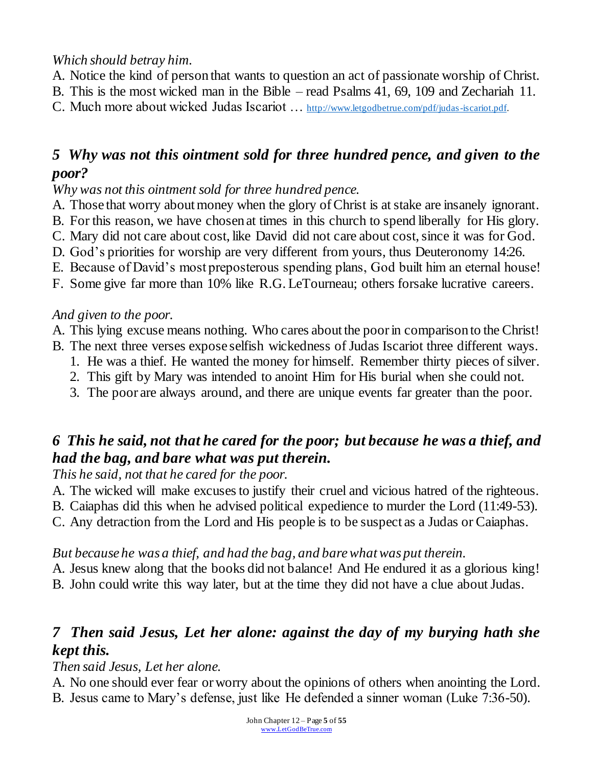*Which should betray him.*

- A. Notice the kind of person that wants to question an act of passionate worship of Christ.
- B. This is the most wicked man in the Bible read Psalms 41, 69, 109 and Zechariah 11.
- C. Much more about wicked Judas Iscariot … [http://www.letgodbetrue.com/pdf/judas-iscariot.pdf.](http://www.letgodbetrue.com/pdf/judas-iscariot.pdf)

## *5 Why was not this ointment sold for three hundred pence, and given to the poor?*

*Why was not this ointment sold for three hundred pence.*

- A. Those that worry about money when the glory of Christ is at stake are insanely ignorant.
- B. For this reason, we have chosen at times in this church to spend liberally for His glory.
- C. Mary did not care about cost, like David did not care about cost, since it was for God.
- D. God's priorities for worship are very different from yours, thus Deuteronomy 14:26.
- E. Because of David's most preposterous spending plans, God built him an eternal house!
- F. Some give far more than 10% like R.G. LeTourneau; others forsake lucrative careers.

### *And given to the poor.*

- A. This lying excuse means nothing. Who cares about the poor in comparison to the Christ!
- B. The next three verses expose selfish wickedness of Judas Iscariot three different ways.
	- 1. He was a thief. He wanted the money for himself. Remember thirty pieces of silver.
	- 2. This gift by Mary was intended to anoint Him for His burial when she could not.
	- 3. The poor are always around, and there are unique events far greater than the poor.

## *6 This he said, not that he cared for the poor; but because he was a thief, and had the bag, and bare what was put therein.*

### *This he said, not that he cared for the poor.*

- A. The wicked will make excuses to justify their cruel and vicious hatred of the righteous.
- B. Caiaphas did this when he advised political expedience to murder the Lord (11:49-53).
- C. Any detraction from the Lord and His people is to be suspect as a Judas or Caiaphas.

### *But because he was a thief, and had the bag, and bare what was put therein.*

A. Jesus knew along that the books did not balance! And He endured it as a glorious king! B. John could write this way later, but at the time they did not have a clue about Judas.

## *7 Then said Jesus, Let her alone: against the day of my burying hath she kept this.*

### *Then said Jesus, Let her alone.*

A. No one should ever fear or worry about the opinions of others when anointing the Lord. B. Jesus came to Mary's defense, just like He defended a sinner woman (Luke 7:36-50).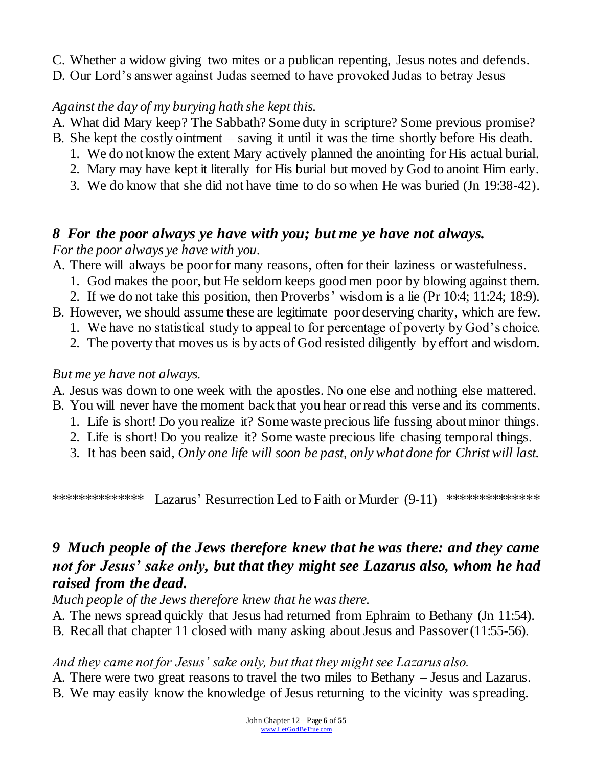C. Whether a widow giving two mites or a publican repenting, Jesus notes and defends.

D. Our Lord's answer against Judas seemed to have provoked Judas to betray Jesus

### *Against the day of my burying hath she kept this.*

A. What did Mary keep? The Sabbath? Some duty in scripture? Some previous promise?

- B. She kept the costly ointment saving it until it was the time shortly before His death.
	- 1. We do not know the extent Mary actively planned the anointing for His actual burial.
	- 2. Mary may have kept it literally for His burial but moved by God to anoint Him early.
	- 3. We do know that she did not have time to do so when He was buried (Jn 19:38-42).

## *8 For the poor always ye have with you; but me ye have not always.*

*For the poor always ye have with you.*

- A. There will always be poor for many reasons, often for their laziness or wastefulness.
	- 1. God makes the poor, but He seldom keeps good men poor by blowing against them.
	- 2. If we do not take this position, then Proverbs' wisdom is a lie (Pr 10:4; 11:24; 18:9).
- B. However, we should assume these are legitimate poor deserving charity, which are few.
	- 1. We have no statistical study to appeal to for percentage of poverty by God's choice.
	- 2. The poverty that moves us is by acts of God resisted diligently by effort and wisdom.

#### *But me ye have not always.*

- A. Jesus was down to one week with the apostles. No one else and nothing else mattered.
- B. You will never have the moment back that you hear or read this verse and its comments.
	- 1. Life is short! Do you realize it? Some waste precious life fussing about minor things.
	- 2. Life is short! Do you realize it? Some waste precious life chasing temporal things.
	- 3. It has been said, *Only one life will soon be past, only what done for Christ will last.*

\*\*\*\*\*\*\*\*\*\*\*\*\*\* Lazarus' Resurrection Led to Faith or Murder (9-11) \*\*\*\*\*\*\*\*\*\*\*\*\*\*

## *9 Much people of the Jews therefore knew that he was there: and they came not for Jesus' sake only, but that they might see Lazarus also, whom he had raised from the dead.*

*Much people of the Jews therefore knew that he was there.*

- A. The news spread quickly that Jesus had returned from Ephraim to Bethany (Jn 11:54).
- B. Recall that chapter 11 closed with many asking about Jesus and Passover (11:55-56).

### *And they came not for Jesus' sake only, but that they might see Lazarus also.*

A. There were two great reasons to travel the two miles to Bethany – Jesus and Lazarus. B. We may easily know the knowledge of Jesus returning to the vicinity was spreading.

> John Chapter 12 – Page **6** of **55** [www.LetGodBeTrue.com](http://www.letgodbetrue.com/)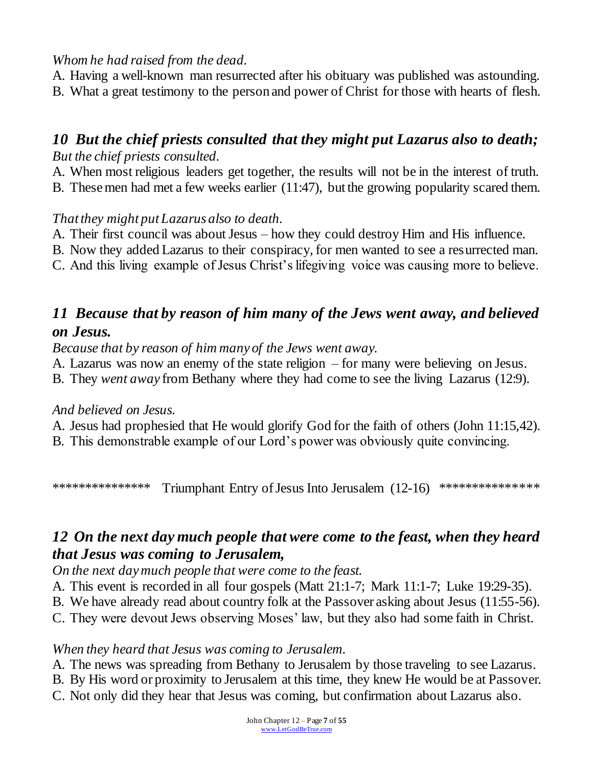### *Whom he had raised from the dead.*

A. Having a well-known man resurrected after his obituary was published was astounding. B. What a great testimony to the person and power of Christ for those with hearts of flesh.

## *10 But the chief priests consulted that they might put Lazarus also to death; But the chief priests consulted.*

A. When most religious leaders get together, the results will not be in the interest of truth.

B. These men had met a few weeks earlier (11:47), but the growing popularity scared them.

#### *That they might put Lazarus also to death.*

- A. Their first council was about Jesus how they could destroy Him and His influence.
- B. Now they added Lazarus to their conspiracy, for men wanted to see a resurrected man.
- C. And this living example of Jesus Christ's lifegiving voice was causing more to believe.

## *11 Because that by reason of him many of the Jews went away, and believed on Jesus.*

*Because that by reason of him many of the Jews went away.*

- A. Lazarus was now an enemy of the state religion for many were believing on Jesus.
- B. They *went away* from Bethany where they had come to see the living Lazarus (12:9).

#### *And believed on Jesus.*

- A. Jesus had prophesied that He would glorify God for the faith of others (John 11:15,42).
- B. This demonstrable example of our Lord's power was obviously quite convincing.

\*\*\*\*\*\*\*\*\*\*\*\*\*\*\*\* Triumphant Entry of Jesus Into Jerusalem (12-16) \*\*\*\*\*\*\*\*\*\*\*\*\*\*\*

## *12 On the next day much people that were come to the feast, when they heard that Jesus was coming to Jerusalem,*

*On the next day much people that were come to the feast.*

- A. This event is recorded in all four gospels (Matt 21:1-7; Mark 11:1-7; Luke 19:29-35).
- B. We have already read about country folk at the Passover asking about Jesus (11:55-56).
- C. They were devout Jews observing Moses' law, but they also had some faith in Christ.

### *When they heard that Jesus was coming to Jerusalem.*

- A. The news was spreading from Bethany to Jerusalem by those traveling to see Lazarus.
- B. By His word or proximity to Jerusalem at this time, they knew He would be at Passover.
- C. Not only did they hear that Jesus was coming, but confirmation about Lazarus also.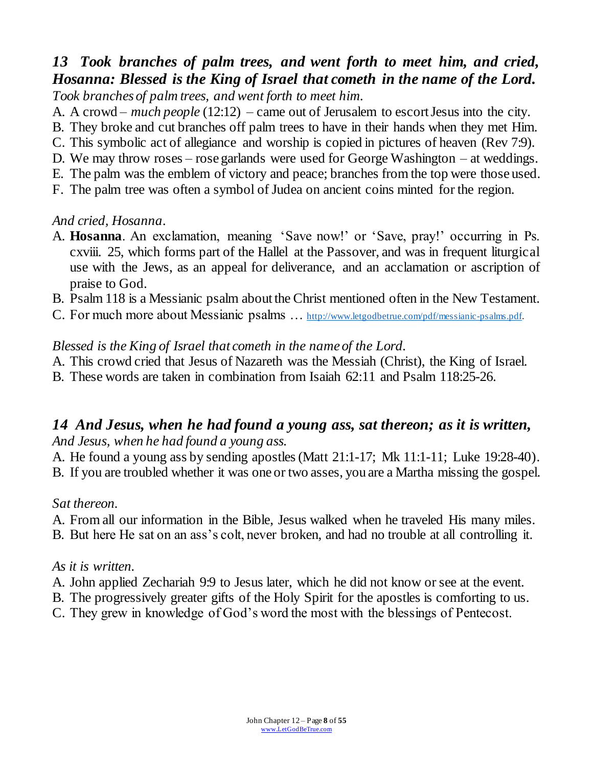### *13 Took branches of palm trees, and went forth to meet him, and cried, Hosanna: Blessed is the King of Israel that cometh in the name of the Lord. Took branches of palm trees, and went forth to meet him.*

A. A crowd – *much people* (12:12) – came out of Jerusalem to escort Jesus into the city.

- B. They broke and cut branches off palm trees to have in their hands when they met Him.
- C. This symbolic act of allegiance and worship is copied in pictures of heaven (Rev 7:9).
- D. We may throw roses rose garlands were used for George Washington at weddings.
- E. The palm was the emblem of victory and peace; branches from the top were those used.
- F. The palm tree was often a symbol of Judea on ancient coins minted for the region.

### *And cried, Hosanna.*

- A. **Hosanna**. An exclamation, meaning 'Save now!' or 'Save, pray!' occurring in Ps. cxviii. 25, which forms part of the Hallel at the Passover, and was in frequent liturgical use with the Jews, as an appeal for deliverance, and an acclamation or ascription of praise to God.
- B. Psalm 118 is a Messianic psalm about the Christ mentioned often in the New Testament.
- C. For much more about Messianic psalms … [http://www.letgodbetrue.com/pdf/messianic-psalms.pdf.](http://www.letgodbetrue.com/pdf/messianic-psalms.pdf)

### *Blessed is the King of Israel that cometh in the name of the Lord.*

- A. This crowd cried that Jesus of Nazareth was the Messiah (Christ), the King of Israel.
- B. These words are taken in combination from Isaiah 62:11 and Psalm 118:25-26.

### *14 And Jesus, when he had found a young ass, sat thereon; as it is written, And Jesus, when he had found a young ass.*

A. He found a young ass by sending apostles (Matt 21:1-17; Mk 11:1-11; Luke 19:28-40). B. If you are troubled whether it was one or two asses, you are a Martha missing the gospel.

#### *Sat thereon.*

- A. From all our information in the Bible, Jesus walked when he traveled His many miles.
- B. But here He sat on an ass's colt, never broken, and had no trouble at all controlling it.

#### *As it is written.*

- A. John applied Zechariah 9:9 to Jesus later, which he did not know or see at the event.
- B. The progressively greater gifts of the Holy Spirit for the apostles is comforting to us.
- C. They grew in knowledge of God's word the most with the blessings of Pentecost.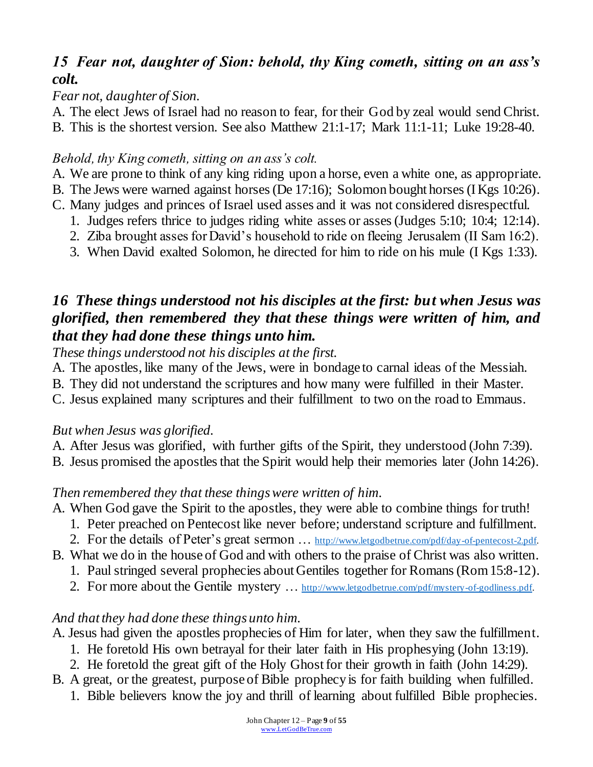## *15 Fear not, daughter of Sion: behold, thy King cometh, sitting on an ass's colt.*

### *Fear not, daughter of Sion.*

A. The elect Jews of Israel had no reason to fear, for their God by zeal would send Christ.

B. This is the shortest version. See also Matthew 21:1-17; Mark 11:1-11; Luke 19:28-40.

### *Behold, thy King cometh, sitting on an ass's colt.*

- A. We are prone to think of any king riding upon a horse, even a white one, as appropriate.
- B. The Jews were warned against horses (De 17:16); Solomon bought horses (I Kgs 10:26).
- C. Many judges and princes of Israel used asses and it was not considered disrespectful.
	- 1. Judges refers thrice to judges riding white asses or asses (Judges 5:10; 10:4; 12:14).
	- 2. Ziba brought asses for David's household to ride on fleeing Jerusalem (II Sam 16:2).
	- 3. When David exalted Solomon, he directed for him to ride on his mule (I Kgs 1:33).

## *16 These things understood not his disciples at the first: but when Jesus was glorified, then remembered they that these things were written of him, and that they had done these things unto him.*

*These things understood not his disciples at the first.*

- A. The apostles, like many of the Jews, were in bondage to carnal ideas of the Messiah.
- B. They did not understand the scriptures and how many were fulfilled in their Master.
- C. Jesus explained many scriptures and their fulfillment to two on the road to Emmaus.

### *But when Jesus was glorified.*

A. After Jesus was glorified, with further gifts of the Spirit, they understood (John 7:39).

B. Jesus promised the apostles that the Spirit would help their memories later (John 14:26).

### *Then remembered they that these things were written of him.*

- A. When God gave the Spirit to the apostles, they were able to combine things for truth!
	- 1. Peter preached on Pentecost like never before; understand scripture and fulfillment.
	- 2. For the details of Peter's great sermon ... [http://www.letgodbetrue.com/pdf/day-of-pentecost-2.pdf.](http://www.letgodbetrue.com/pdf/day-of-pentecost-2.pdf)
- B. What we do in the house of God and with others to the praise of Christ was also written.
	- 1. Paul stringed several prophecies about Gentiles together for Romans (Rom 15:8-12).
	- 2. For more about the Gentile mystery ... [http://www.letgodbetrue.com/pdf/mystery-of-godliness.pdf.](http://www.letgodbetrue.com/pdf/mystery-of-godliness.pdf)

### *And that they had done these things unto him.*

- A. Jesus had given the apostles prophecies of Him for later, when they saw the fulfillment.
	- 1. He foretold His own betrayal for their later faith in His prophesying (John 13:19).
	- 2. He foretold the great gift of the Holy Ghost for their growth in faith (John 14:29).
- B. A great, or the greatest, purpose of Bible prophecy is for faith building when fulfilled.
	- 1. Bible believers know the joy and thrill of learning about fulfilled Bible prophecies.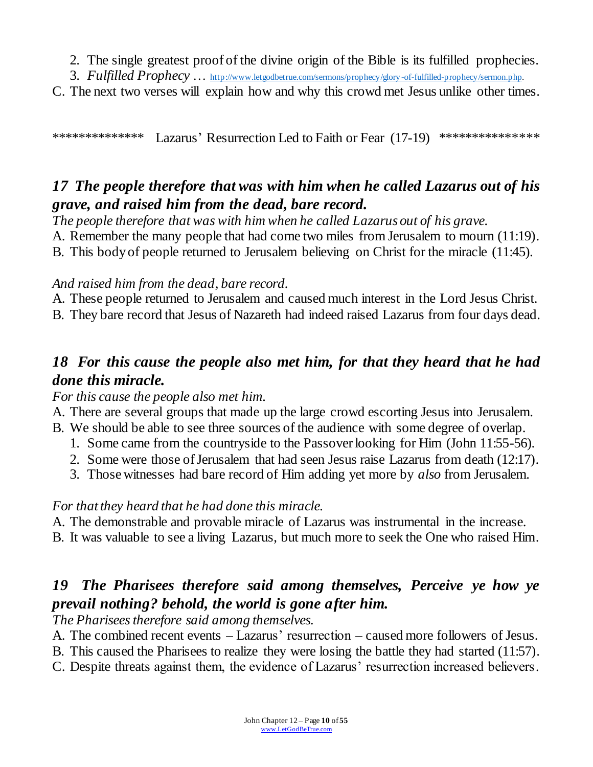2. The single greatest proof of the divine origin of the Bible is its fulfilled prophecies.

3. *Fulfilled Prophecy* … <http://www.letgodbetrue.com/sermons/prophecy/glory-of-fulfilled-prophecy/sermon.php>.

C. The next two verses will explain how and why this crowd met Jesus unlike other times.

\*\*\*\*\*\*\*\*\*\*\*\*\*\*\* Lazarus' Resurrection Led to Faith or Fear (17-19) \*\*\*\*\*\*\*\*\*\*\*\*\*\*

## *17 The people therefore that was with him when he called Lazarus out of his grave, and raised him from the dead, bare record.*

*The people therefore that was with him when he called Lazarus out of his grave.* A. Remember the many people that had come two miles from Jerusalem to mourn (11:19). B. This body of people returned to Jerusalem believing on Christ for the miracle (11:45).

### *And raised him from the dead, bare record.*

A. These people returned to Jerusalem and caused much interest in the Lord Jesus Christ.

B. They bare record that Jesus of Nazareth had indeed raised Lazarus from four days dead.

## *18 For this cause the people also met him, for that they heard that he had done this miracle.*

#### *For this cause the people also met him.*

A. There are several groups that made up the large crowd escorting Jesus into Jerusalem.

- B. We should be able to see three sources of the audience with some degree of overlap.
	- 1. Some came from the countryside to the Passover looking for Him (John 11:55-56).
	- 2. Some were those of Jerusalem that had seen Jesus raise Lazarus from death (12:17).
	- 3. Those witnesses had bare record of Him adding yet more by *also* from Jerusalem.

### *For that they heard that he had done this miracle.*

A. The demonstrable and provable miracle of Lazarus was instrumental in the increase.

B. It was valuable to see a living Lazarus, but much more to seek the One who raised Him.

## *19 The Pharisees therefore said among themselves, Perceive ye how ye prevail nothing? behold, the world is gone after him.*

*The Pharisees therefore said among themselves.*

A. The combined recent events – Lazarus' resurrection – caused more followers of Jesus.

- B. This caused the Pharisees to realize they were losing the battle they had started (11:57).
- C. Despite threats against them, the evidence of Lazarus' resurrection increased believers.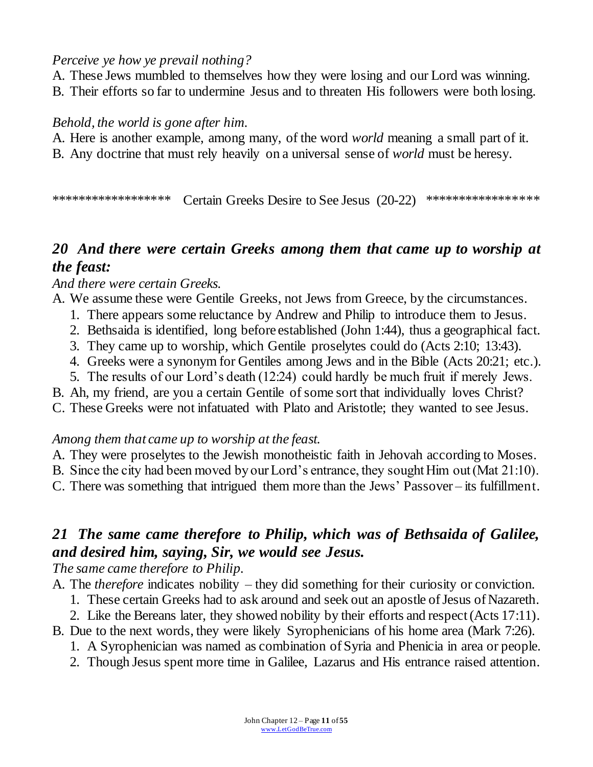#### *Perceive ye how ye prevail nothing?*

- A. These Jews mumbled to themselves how they were losing and our Lord was winning.
- B. Their efforts so far to undermine Jesus and to threaten His followers were both losing.

#### *Behold, the world is gone after him.*

- A. Here is another example, among many, of the word *world* meaning a small part of it.
- B. Any doctrine that must rely heavily on a universal sense of *world* must be heresy.

\*\*\*\*\*\*\*\*\*\*\*\*\*\*\*\*\*\* Certain Greeks Desire to See Jesus (20-22) \*\*\*\*\*\*\*\*\*\*\*\*\*\*\*\*\*\*

## *20 And there were certain Greeks among them that came up to worship at the feast:*

#### *And there were certain Greeks.*

- A. We assume these were Gentile Greeks, not Jews from Greece, by the circumstances.
	- 1. There appears some reluctance by Andrew and Philip to introduce them to Jesus.
	- 2. Bethsaida is identified, long before established (John 1:44), thus a geographical fact.
	- 3. They came up to worship, which Gentile proselytes could do (Acts 2:10; 13:43).
	- 4. Greeks were a synonym for Gentiles among Jews and in the Bible (Acts 20:21; etc.).
	- 5. The results of our Lord's death (12:24) could hardly be much fruit if merely Jews.
- B. Ah, my friend, are you a certain Gentile of some sort that individually loves Christ?
- C. These Greeks were not infatuated with Plato and Aristotle; they wanted to see Jesus.

#### *Among them that came up to worship at the feast.*

- A. They were proselytes to the Jewish monotheistic faith in Jehovah according to Moses.
- B. Since the city had been moved by our Lord's entrance, they sought Him out (Mat 21:10).
- C. There was something that intrigued them more than the Jews' Passover its fulfillment.

## *21 The same came therefore to Philip, which was of Bethsaida of Galilee, and desired him, saying, Sir, we would see Jesus.*

*The same came therefore to Philip.*

- A. The *therefore* indicates nobility they did something for their curiosity or conviction.
	- 1. These certain Greeks had to ask around and seek out an apostle of Jesus of Nazareth.
	- 2. Like the Bereans later, they showed nobility by their efforts and respect (Acts 17:11).
- B. Due to the next words, they were likely Syrophenicians of his home area (Mark 7:26).
	- 1. A Syrophenician was named as combination of Syria and Phenicia in area or people.
	- 2. Though Jesus spent more time in Galilee, Lazarus and His entrance raised attention.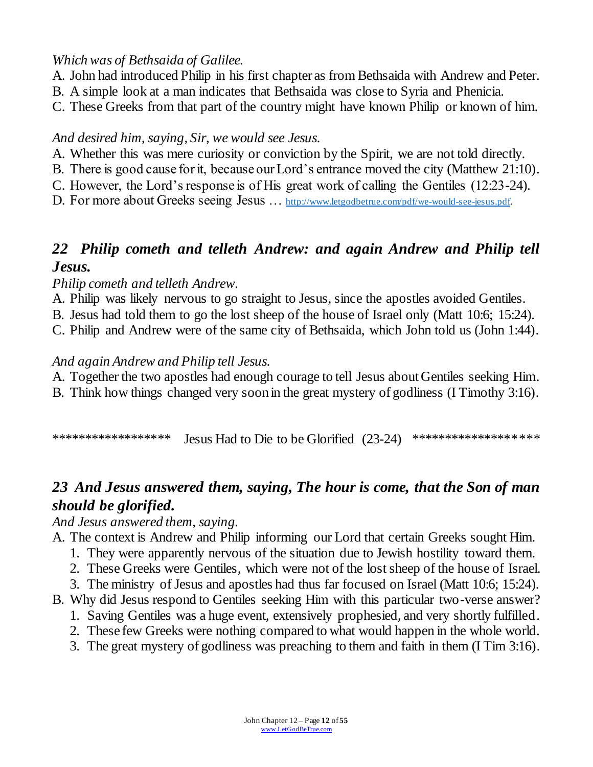### *Which was of Bethsaida of Galilee.*

- A. John had introduced Philip in his first chapter as from Bethsaida with Andrew and Peter.
- B. A simple look at a man indicates that Bethsaida was close to Syria and Phenicia.
- C. These Greeks from that part of the country might have known Philip or known of him.

### *And desired him, saying, Sir, we would see Jesus.*

- A. Whether this was mere curiosity or conviction by the Spirit, we are not told directly.
- B. There is good cause for it, because our Lord's entrance moved the city (Matthew 21:10).
- C. However, the Lord's response is of His great work of calling the Gentiles (12:23-24).
- D. For more about Greeks seeing Jesus ... [http://www.letgodbetrue.com/pdf/we-would-see-jesus.pdf.](http://www.letgodbetrue.com/pdf/we-would-see-jesus.pdf)

## *22 Philip cometh and telleth Andrew: and again Andrew and Philip tell Jesus.*

### *Philip cometh and telleth Andrew.*

- A. Philip was likely nervous to go straight to Jesus, since the apostles avoided Gentiles.
- B. Jesus had told them to go the lost sheep of the house of Israel only (Matt 10:6; 15:24).
- C. Philip and Andrew were of the same city of Bethsaida, which John told us (John 1:44).

### *And again Andrew and Philip tell Jesus.*

- A. Together the two apostles had enough courage to tell Jesus about Gentiles seeking Him.
- B. Think how things changed very soon in the great mystery of godliness (I Timothy 3:16).

\*\*\*\*\*\*\*\*\*\*\*\*\*\*\*\*\*\*\* Jesus Had to Die to be Glorified (23-24) \*\*\*\*\*\*\*\*\*\*\*\*\*\*\*\*\*\*\*

## *23 And Jesus answered them, saying, The hour is come, that the Son of man should be glorified.*

*And Jesus answered them, saying.*

- A. The context is Andrew and Philip informing our Lord that certain Greeks sought Him.
	- 1. They were apparently nervous of the situation due to Jewish hostility toward them.
	- 2. These Greeks were Gentiles, which were not of the lost sheep of the house of Israel.
	- 3. The ministry of Jesus and apostles had thus far focused on Israel (Matt 10:6; 15:24).
- B. Why did Jesus respond to Gentiles seeking Him with this particular two-verse answer?
	- 1. Saving Gentiles was a huge event, extensively prophesied, and very shortly fulfilled.
	- 2. These few Greeks were nothing compared to what would happen in the whole world.
	- 3. The great mystery of godliness was preaching to them and faith in them (I Tim 3:16).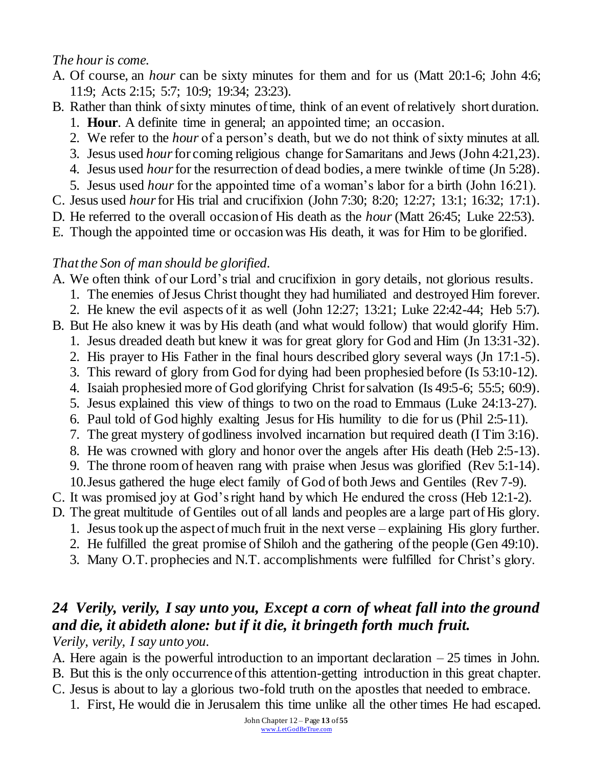### *The hour is come.*

- A. Of course, an *hour* can be sixty minutes for them and for us (Matt 20:1-6; John 4:6; 11:9; Acts 2:15; 5:7; 10:9; 19:34; 23:23).
- B. Rather than think of sixty minutes of time, think of an event of relatively short duration.
	- 1. **Hour**. A definite time in general; an appointed time; an occasion.
	- 2. We refer to the *hour* of a person's death, but we do not think of sixty minutes at all.
	- 3. Jesus used *hour*for coming religious change for Samaritans and Jews (John 4:21,23).
	- 4. Jesus used *hour*for the resurrection of dead bodies, a mere twinkle of time (Jn 5:28).
	- 5. Jesus used *hour*for the appointed time of a woman's labor for a birth (John 16:21).
- C. Jesus used *hour*for His trial and crucifixion (John 7:30; 8:20; 12:27; 13:1; 16:32; 17:1).
- D. He referred to the overall occasion of His death as the *hour* (Matt 26:45; Luke 22:53).
- E. Though the appointed time or occasion was His death, it was for Him to be glorified.

### *That the Son of man should be glorified.*

- A. We often think of our Lord's trial and crucifixion in gory details, not glorious results.
	- 1. The enemies of Jesus Christ thought they had humiliated and destroyed Him forever.
	- 2. He knew the evil aspects of it as well (John 12:27; 13:21; Luke 22:42-44; Heb 5:7).
- B. But He also knew it was by His death (and what would follow) that would glorify Him.
	- 1. Jesus dreaded death but knew it was for great glory for God and Him (Jn 13:31-32).
	- 2. His prayer to His Father in the final hours described glory several ways (Jn 17:1-5).
	- 3. This reward of glory from God for dying had been prophesied before (Is 53:10-12).
	- 4. Isaiah prophesied more of God glorifying Christ for salvation (Is 49:5-6; 55:5; 60:9).
	- 5. Jesus explained this view of things to two on the road to Emmaus (Luke 24:13-27).
	- 6. Paul told of God highly exalting Jesus for His humility to die for us (Phil 2:5-11).
	- 7. The great mystery of godliness involved incarnation but required death (I Tim 3:16).
	- 8. He was crowned with glory and honor over the angels after His death (Heb 2:5-13).
	- 9. The throne room of heaven rang with praise when Jesus was glorified (Rev 5:1-14).
	- 10.Jesus gathered the huge elect family of God of both Jews and Gentiles (Rev 7-9).
- C. It was promised joy at God's right hand by which He endured the cross (Heb 12:1-2).
- D. The great multitude of Gentiles out of all lands and peoples are a large part of His glory.
	- 1. Jesus took up the aspect of much fruit in the next verse explaining His glory further.
	- 2. He fulfilled the great promise of Shiloh and the gathering of the people (Gen 49:10).
	- 3. Many O.T. prophecies and N.T. accomplishments were fulfilled for Christ's glory.

# *24 Verily, verily, I say unto you, Except a corn of wheat fall into the ground and die, it abideth alone: but if it die, it bringeth forth much fruit.*

*Verily, verily, I say unto you.*

- A. Here again is the powerful introduction to an important declaration  $-25$  times in John.
- B. But this is the only occurrence of this attention-getting introduction in this great chapter.
- C. Jesus is about to lay a glorious two-fold truth on the apostles that needed to embrace.
	- 1. First, He would die in Jerusalem this time unlike all the other times He had escaped.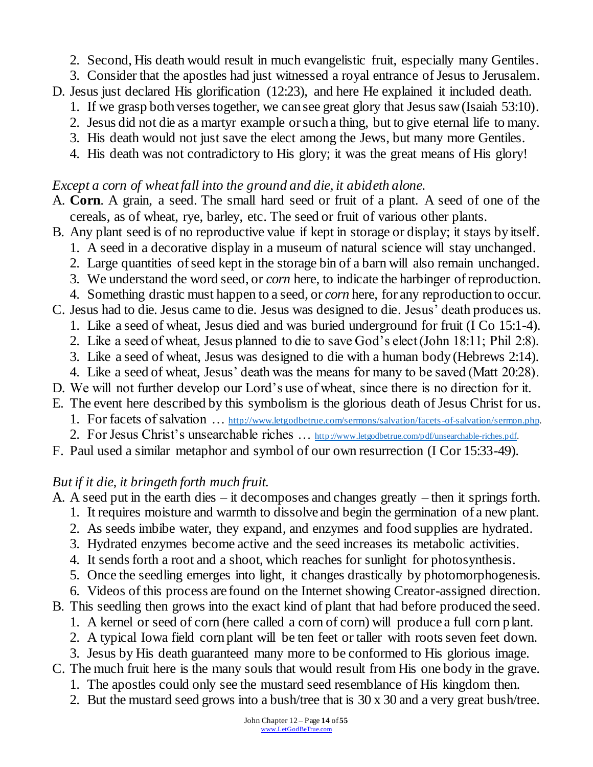- 2. Second, His death would result in much evangelistic fruit, especially many Gentiles.
- 3. Consider that the apostles had just witnessed a royal entrance of Jesus to Jerusalem.
- D. Jesus just declared His glorification (12:23), and here He explained it included death.
	- 1. If we grasp both verses together, we can see great glory that Jesus saw (Isaiah 53:10).
	- 2. Jesus did not die as a martyr example or such a thing, but to give eternal life to many.
	- 3. His death would not just save the elect among the Jews, but many more Gentiles.
	- 4. His death was not contradictory to His glory; it was the great means of His glory!

#### *Except a corn of wheat fall into the ground and die, it abideth alone.*

- A. **Corn**. A grain, a seed. The small hard seed or fruit of a plant. A seed of one of the cereals, as of wheat, rye, barley, etc. The seed or fruit of various other plants.
- B. Any plant seed is of no reproductive value if kept in storage or display; it stays by itself.
	- 1. A seed in a decorative display in a museum of natural science will stay unchanged.
	- 2. Large quantities of seed kept in the storage bin of a barn will also remain unchanged.
	- 3. We understand the word seed, or *corn* here, to indicate the harbinger of reproduction.
	- 4. Something drastic must happen to a seed, or *corn* here, for any reproduction to occur.
- C. Jesus had to die. Jesus came to die. Jesus was designed to die. Jesus' death produces us.
	- 1. Like a seed of wheat, Jesus died and was buried underground for fruit (I Co 15:1-4).
	- 2. Like a seed of wheat, Jesus planned to die to save God's elect (John 18:11; Phil 2:8).
	- 3. Like a seed of wheat, Jesus was designed to die with a human body (Hebrews 2:14).
	- 4. Like a seed of wheat, Jesus' death was the means for many to be saved (Matt 20:28).
- D. We will not further develop our Lord's use of wheat, since there is no direction for it.
- E. The event here described by this symbolism is the glorious death of Jesus Christ for us.
	- 1. For facets of salvation ... [http://www.letgodbetrue.com/sermons/salvation/facets-of-salvation/sermon.php.](http://www.letgodbetrue.com/sermons/salvation/facets-of-salvation/sermon.php)
	- 2. For Jesus Christ's unsearchable riches ... [http://www.letgodbetrue.com/pdf/unsearchable-riches.pdf.](http://www.letgodbetrue.com/pdf/unsearchable-riches.pdf)
- F. Paul used a similar metaphor and symbol of our own resurrection (I Cor 15:33-49).

### *But if it die, it bringeth forth much fruit.*

- A. A seed put in the earth dies it decomposes and changes greatly then it springs forth.
	- 1. It requires moisture and warmth to dissolve and begin the germination of a new plant.
	- 2. As seeds imbibe water, they expand, and enzymes and food supplies are hydrated.
	- 3. Hydrated enzymes become active and the seed increases its metabolic activities.
	- 4. It sends forth a root and a shoot, which reaches for sunlight for photosynthesis.
	- 5. Once the seedling emerges into light, it changes drastically by photomorphogenesis.
	- 6. Videos of this process are found on the Internet showing Creator-assigned direction.
- B. This seedling then grows into the exact kind of plant that had before produced the seed.
	- 1. A kernel or seed of corn (here called a corn of corn) will produce a full corn plant.
	- 2. A typical Iowa field corn plant will be ten feet or taller with roots seven feet down.
	- 3. Jesus by His death guaranteed many more to be conformed to His glorious image.
- C. The much fruit here is the many souls that would result from His one body in the grave.
	- 1. The apostles could only see the mustard seed resemblance of His kingdom then.
	- 2. But the mustard seed grows into a bush/tree that is 30 x 30 and a very great bush/tree.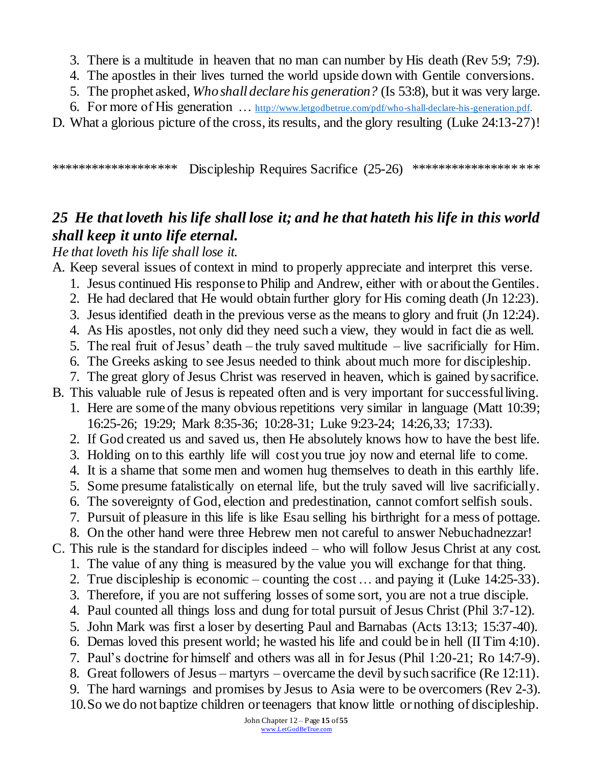- 3. There is a multitude in heaven that no man can number by His death (Rev 5:9; 7:9).
- 4. The apostles in their lives turned the world upside down with Gentile conversions.
- 5. The prophet asked, *Who shall declare his generation?* (Is 53:8), but it was very large.
- 6. For more of His generation ... [http://www.letgodbetrue.com/pdf/who-shall-declare-his-generation.pdf.](http://www.letgodbetrue.com/pdf/who-shall-declare-his-generation.pdf)

D. What a glorious picture of the cross, its results, and the glory resulting (Luke 24:13-27)!

\*\*\*\*\*\*\*\*\*\*\*\*\*\*\*\*\*\*\* Discipleship Requires Sacrifice (25-26) \*\*\*\*\*\*\*\*\*\*\*\*\*\*\*\*\*\*\*\*

## *25 He that loveth his life shall lose it; and he that hateth his life in this world shall keep it unto life eternal.*

*He that loveth his life shall lose it.*

A. Keep several issues of context in mind to properly appreciate and interpret this verse.

- 1. Jesus continued His response to Philip and Andrew, either with or about the Gentiles.
- 2. He had declared that He would obtain further glory for His coming death (Jn 12:23).
- 3. Jesus identified death in the previous verse as the means to glory and fruit (Jn 12:24).
- 4. As His apostles, not only did they need such a view, they would in fact die as well.
- 5. The real fruit of Jesus' death the truly saved multitude live sacrificially for Him.
- 6. The Greeks asking to see Jesus needed to think about much more for discipleship.
- 7. The great glory of Jesus Christ was reserved in heaven, which is gained by sacrifice.
- B. This valuable rule of Jesus is repeated often and is very important for successful living.
	- 1. Here are some of the many obvious repetitions very similar in language (Matt 10:39; 16:25-26; 19:29; Mark 8:35-36; 10:28-31; Luke 9:23-24; 14:26,33; 17:33).
	- 2. If God created us and saved us, then He absolutely knows how to have the best life.
	- 3. Holding on to this earthly life will cost you true joy now and eternal life to come.
	- 4. It is a shame that some men and women hug themselves to death in this earthly life.
	- 5. Some presume fatalistically on eternal life, but the truly saved will live sacrificially.
	- 6. The sovereignty of God, election and predestination, cannot comfort selfish souls.
	- 7. Pursuit of pleasure in this life is like Esau selling his birthright for a mess of pottage.
	- 8. On the other hand were three Hebrew men not careful to answer Nebuchadnezzar!
- C. This rule is the standard for disciples indeed who will follow Jesus Christ at any cost.
	- 1. The value of any thing is measured by the value you will exchange for that thing.
	- 2. True discipleship is economic counting the cost … and paying it (Luke 14:25-33).
	- 3. Therefore, if you are not suffering losses of some sort, you are not a true disciple.
	- 4. Paul counted all things loss and dung for total pursuit of Jesus Christ (Phil 3:7-12).
	- 5. John Mark was first a loser by deserting Paul and Barnabas (Acts 13:13; 15:37-40).
	- 6. Demas loved this present world; he wasted his life and could be in hell (II Tim 4:10).
	- 7. Paul's doctrine for himself and others was all in for Jesus (Phil 1:20-21; Ro 14:7-9).
	- 8. Great followers of Jesus martyrs overcame the devil by such sacrifice (Re 12:11).
	- 9. The hard warnings and promises by Jesus to Asia were to be overcomers (Rev 2-3). 10.So we do not baptize children or teenagers that know little or nothing of discipleship.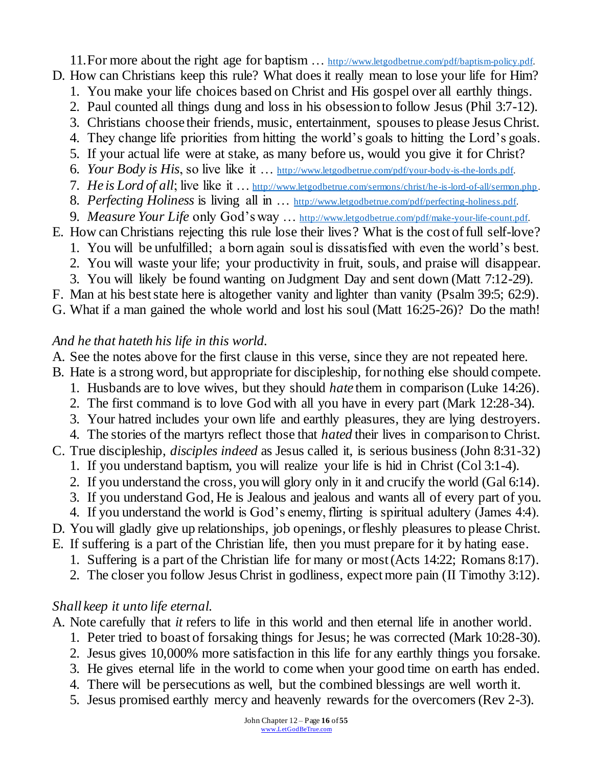11. For more about the right age for baptism ... [http://www.letgodbetrue.com/pdf/baptism-policy.pdf.](http://www.letgodbetrue.com/pdf/baptism-policy.pdf) D. How can Christians keep this rule? What does it really mean to lose your life for Him?

- 1. You make your life choices based on Christ and His gospel over all earthly things.
- 2. Paul counted all things dung and loss in his obsession to follow Jesus (Phil 3:7-12).
- 3. Christians choose their friends, music, entertainment, spouses to please Jesus Christ.
- 4. They change life priorities from hitting the world's goals to hitting the Lord's goals.
- 5. If your actual life were at stake, as many before us, would you give it for Christ?
- 6. *Your Body is His*, so live like it … [http://www.letgodbetrue.com/pdf/your-body-is-the-lords.pdf.](http://www.letgodbetrue.com/pdf/your-body-is-the-lords.pdf)
- 7. *He is Lord of all*; live like it … <http://www.letgodbetrue.com/sermons/christ/he-is-lord-of-all/sermon.php> .
- 8. *Perfecting Holiness* is living all in … [http://www.letgodbetrue.com/pdf/perfecting-holiness.pdf.](http://www.letgodbetrue.com/pdf/perfecting-holiness.pdf)
- 9. *Measure Your Life* only God's way … [http://www.letgodbetrue.com/pdf/make-your-life-count.pdf.](http://www.letgodbetrue.com/pdf/make-your-life-count.pdf)
- E. How can Christians rejecting this rule lose their lives? What is the cost of full self-love?
	- 1. You will be unfulfilled; a born again soul is dissatisfied with even the world's best.
	- 2. You will waste your life; your productivity in fruit, souls, and praise will disappear.
	- 3. You will likely be found wanting on Judgment Day and sent down (Matt 7:12-29).
- F. Man at his best state here is altogether vanity and lighter than vanity (Psalm 39:5; 62:9).
- G. What if a man gained the whole world and lost his soul (Matt 16:25-26)? Do the math!

#### *And he that hateth his life in this world.*

- A. See the notes above for the first clause in this verse, since they are not repeated here.
- B. Hate is a strong word, but appropriate for discipleship, for nothing else should compete.
	- 1. Husbands are to love wives, but they should *hate* them in comparison (Luke 14:26).
	- 2. The first command is to love God with all you have in every part (Mark 12:28-34).
	- 3. Your hatred includes your own life and earthly pleasures, they are lying destroyers.
	- 4. The stories of the martyrs reflect those that *hated* their lives in comparison to Christ.
- C. True discipleship, *disciples indeed* as Jesus called it, is serious business (John 8:31-32)
	- 1. If you understand baptism, you will realize your life is hid in Christ (Col 3:1-4).
	- 2. If you understand the cross, you will glory only in it and crucify the world (Gal 6:14).
	- 3. If you understand God, He is Jealous and jealous and wants all of every part of you.
	- 4. If you understand the world is God's enemy, flirting is spiritual adultery (James 4:4).
- D. You will gladly give up relationships, job openings, or fleshly pleasures to please Christ.
- E. If suffering is a part of the Christian life, then you must prepare for it by hating ease.
	- 1. Suffering is a part of the Christian life for many or most (Acts 14:22; Romans 8:17).
	- 2. The closer you follow Jesus Christ in godliness, expect more pain (II Timothy 3:12).

## *Shall keep it unto life eternal.*

- A. Note carefully that *it* refers to life in this world and then eternal life in another world.
	- 1. Peter tried to boast of forsaking things for Jesus; he was corrected (Mark 10:28-30).
	- 2. Jesus gives 10,000% more satisfaction in this life for any earthly things you forsake.
	- 3. He gives eternal life in the world to come when your good time on earth has ended.
	- 4. There will be persecutions as well, but the combined blessings are well worth it.
	- 5. Jesus promised earthly mercy and heavenly rewards for the overcomers (Rev 2-3).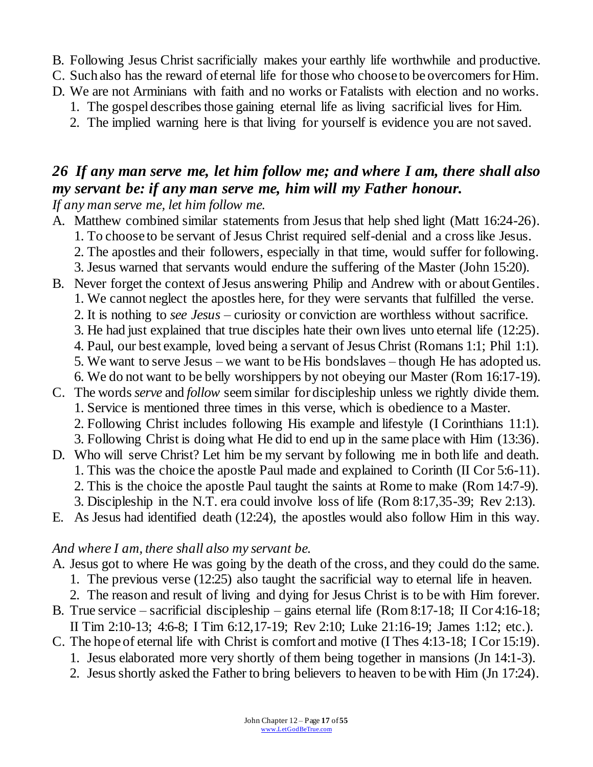- B. Following Jesus Christ sacrificially makes your earthly life worthwhile and productive.
- C. Such also has the reward of eternal life for those who choose to be overcomers for Him.
- D. We are not Arminians with faith and no works or Fatalists with election and no works.
	- 1. The gospel describes those gaining eternal life as living sacrificial lives for Him.
	- 2. The implied warning here is that living for yourself is evidence you are not saved.

# *26 If any man serve me, let him follow me; and where I am, there shall also my servant be: if any man serve me, him will my Father honour.*

*If any man serve me, let him follow me.*

- A. Matthew combined similar statements from Jesus that help shed light (Matt 16:24-26).
	- 1. To choose to be servant of Jesus Christ required self-denial and a cross like Jesus.
		- 2. The apostles and their followers, especially in that time, would suffer for following.
	- 3. Jesus warned that servants would endure the suffering of the Master (John 15:20).
- B. Never forget the context of Jesus answering Philip and Andrew with or about Gentiles.
	- 1. We cannot neglect the apostles here, for they were servants that fulfilled the verse.
	- 2. It is nothing to *see Jesus* curiosity or conviction are worthless without sacrifice.
	- 3. He had just explained that true disciples hate their own lives unto eternal life (12:25).
	- 4. Paul, our best example, loved being a servant of Jesus Christ (Romans 1:1; Phil 1:1).
	- 5. We want to serve Jesus we want to be His bondslaves though He has adopted us.
- 6. We do not want to be belly worshippers by not obeying our Master (Rom 16:17-19). C. The words *serve* and *follow* seem similar for discipleship unless we rightly divide them.
	- 1. Service is mentioned three times in this verse, which is obedience to a Master.
		- 2. Following Christ includes following His example and lifestyle (I Corinthians 11:1).
		- 3. Following Christ is doing what He did to end up in the same place with Him (13:36).
- D. Who will serve Christ? Let him be my servant by following me in both life and death. 1. This was the choice the apostle Paul made and explained to Corinth (II Cor 5:6-11). 2. This is the choice the apostle Paul taught the saints at Rome to make (Rom 14:7-9).
	- 3. Discipleship in the N.T. era could involve loss of life (Rom 8:17,35-39; Rev 2:13).
- E. As Jesus had identified death (12:24), the apostles would also follow Him in this way.

#### *And where I am, there shall also my servant be.*

- A. Jesus got to where He was going by the death of the cross, and they could do the same.
	- 1. The previous verse (12:25) also taught the sacrificial way to eternal life in heaven.
	- 2. The reason and result of living and dying for Jesus Christ is to be with Him forever.
- B. True service sacrificial discipleship gains eternal life (Rom 8:17-18; II Cor 4:16-18; II Tim 2:10-13; 4:6-8; I Tim 6:12,17-19; Rev 2:10; Luke 21:16-19; James 1:12; etc.).
- C. The hope of eternal life with Christ is comfort and motive (I Thes 4:13-18; I Cor 15:19).
	- 1. Jesus elaborated more very shortly of them being together in mansions (Jn 14:1-3).
	- 2. Jesus shortly asked the Father to bring believers to heaven to be with Him (Jn 17:24).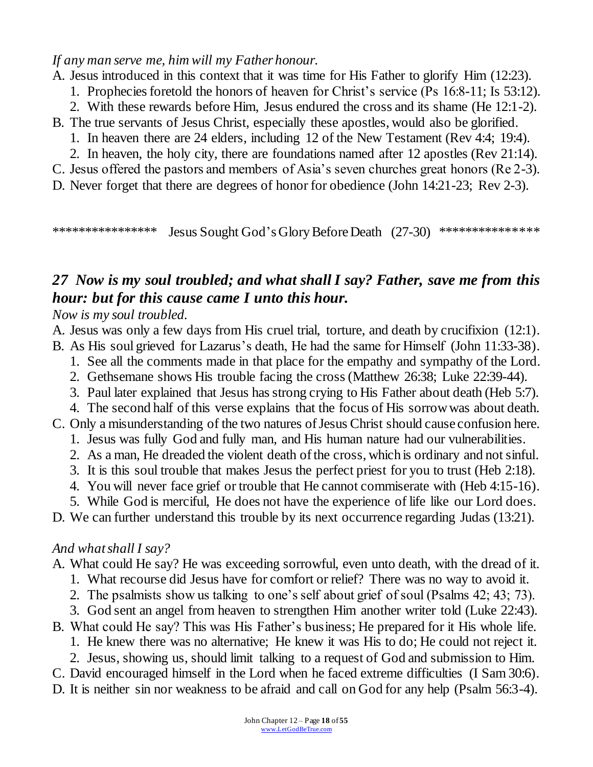*If any man serve me, him will my Father honour.*

A. Jesus introduced in this context that it was time for His Father to glorify Him (12:23).

- 1. Prophecies foretold the honors of heaven for Christ's service (Ps 16:8-11; Is 53:12).
- 2. With these rewards before Him, Jesus endured the cross and its shame (He 12:1-2).
- B. The true servants of Jesus Christ, especially these apostles, would also be glorified.
	- 1. In heaven there are 24 elders, including 12 of the New Testament (Rev 4:4; 19:4).
	- 2. In heaven, the holy city, there are foundations named after 12 apostles (Rev 21:14).

C. Jesus offered the pastors and members of Asia's seven churches great honors (Re 2-3).

D. Never forget that there are degrees of honor for obedience (John 14:21-23; Rev 2-3).

\*\*\*\*\*\*\*\*\*\*\*\*\*\*\*\*\* Jesus Sought God's Glory Before Death (27-30) \*\*\*\*\*\*\*\*\*\*\*\*\*\*\*\*

## *27 Now is my soul troubled; and what shall I say? Father, save me from this hour: but for this cause came I unto this hour.*

*Now is my soul troubled.*

- A. Jesus was only a few days from His cruel trial, torture, and death by crucifixion (12:1).
- B. As His soul grieved for Lazarus's death, He had the same for Himself (John 11:33-38).
	- 1. See all the comments made in that place for the empathy and sympathy of the Lord.
	- 2. Gethsemane shows His trouble facing the cross (Matthew 26:38; Luke 22:39-44).
	- 3. Paul later explained that Jesus has strong crying to His Father about death (Heb 5:7).
	- 4. The second half of this verse explains that the focus of His sorrow was about death.
- C. Only a misunderstanding of the two natures of Jesus Christ should cause confusion here.
	- 1. Jesus was fully God and fully man, and His human nature had our vulnerabilities.
	- 2. As a man, He dreaded the violent death of the cross, which is ordinary and not sinful.
	- 3. It is this soul trouble that makes Jesus the perfect priest for you to trust (Heb 2:18).
	- 4. You will never face grief or trouble that He cannot commiserate with (Heb 4:15-16).
	- 5. While God is merciful, He does not have the experience of life like our Lord does.

D. We can further understand this trouble by its next occurrence regarding Judas (13:21).

## *And what shall I say?*

A. What could He say? He was exceeding sorrowful, even unto death, with the dread of it.

- 1. What recourse did Jesus have for comfort or relief? There was no way to avoid it.
- 2. The psalmists show us talking to one's self about grief of soul (Psalms 42; 43; 73).
- 3. God sent an angel from heaven to strengthen Him another writer told (Luke 22:43).
- B. What could He say? This was His Father's business; He prepared for it His whole life.
	- 1. He knew there was no alternative; He knew it was His to do; He could not reject it.
	- 2. Jesus, showing us, should limit talking to a request of God and submission to Him.
- C. David encouraged himself in the Lord when he faced extreme difficulties (I Sam 30:6).
- D. It is neither sin nor weakness to be afraid and call on God for any help (Psalm 56:3-4).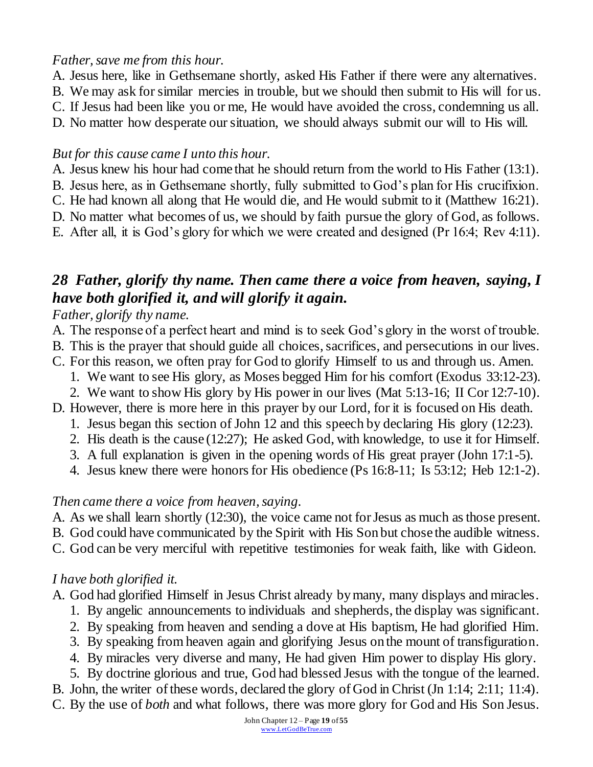### *Father, save me from this hour.*

- A. Jesus here, like in Gethsemane shortly, asked His Father if there were any alternatives.
- B. We may ask for similar mercies in trouble, but we should then submit to His will for us.
- C. If Jesus had been like you or me, He would have avoided the cross, condemning us all.
- D. No matter how desperate our situation, we should always submit our will to His will.

### *But for this cause came I unto this hour.*

- A. Jesus knew his hour had come that he should return from the world to His Father (13:1).
- B. Jesus here, as in Gethsemane shortly, fully submitted to God's plan for His crucifixion.
- C. He had known all along that He would die, and He would submit to it (Matthew 16:21).
- D. No matter what becomes of us, we should by faith pursue the glory of God, as follows.
- E. After all, it is God's glory for which we were created and designed (Pr 16:4; Rev 4:11).

## *28 Father, glorify thy name. Then came there a voice from heaven, saying, I have both glorified it, and will glorify it again.*

### *Father, glorify thy name.*

- A. The response of a perfect heart and mind is to seek God's glory in the worst of trouble.
- B. This is the prayer that should guide all choices, sacrifices, and persecutions in our lives.
- C. For this reason, we often pray for God to glorify Himself to us and through us. Amen.
	- 1. We want to see His glory, as Moses begged Him for his comfort (Exodus 33:12-23).
	- 2. We want to show His glory by His power in our lives (Mat 5:13-16; II Cor 12:7-10).
- D. However, there is more here in this prayer by our Lord, for it is focused on His death.
	- 1. Jesus began this section of John 12 and this speech by declaring His glory (12:23).
	- 2. His death is the cause (12:27); He asked God, with knowledge, to use it for Himself.
	- 3. A full explanation is given in the opening words of His great prayer (John 17:1-5).
	- 4. Jesus knew there were honors for His obedience (Ps 16:8-11; Is 53:12; Heb 12:1-2).

## *Then came there a voice from heaven, saying.*

- A. As we shall learn shortly (12:30), the voice came not for Jesus as much as those present.
- B. God could have communicated by the Spirit with His Son but chose the audible witness.
- C. God can be very merciful with repetitive testimonies for weak faith, like with Gideon.

## *I have both glorified it.*

- A. God had glorified Himself in Jesus Christ already by many, many displays and miracles.
	- 1. By angelic announcements to individuals and shepherds, the display was significant.
	- 2. By speaking from heaven and sending a dove at His baptism, He had glorified Him.
	- 3. By speaking from heaven again and glorifying Jesus on the mount of transfiguration.
	- 4. By miracles very diverse and many, He had given Him power to display His glory.
	- 5. By doctrine glorious and true, God had blessed Jesus with the tongue of the learned.
- B. John, the writer of these words, declared the glory of God in Christ (Jn 1:14; 2:11; 11:4).
- C. By the use of *both* and what follows, there was more glory for God and His Son Jesus.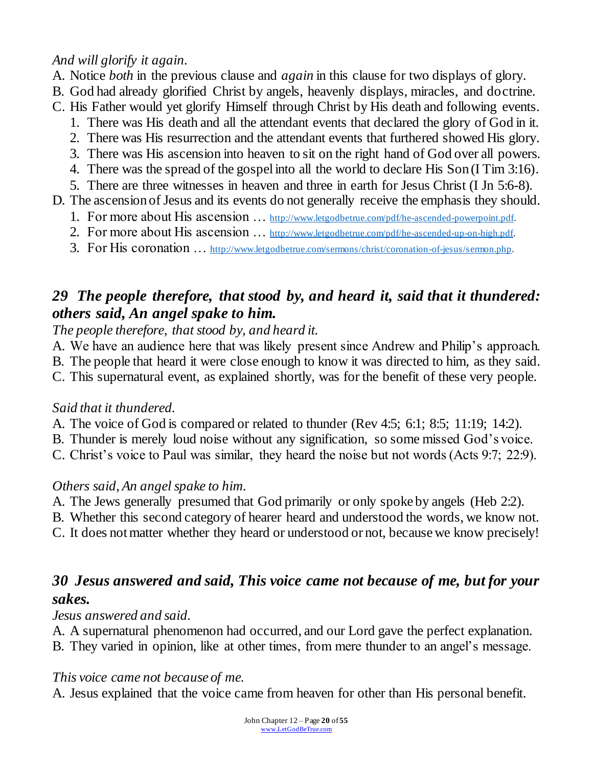### *And will glorify it again.*

- A. Notice *both* in the previous clause and *again* in this clause for two displays of glory.
- B. God had already glorified Christ by angels, heavenly displays, miracles, and doctrine.
- C. His Father would yet glorify Himself through Christ by His death and following events.
	- 1. There was His death and all the attendant events that declared the glory of God in it.
	- 2. There was His resurrection and the attendant events that furthered showed His glory.
	- 3. There was His ascension into heaven to sit on the right hand of God over all powers.
	- 4. There was the spread of the gospel into all the world to declare His Son (I Tim 3:16). 5. There are three witnesses in heaven and three in earth for Jesus Christ (I Jn 5:6-8).
- D. The ascension of Jesus and its events do not generally receive the emphasis they should.
	- 1. For more about His ascension ... [http://www.letgodbetrue.com/pdf/he-ascended-powerpoint.pdf.](http://www.letgodbetrue.com/pdf/he-ascended-powerpoint.pdf)
	- 2. For more about His ascension ... <http://www.letgodbetrue.com/pdf/he-ascended-up-on-high.pdf>.
	- 3. For His coronation … <http://www.letgodbetrue.com/sermons/christ/coronation-of-jesus/sermon.php>.

## *29 The people therefore, that stood by, and heard it, said that it thundered: others said, An angel spake to him.*

*The people therefore, that stood by, and heard it.*

- A. We have an audience here that was likely present since Andrew and Philip's approach.
- B. The people that heard it were close enough to know it was directed to him, as they said.
- C. This supernatural event, as explained shortly, was for the benefit of these very people.

## *Said that it thundered.*

- A. The voice of God is compared or related to thunder (Rev 4:5; 6:1; 8:5; 11:19; 14:2).
- B. Thunder is merely loud noise without any signification, so some missed God's voice.
- C. Christ's voice to Paul was similar, they heard the noise but not words (Acts 9:7; 22:9).

## *Others said, An angel spake to him.*

- A. The Jews generally presumed that God primarily or only spoke by angels (Heb 2:2).
- B. Whether this second category of hearer heard and understood the words, we know not.
- C. It does not matter whether they heard or understood or not, because we know precisely!

# *30 Jesus answered and said, This voice came not because of me, but for your sakes.*

## *Jesus answered and said.*

A. A supernatural phenomenon had occurred, and our Lord gave the perfect explanation.

B. They varied in opinion, like at other times, from mere thunder to an angel's message.

## *This voice came not because of me.*

A. Jesus explained that the voice came from heaven for other than His personal benefit.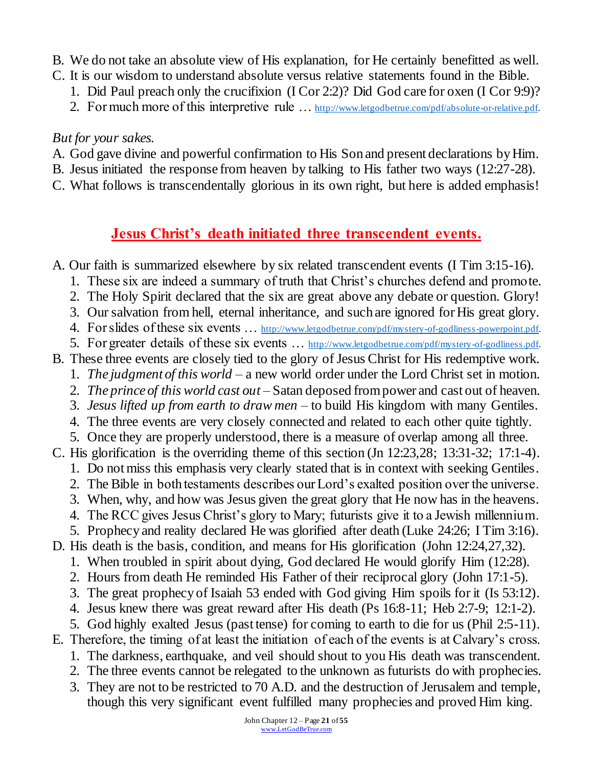- B. We do not take an absolute view of His explanation, for He certainly benefitted as well.
- C. It is our wisdom to understand absolute versus relative statements found in the Bible.
	- 1. Did Paul preach only the crucifixion (I Cor 2:2)? Did God care for oxen (I Cor 9:9)?
	- 2. For much more of this interpretive rule ... [http://www.letgodbetrue.com/pdf/absolute-or-relative.pdf.](http://www.letgodbetrue.com/pdf/absolute-or-relative.pdf)

### *But for your sakes.*

- A. God gave divine and powerful confirmation to His Son and present declarations by Him.
- B. Jesus initiated the response from heaven by talking to His father two ways (12:27-28).
- C. What follows is transcendentally glorious in its own right, but here is added emphasis!

# **Jesus Christ's death initiated three transcendent events.**

- A. Our faith is summarized elsewhere by six related transcendent events (I Tim 3:15-16).
	- 1. These six are indeed a summary of truth that Christ's churches defend and promote.
	- 2. The Holy Spirit declared that the six are great above any debate or question. Glory!
	- 3. Our salvation from hell, eternal inheritance, and such are ignored for His great glory.
	- 4. For slides of these six events … [http://www.letgodbetrue.com/pdf/mystery-of-godliness-powerpoint.pdf.](http://www.letgodbetrue.com/pdf/mystery-of-godliness-powerpoint.pdf)
	- 5. For greater details of these six events … [http://www.letgodbetrue.com/pdf/mystery-of-godliness.pdf.](http://www.letgodbetrue.com/pdf/mystery-of-godliness.pdf)
- B. These three events are closely tied to the glory of Jesus Christ for His redemptive work.
	- 1. *The judgment of this world* a new world order under the Lord Christ set in motion.
	- 2. *The prince of this world cast out* Satan deposed from power and cast out of heaven.
	- 3. *Jesus lifted up from earth to draw men* to build His kingdom with many Gentiles.
	- 4. The three events are very closely connected and related to each other quite tightly.
	- 5. Once they are properly understood, there is a measure of overlap among all three.
- C. His glorification is the overriding theme of this section (Jn 12:23,28; 13:31-32; 17:1-4).
	- 1. Do not miss this emphasis very clearly stated that is in context with seeking Gentiles.
	- 2. The Bible in both testaments describes our Lord's exalted position over the universe.
	- 3. When, why, and how was Jesus given the great glory that He now has in the heavens. 4. The RCC gives Jesus Christ's glory to Mary; futurists give it to a Jewish millennium.
	- 5. Prophecy and reality declared He was glorified after death (Luke 24:26; I Tim 3:16).
- D. His death is the basis, condition, and means for His glorification (John 12:24,27,32).
	- 1. When troubled in spirit about dying, God declared He would glorify Him (12:28).
	- 2. Hours from death He reminded His Father of their reciprocal glory (John 17:1-5).
	- 3. The great prophecy of Isaiah 53 ended with God giving Him spoils for it (Is 53:12).
	- 4. Jesus knew there was great reward after His death (Ps 16:8-11; Heb 2:7-9; 12:1-2).
	- 5. God highly exalted Jesus (past tense) for coming to earth to die for us (Phil 2:5-11).
- E. Therefore, the timing of at least the initiation of each of the events is at Calvary's cross.
	- 1. The darkness, earthquake, and veil should shout to you His death was transcendent.
	- 2. The three events cannot be relegated to the unknown as futurists do with prophecies.
	- 3. They are not to be restricted to 70 A.D. and the destruction of Jerusalem and temple, though this very significant event fulfilled many prophecies and proved Him king.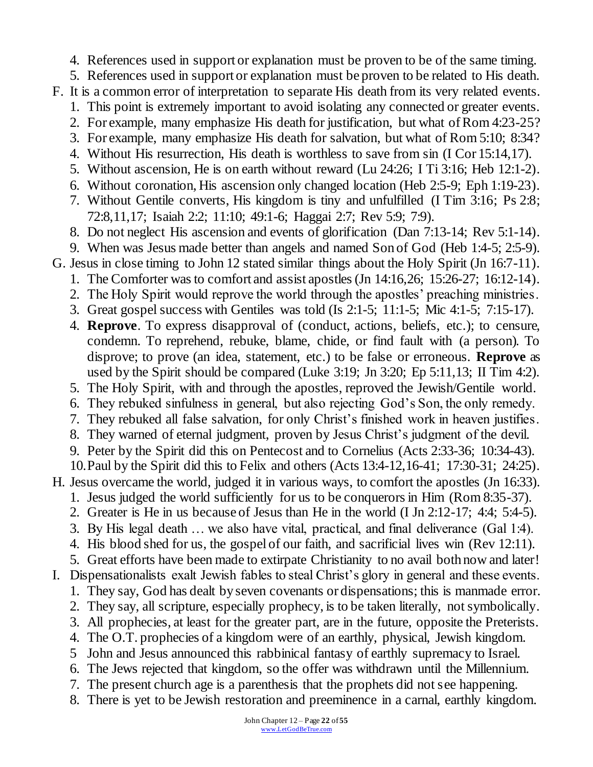- 4. References used in support or explanation must be proven to be of the same timing.
- 5. References used in support or explanation must be proven to be related to His death.
- F. It is a common error of interpretation to separate His death from its very related events.
	- 1. This point is extremely important to avoid isolating any connected or greater events.
	- 2. For example, many emphasize His death for justification, but what of Rom 4:23-25?
	- 3. For example, many emphasize His death for salvation, but what of Rom 5:10; 8:34?
	- 4. Without His resurrection, His death is worthless to save from sin (I Cor 15:14,17).
	- 5. Without ascension, He is on earth without reward (Lu 24:26; I Ti 3:16; Heb 12:1-2).
	- 6. Without coronation, His ascension only changed location (Heb 2:5-9; Eph 1:19-23).
	- 7. Without Gentile converts, His kingdom is tiny and unfulfilled (I Tim 3:16; Ps 2:8; 72:8,11,17; Isaiah 2:2; 11:10; 49:1-6; Haggai 2:7; Rev 5:9; 7:9).
	- 8. Do not neglect His ascension and events of glorification (Dan 7:13-14; Rev 5:1-14).
	- 9. When was Jesus made better than angels and named Son of God (Heb 1:4-5; 2:5-9).
- G. Jesus in close timing to John 12 stated similar things about the Holy Spirit (Jn 16:7-11).
	- 1. The Comforter was to comfort and assist apostles (Jn 14:16,26; 15:26-27; 16:12-14).
	- 2. The Holy Spirit would reprove the world through the apostles' preaching ministries.
	- 3. Great gospel success with Gentiles was told (Is 2:1-5; 11:1-5; Mic 4:1-5; 7:15-17).
	- 4. **Reprove**. To express disapproval of (conduct, actions, beliefs, etc.); to censure, condemn. To reprehend, rebuke, blame, chide, or find fault with (a person). To disprove; to prove (an idea, statement, etc.) to be false or erroneous. **Reprove** as used by the Spirit should be compared (Luke 3:19; Jn 3:20; Ep 5:11,13; II Tim 4:2).
	- 5. The Holy Spirit, with and through the apostles, reproved the Jewish/Gentile world.
	- 6. They rebuked sinfulness in general, but also rejecting God's Son, the only remedy.
	- 7. They rebuked all false salvation, for only Christ's finished work in heaven justifies.
	- 8. They warned of eternal judgment, proven by Jesus Christ's judgment of the devil.
	- 9. Peter by the Spirit did this on Pentecost and to Cornelius (Acts 2:33-36; 10:34-43).
	- 10.Paul by the Spirit did this to Felix and others (Acts 13:4-12,16-41; 17:30-31; 24:25).
- H. Jesus overcame the world, judged it in various ways, to comfort the apostles (Jn 16:33).
	- 1. Jesus judged the world sufficiently for us to be conquerors in Him (Rom 8:35-37).
	- 2. Greater is He in us because of Jesus than He in the world (I Jn 2:12-17; 4:4; 5:4-5).
	- 3. By His legal death … we also have vital, practical, and final deliverance (Gal 1:4).
	- 4. His blood shed for us, the gospel of our faith, and sacrificial lives win (Rev 12:11). 5. Great efforts have been made to extirpate Christianity to no avail both now and later!
- I. Dispensationalists exalt Jewish fables to steal Christ's glory in general and these events.
	- 1. They say, God has dealt by seven covenants or dispensations; this is manmade error.
	- 2. They say, all scripture, especially prophecy, is to be taken literally, not symbolically.
	- 3. All prophecies, at least for the greater part, are in the future, opposite the Preterists.
	- 4. The O.T. prophecies of a kingdom were of an earthly, physical, Jewish kingdom.
	- 5 John and Jesus announced this rabbinical fantasy of earthly supremacy to Israel.
	- 6. The Jews rejected that kingdom, so the offer was withdrawn until the Millennium.
	- 7. The present church age is a parenthesis that the prophets did not see happening.
	- 8. There is yet to be Jewish restoration and preeminence in a carnal, earthly kingdom.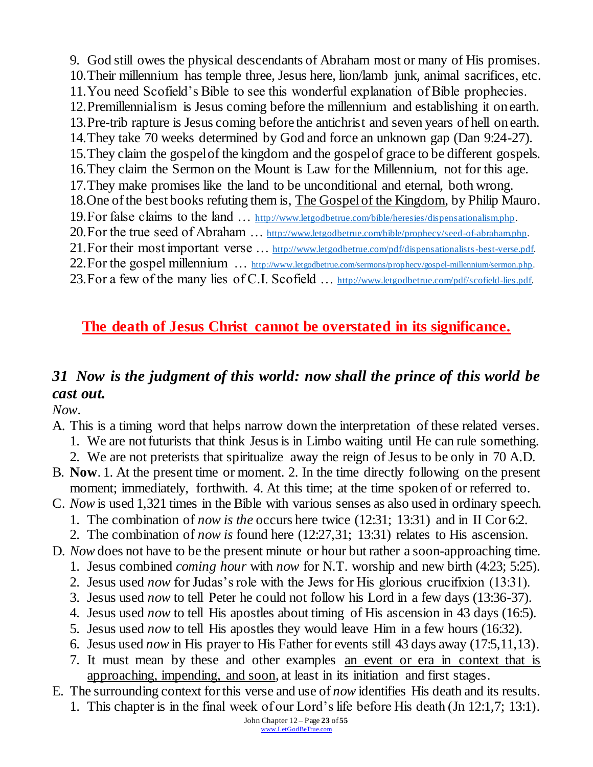9. God still owes the physical descendants of Abraham most or many of His promises. 10.Their millennium has temple three, Jesus here, lion/lamb junk, animal sacrifices, etc. 11.You need Scofield's Bible to see this wonderful explanation of Bible prophecies. 12.Premillennialism is Jesus coming before the millennium and establishing it on earth. 13.Pre-trib rapture is Jesus coming before the antichrist and seven years of hell on earth. 14.They take 70 weeks determined by God and force an unknown gap (Dan 9:24-27). 15.They claim the gospel of the kingdom and the gospel of grace to be different gospels. 16.They claim the Sermon on the Mount is Law for the Millennium, not for this age. 17.They make promises like the land to be unconditional and eternal, both wrong. 18.One of the best books refuting them is, The Gospel of the Kingdom, by Philip Mauro. 19.For false claims to the land … [http://www.letgodbetrue.com/bible/heresies/dispensationalism.php.](http://www.letgodbetrue.com/bible/heresies/dispensationalism.php) 20.For the true seed of Abraham … [http://www.letgodbetrue.com/bible/prophecy/seed-of-abraham.php.](http://www.letgodbetrue.com/bible/prophecy/seed-of-abraham.php) 21. For their most important verse ... <http://www.letgodbetrue.com/pdf/dispensationalists-best-verse.pdf>. 22. For the gospel millennium ... [http://www.letgodbetrue.com/sermons/prophecy/gospel-millennium/sermon.php.](http://www.letgodbetrue.com/sermons/prophecy/gospel-millennium/sermon.php) 23. For a few of the many lies of C.I. Scofield ... [http://www.letgodbetrue.com/pdf/scofield-lies.pdf.](http://www.letgodbetrue.com/pdf/scofield-lies.pdf)

## **The death of Jesus Christ cannot be overstated in its significance.**

## *31 Now is the judgment of this world: now shall the prince of this world be cast out.*

*Now.*

- A. This is a timing word that helps narrow down the interpretation of these related verses.
	- 1. We are not futurists that think Jesus is in Limbo waiting until He can rule something.
	- 2. We are not preterists that spiritualize away the reign of Jesus to be only in 70 A.D.
- B. **Now**. 1. At the present time or moment. 2. In the time directly following on the present moment; immediately, forthwith. 4. At this time; at the time spoken of or referred to.
- C. *Now* is used 1,321 times in the Bible with various senses as also used in ordinary speech.
	- 1. The combination of *now is the* occurs here twice (12:31; 13:31) and in II Cor 6:2.
- 2. The combination of *now is* found here (12:27,31; 13:31) relates to His ascension.
- D. *Now* does not have to be the present minute or hour but rather a soon-approaching time. 1. Jesus combined *coming hour* with *now* for N.T. worship and new birth (4:23; 5:25).
	- 2. Jesus used *now* for Judas's role with the Jews for His glorious crucifixion (13:31).
	- 3. Jesus used *now* to tell Peter he could not follow his Lord in a few days (13:36-37).
	- 4. Jesus used *now* to tell His apostles about timing of His ascension in 43 days (16:5).
	- 5. Jesus used *now* to tell His apostles they would leave Him in a few hours (16:32).
	- 6. Jesus used *now* in His prayer to His Father for events still 43 days away (17:5,11,13).
	- 7. It must mean by these and other examples an event or era in context that is approaching, impending, and soon, at least in its initiation and first stages.
- E. The surrounding context for this verse and use of *now* identifies His death and its results.
	- 1. This chapter is in the final week of our Lord's life before His death (Jn 12:1,7; 13:1).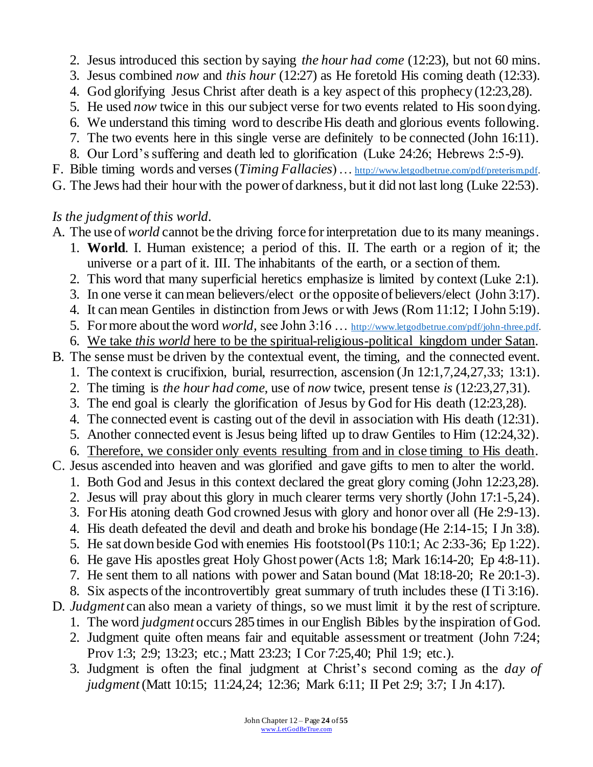- 2. Jesus introduced this section by saying *the hour had come* (12:23), but not 60 mins.
- 3. Jesus combined *now* and *this hour* (12:27) as He foretold His coming death (12:33).
- 4. God glorifying Jesus Christ after death is a key aspect of this prophecy (12:23,28).
- 5. He used *now* twice in this our subject verse for two events related to His soon dying.
- 6. We understand this timing word to describe His death and glorious events following.
- 7. The two events here in this single verse are definitely to be connected (John 16:11).
- 8. Our Lord's suffering and death led to glorification (Luke 24:26; Hebrews 2:5-9).
- F. Bible timing words and verses (*Timing Fallacies*) … [http://www.letgodbetrue.com/pdf/preterism.pdf.](http://www.letgodbetrue.com/pdf/preterism.pdf)
- G. The Jews had their hour with the power of darkness, but it did not last long (Luke 22:53).

#### *Is the judgment of this world.*

- A. The use of *world* cannot be the driving force for interpretation due to its many meanings.
	- 1. **World**. I. Human existence; a period of this. II. The earth or a region of it; the universe or a part of it. III. The inhabitants of the earth, or a section of them.
	- 2. This word that many superficial heretics emphasize is limited by context (Luke 2:1).
	- 3. In one verse it can mean believers/elect or the opposite of believers/elect (John 3:17).
	- 4. It can mean Gentiles in distinction from Jews or with Jews (Rom 11:12; I John 5:19).
	- 5. For more about the word *world,* see John 3:16 … [http://www.letgodbetrue.com/pdf/john-three.pdf.](http://www.letgodbetrue.com/pdf/john-three.pdf)
	- 6. We take *this world* here to be the spiritual-religious-political kingdom under Satan.
- B. The sense must be driven by the contextual event, the timing, and the connected event.
	- 1. The context is crucifixion, burial, resurrection, ascension (Jn 12:1,7,24,27,33; 13:1).
	- 2. The timing is *the hour had come,* use of *now* twice, present tense *is* (12:23,27,31).
	- 3. The end goal is clearly the glorification of Jesus by God for His death (12:23,28).
	- 4. The connected event is casting out of the devil in association with His death (12:31).
	- 5. Another connected event is Jesus being lifted up to draw Gentiles to Him (12:24,32).
	- 6. Therefore, we consider only events resulting from and in close timing to His death.
- C. Jesus ascended into heaven and was glorified and gave gifts to men to alter the world.
	- 1. Both God and Jesus in this context declared the great glory coming (John 12:23,28).
	- 2. Jesus will pray about this glory in much clearer terms very shortly (John 17:1-5,24).
	- 3. For His atoning death God crowned Jesus with glory and honor over all (He 2:9-13).
	- 4. His death defeated the devil and death and broke his bondage (He 2:14-15; I Jn 3:8).
	- 5. He sat down beside God with enemies His footstool (Ps 110:1; Ac 2:33-36; Ep 1:22).
	- 6. He gave His apostles great Holy Ghost power (Acts 1:8; Mark 16:14-20; Ep 4:8-11).
	- 7. He sent them to all nations with power and Satan bound (Mat 18:18-20; Re 20:1-3).
	- 8. Six aspects of the incontrovertibly great summary of truth includes these (I Ti 3:16).
- D. *Judgment* can also mean a variety of things, so we must limit it by the rest of scripture.
	- 1. The word *judgment* occurs 285 times in our English Bibles by the inspiration of God.
	- 2. Judgment quite often means fair and equitable assessment or treatment (John 7:24; Prov 1:3; 2:9; 13:23; etc.; Matt 23:23; I Cor 7:25,40; Phil 1:9; etc.).
	- 3. Judgment is often the final judgment at Christ's second coming as the *day of judgment*(Matt 10:15; 11:24,24; 12:36; Mark 6:11; II Pet 2:9; 3:7; I Jn 4:17).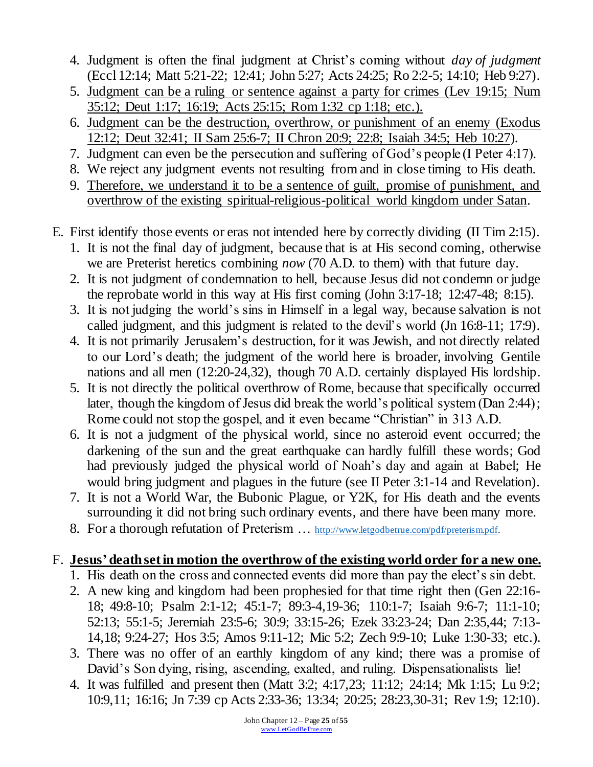- 4. Judgment is often the final judgment at Christ's coming without *day of judgment* (Eccl 12:14; Matt 5:21-22; 12:41; John 5:27; Acts 24:25; Ro 2:2-5; 14:10; Heb 9:27).
- 5. Judgment can be a ruling or sentence against a party for crimes (Lev 19:15; Num 35:12; Deut 1:17; 16:19; Acts 25:15; Rom 1:32 cp 1:18; etc.).
- 6. Judgment can be the destruction, overthrow, or punishment of an enemy (Exodus 12:12; Deut 32:41; II Sam 25:6-7; II Chron 20:9; 22:8; Isaiah 34:5; Heb 10:27).
- 7. Judgment can even be the persecution and suffering of God's people (I Peter 4:17).
- 8. We reject any judgment events not resulting from and in close timing to His death.
- 9. Therefore, we understand it to be a sentence of guilt, promise of punishment, and overthrow of the existing spiritual-religious-political world kingdom under Satan.
- E. First identify those events or eras not intended here by correctly dividing (II Tim 2:15).
	- 1. It is not the final day of judgment, because that is at His second coming, otherwise we are Preterist heretics combining *now* (70 A.D. to them) with that future day.
	- 2. It is not judgment of condemnation to hell, because Jesus did not condemn or judge the reprobate world in this way at His first coming (John 3:17-18; 12:47-48; 8:15).
	- 3. It is not judging the world's sins in Himself in a legal way, because salvation is not called judgment, and this judgment is related to the devil's world (Jn 16:8-11; 17:9).
	- 4. It is not primarily Jerusalem's destruction, for it was Jewish, and not directly related to our Lord's death; the judgment of the world here is broader, involving Gentile nations and all men (12:20-24,32), though 70 A.D. certainly displayed His lordship.
	- 5. It is not directly the political overthrow of Rome, because that specifically occurred later, though the kingdom of Jesus did break the world's political system (Dan 2:44); Rome could not stop the gospel, and it even became "Christian" in 313 A.D.
	- 6. It is not a judgment of the physical world, since no asteroid event occurred; the darkening of the sun and the great earthquake can hardly fulfill these words; God had previously judged the physical world of Noah's day and again at Babel; He would bring judgment and plagues in the future (see II Peter 3:1-14 and Revelation).
	- 7. It is not a World War, the Bubonic Plague, or Y2K, for His death and the events surrounding it did not bring such ordinary events, and there have been many more.
	- 8. For a thorough refutation of Preterism ... [http://www.letgodbetrue.com/pdf/preterism.pdf.](http://www.letgodbetrue.com/pdf/preterism.pdf)

## F. **Jesus' death set in motion the overthrow of the existing world order for a new one.**

- 1. His death on the cross and connected events did more than pay the elect's sin debt.
- 2. A new king and kingdom had been prophesied for that time right then (Gen 22:16- 18; 49:8-10; Psalm 2:1-12; 45:1-7; 89:3-4,19-36; 110:1-7; Isaiah 9:6-7; 11:1-10; 52:13; 55:1-5; Jeremiah 23:5-6; 30:9; 33:15-26; Ezek 33:23-24; Dan 2:35,44; 7:13- 14,18; 9:24-27; Hos 3:5; Amos 9:11-12; Mic 5:2; Zech 9:9-10; Luke 1:30-33; etc.).
- 3. There was no offer of an earthly kingdom of any kind; there was a promise of David's Son dying, rising, ascending, exalted, and ruling. Dispensationalists lie!
- 4. It was fulfilled and present then (Matt 3:2; 4:17,23; 11:12; 24:14; Mk 1:15; Lu 9:2; 10:9,11; 16:16; Jn 7:39 cp Acts 2:33-36; 13:34; 20:25; 28:23,30-31; Rev 1:9; 12:10).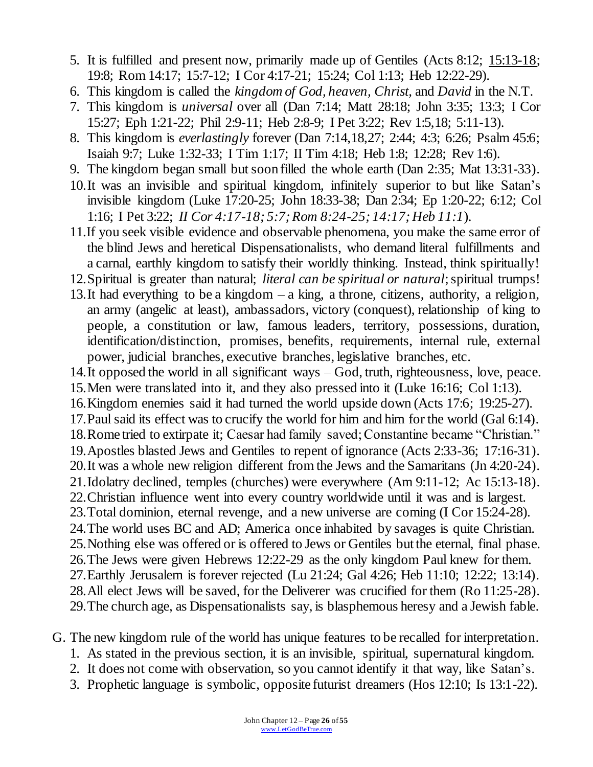- 5. It is fulfilled and present now, primarily made up of Gentiles (Acts 8:12; 15:13-18; 19:8; Rom 14:17; 15:7-12; I Cor 4:17-21; 15:24; Col 1:13; Heb 12:22-29).
- 6. This kingdom is called the *kingdom of God, heaven, Christ,* and *David* in the N.T.
- 7. This kingdom is *universal* over all (Dan 7:14; Matt 28:18; John 3:35; 13:3; I Cor 15:27; Eph 1:21-22; Phil 2:9-11; Heb 2:8-9; I Pet 3:22; Rev 1:5,18; 5:11-13).
- 8. This kingdom is *everlastingly* forever (Dan 7:14,18,27; 2:44; 4:3; 6:26; Psalm 45:6; Isaiah 9:7; Luke 1:32-33; I Tim 1:17; II Tim 4:18; Heb 1:8; 12:28; Rev 1:6).
- 9. The kingdom began small but soon filled the whole earth (Dan 2:35; Mat 13:31-33).
- 10.It was an invisible and spiritual kingdom, infinitely superior to but like Satan's invisible kingdom (Luke 17:20-25; John 18:33-38; Dan 2:34; Ep 1:20-22; 6:12; Col 1:16; I Pet 3:22; *II Cor 4:17-18; 5:7; Rom 8:24-25; 14:17; Heb 11:1*).
- 11.If you seek visible evidence and observable phenomena, you make the same error of the blind Jews and heretical Dispensationalists, who demand literal fulfillments and a carnal, earthly kingdom to satisfy their worldly thinking. Instead, think spiritually!
- 12.Spiritual is greater than natural; *literal can be spiritual or natural*;spiritual trumps!
- 13.It had everything to be a kingdom a king, a throne, citizens, authority, a religion, an army (angelic at least), ambassadors, victory (conquest), relationship of king to people, a constitution or law, famous leaders, territory, possessions, duration, identification/distinction, promises, benefits, requirements, internal rule, external power, judicial branches, executive branches, legislative branches, etc.
- 14.It opposed the world in all significant ways God, truth, righteousness, love, peace.
- 15.Men were translated into it, and they also pressed into it (Luke 16:16; Col 1:13).
- 16.Kingdom enemies said it had turned the world upside down (Acts 17:6; 19:25-27).
- 17.Paul said its effect was to crucify the world for him and him for the world (Gal 6:14).
- 18.Rome tried to extirpate it; Caesar had family saved; Constantine became "Christian."
- 19.Apostles blasted Jews and Gentiles to repent of ignorance (Acts 2:33-36; 17:16-31). 20.It was a whole new religion different from the Jews and the Samaritans (Jn 4:20-24).
- 21.Idolatry declined, temples (churches) were everywhere (Am 9:11-12; Ac 15:13-18).
- 22.Christian influence went into every country worldwide until it was and is largest.
- 23.Total dominion, eternal revenge, and a new universe are coming (I Cor 15:24-28).
- 24.The world uses BC and AD; America once inhabited by savages is quite Christian.
- 25.Nothing else was offered or is offered to Jews or Gentiles but the eternal, final phase.
- 26.The Jews were given Hebrews 12:22-29 as the only kingdom Paul knew for them.
- 27.Earthly Jerusalem is forever rejected (Lu 21:24; Gal 4:26; Heb 11:10; 12:22; 13:14).
- 28.All elect Jews will be saved, for the Deliverer was crucified for them (Ro 11:25-28). 29.The church age, as Dispensationalists say, is blasphemous heresy and a Jewish fable.
- G. The new kingdom rule of the world has unique features to be recalled for interpretation.
	- 1. As stated in the previous section, it is an invisible, spiritual, supernatural kingdom.
	- 2. It does not come with observation, so you cannot identify it that way, like Satan's.
	- 3. Prophetic language is symbolic, opposite futurist dreamers (Hos 12:10; Is 13:1-22).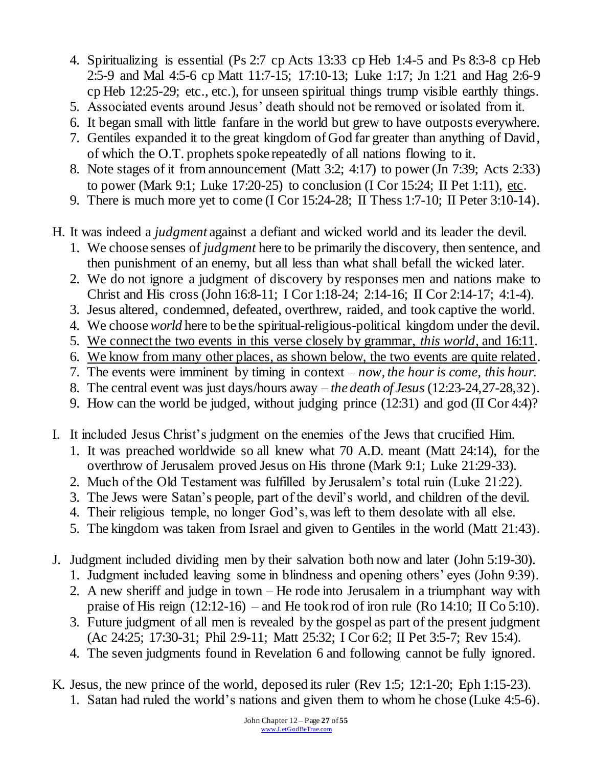- 4. Spiritualizing is essential (Ps 2:7 cp Acts 13:33 cp Heb 1:4-5 and Ps 8:3-8 cp Heb 2:5-9 and Mal 4:5-6 cp Matt 11:7-15; 17:10-13; Luke 1:17; Jn 1:21 and Hag 2:6-9 cp Heb 12:25-29; etc., etc.), for unseen spiritual things trump visible earthly things.
- 5. Associated events around Jesus' death should not be removed or isolated from it.
- 6. It began small with little fanfare in the world but grew to have outposts everywhere.
- 7. Gentiles expanded it to the great kingdom of God far greater than anything of David, of which the O.T. prophets spoke repeatedly of all nations flowing to it.
- 8. Note stages of it from announcement (Matt 3:2; 4:17) to power (Jn 7:39; Acts 2:33) to power (Mark 9:1; Luke 17:20-25) to conclusion (I Cor 15:24; II Pet 1:11), etc.
- 9. There is much more yet to come (I Cor 15:24-28; II Thess 1:7-10; II Peter 3:10-14).
- H. It was indeed a *judgment* against a defiant and wicked world and its leader the devil.
	- 1. We choose senses of *judgment* here to be primarily the discovery, then sentence, and then punishment of an enemy, but all less than what shall befall the wicked later.
	- 2. We do not ignore a judgment of discovery by responses men and nations make to Christ and His cross (John 16:8-11; I Cor 1:18-24; 2:14-16; II Cor 2:14-17; 4:1-4).
	- 3. Jesus altered, condemned, defeated, overthrew, raided, and took captive the world.
	- 4. We choose *world* here to be the spiritual-religious-political kingdom under the devil.
	- 5. We connect the two events in this verse closely by grammar, *this world,* and 16:11.
	- 6. We know from many other places, as shown below, the two events are quite related.
	- 7. The events were imminent by timing in context *now, the hour is come, this hour.*
	- 8. The central event was just days/hours away *the death of Jesus* (12:23-24,27-28,32).
	- 9. How can the world be judged, without judging prince (12:31) and god (II Cor 4:4)?
- I. It included Jesus Christ's judgment on the enemies of the Jews that crucified Him.
	- 1. It was preached worldwide so all knew what 70 A.D. meant (Matt 24:14), for the overthrow of Jerusalem proved Jesus on His throne (Mark 9:1; Luke 21:29-33).
	- 2. Much of the Old Testament was fulfilled by Jerusalem's total ruin (Luke 21:22).
	- 3. The Jews were Satan's people, part of the devil's world, and children of the devil.
	- 4. Their religious temple, no longer God's, was left to them desolate with all else.
	- 5. The kingdom was taken from Israel and given to Gentiles in the world (Matt 21:43).
- J. Judgment included dividing men by their salvation both now and later (John 5:19-30).
	- 1. Judgment included leaving some in blindness and opening others' eyes (John 9:39).
	- 2. A new sheriff and judge in town He rode into Jerusalem in a triumphant way with praise of His reign (12:12-16) – and He took rod of iron rule (Ro 14:10; II Co 5:10).
	- 3. Future judgment of all men is revealed by the gospel as part of the present judgment (Ac 24:25; 17:30-31; Phil 2:9-11; Matt 25:32; I Cor 6:2; II Pet 3:5-7; Rev 15:4).
	- 4. The seven judgments found in Revelation 6 and following cannot be fully ignored.
- K. Jesus, the new prince of the world, deposed its ruler (Rev 1:5; 12:1-20; Eph 1:15-23).
	- 1. Satan had ruled the world's nations and given them to whom he chose (Luke 4:5-6).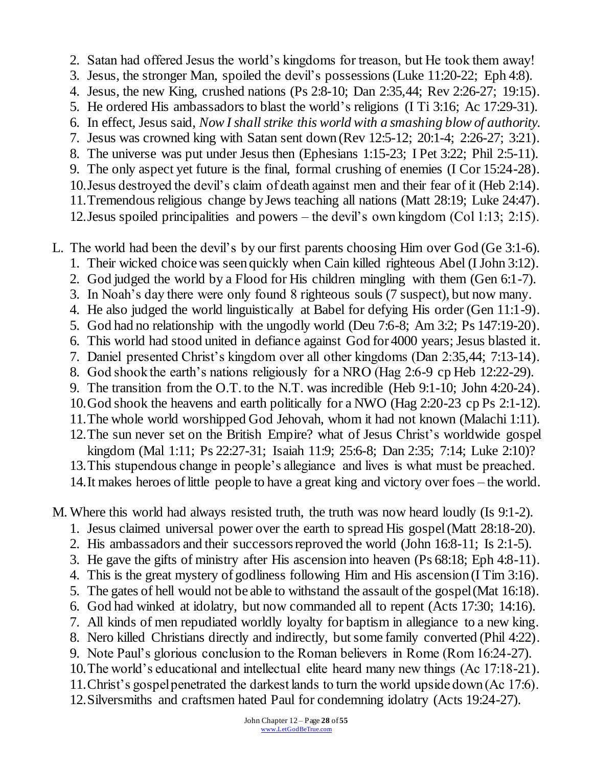2. Satan had offered Jesus the world's kingdoms for treason, but He took them away!

- 3. Jesus, the stronger Man, spoiled the devil's possessions (Luke 11:20-22; Eph 4:8).
- 4. Jesus, the new King, crushed nations (Ps 2:8-10; Dan 2:35,44; Rev 2:26-27; 19:15).
- 5. He ordered His ambassadors to blast the world's religions (I Ti 3:16; Ac 17:29-31).
- 6. In effect, Jesus said, *Now I shall strike this world with a smashing blow of authority.*
- 7. Jesus was crowned king with Satan sent down (Rev 12:5-12; 20:1-4; 2:26-27; 3:21).
- 8. The universe was put under Jesus then (Ephesians 1:15-23; I Pet 3:22; Phil 2:5-11).
- 9. The only aspect yet future is the final, formal crushing of enemies (I Cor 15:24-28).
- 10.Jesus destroyed the devil's claim of death against men and their fear of it (Heb 2:14).
- 11.Tremendous religious change by Jews teaching all nations (Matt 28:19; Luke 24:47). 12.Jesus spoiled principalities and powers – the devil's own kingdom (Col 1:13; 2:15).
- L. The world had been the devil's by our first parents choosing Him over God (Ge 3:1-6).
	- 1. Their wicked choice was seen quickly when Cain killed righteous Abel (I John 3:12).
	- 2. God judged the world by a Flood for His children mingling with them (Gen 6:1-7).
	- 3. In Noah's day there were only found 8 righteous souls (7 suspect), but now many.
	- 4. He also judged the world linguistically at Babel for defying His order (Gen 11:1-9).
	- 5. God had no relationship with the ungodly world (Deu 7:6-8; Am 3:2; Ps 147:19-20).
	- 6. This world had stood united in defiance against God for 4000 years; Jesus blasted it.
	- 7. Daniel presented Christ's kingdom over all other kingdoms (Dan 2:35,44; 7:13-14).
	- 8. God shook the earth's nations religiously for a NRO (Hag 2:6-9 cp Heb 12:22-29).
	- 9. The transition from the O.T. to the N.T. was incredible (Heb 9:1-10; John 4:20-24).
	- 10.God shook the heavens and earth politically for a NWO (Hag 2:20-23 cp Ps 2:1-12).
	- 11.The whole world worshipped God Jehovah, whom it had not known (Malachi 1:11).
	- 12.The sun never set on the British Empire? what of Jesus Christ's worldwide gospel kingdom (Mal 1:11; Ps 22:27-31; Isaiah 11:9; 25:6-8; Dan 2:35; 7:14; Luke 2:10)?
	- 13.This stupendous change in people's allegiance and lives is what must be preached.
	- 14.It makes heroes of little people to have a great king and victory over foes the world.
- M. Where this world had always resisted truth, the truth was now heard loudly (Is 9:1-2).
	- 1. Jesus claimed universal power over the earth to spread His gospel (Matt 28:18-20).
	- 2. His ambassadors and their successors reproved the world (John 16:8-11; Is 2:1-5).
	- 3. He gave the gifts of ministry after His ascension into heaven (Ps 68:18; Eph 4:8-11).
	- 4. This is the great mystery of godliness following Him and His ascension (I Tim 3:16).
	- 5. The gates of hell would not be able to withstand the assault of the gospel (Mat 16:18).
	- 6. God had winked at idolatry, but now commanded all to repent (Acts 17:30; 14:16).
	- 7. All kinds of men repudiated worldly loyalty for baptism in allegiance to a new king.
	- 8. Nero killed Christians directly and indirectly, but some family converted (Phil 4:22).
	- 9. Note Paul's glorious conclusion to the Roman believers in Rome (Rom 16:24-27).
	- 10.The world's educational and intellectual elite heard many new things (Ac 17:18-21).
	- 11.Christ's gospel penetrated the darkest lands to turn the world upside down (Ac 17:6).
	- 12.Silversmiths and craftsmen hated Paul for condemning idolatry (Acts 19:24-27).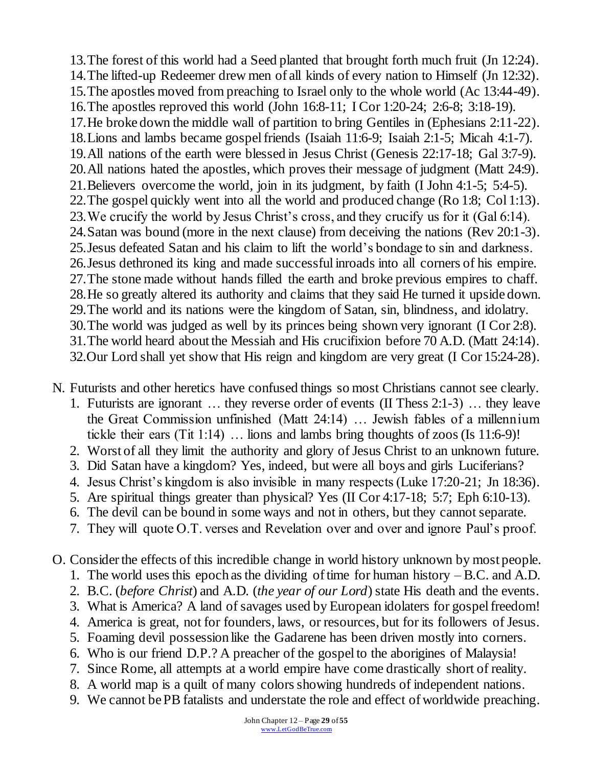13.The forest of this world had a Seed planted that brought forth much fruit (Jn 12:24). 14.The lifted-up Redeemer drew men of all kinds of every nation to Himself (Jn 12:32). 15.The apostles moved from preaching to Israel only to the whole world (Ac 13:44-49). 16.The apostles reproved this world (John 16:8-11; I Cor 1:20-24; 2:6-8; 3:18-19). 17.He broke down the middle wall of partition to bring Gentiles in (Ephesians 2:11-22). 18.Lions and lambs became gospel friends (Isaiah 11:6-9; Isaiah 2:1-5; Micah 4:1-7). 19.All nations of the earth were blessed in Jesus Christ (Genesis 22:17-18; Gal 3:7-9). 20.All nations hated the apostles, which proves their message of judgment (Matt 24:9). 21.Believers overcome the world, join in its judgment, by faith (I John 4:1-5; 5:4-5). 22.The gospel quickly went into all the world and produced change (Ro 1:8; Col 1:13). 23.We crucify the world by Jesus Christ's cross, and they crucify us for it (Gal 6:14). 24.Satan was bound (more in the next clause) from deceiving the nations (Rev 20:1-3). 25.Jesus defeated Satan and his claim to lift the world's bondage to sin and darkness. 26.Jesus dethroned its king and made successful inroads into all corners of his empire. 27.The stone made without hands filled the earth and broke previous empires to chaff. 28.He so greatly altered its authority and claims that they said He turned it upside down. 29.The world and its nations were the kingdom of Satan, sin, blindness, and idolatry. 30.The world was judged as well by its princes being shown very ignorant (I Cor 2:8). 31.The world heard about the Messiah and His crucifixion before 70 A.D. (Matt 24:14). 32.Our Lord shall yet show that His reign and kingdom are very great (I Cor 15:24-28).

N. Futurists and other heretics have confused things so most Christians cannot see clearly.

- 1. Futurists are ignorant … they reverse order of events (II Thess 2:1-3) … they leave the Great Commission unfinished (Matt 24:14) … Jewish fables of a millennium tickle their ears (Tit 1:14) … lions and lambs bring thoughts of zoos (Is 11:6-9)!
- 2. Worst of all they limit the authority and glory of Jesus Christ to an unknown future.
- 3. Did Satan have a kingdom? Yes, indeed, but were all boys and girls Luciferians?
- 4. Jesus Christ's kingdom is also invisible in many respects (Luke 17:20-21; Jn 18:36).
- 5. Are spiritual things greater than physical? Yes (II Cor 4:17-18; 5:7; Eph 6:10-13).
- 6. The devil can be bound in some ways and not in others, but they cannot separate.
- 7. They will quote O.T. verses and Revelation over and over and ignore Paul's proof.
- O. Consider the effects of this incredible change in world history unknown by most people.
	- 1. The world uses this epoch as the dividing of time for human history B.C. and A.D.
	- 2. B.C. (*before Christ*) and A.D. (*the year of our Lord*) state His death and the events.
	- 3. What is America? A land of savages used by European idolaters for gospel freedom!
	- 4. America is great, not for founders, laws, or resources, but for its followers of Jesus.
	- 5. Foaming devil possession like the Gadarene has been driven mostly into corners.
	- 6. Who is our friend D.P.? A preacher of the gospel to the aborigines of Malaysia!
	- 7. Since Rome, all attempts at a world empire have come drastically short of reality.
	- 8. A world map is a quilt of many colors showing hundreds of independent nations.
	- 9. We cannot be PB fatalists and understate the role and effect of worldwide preaching.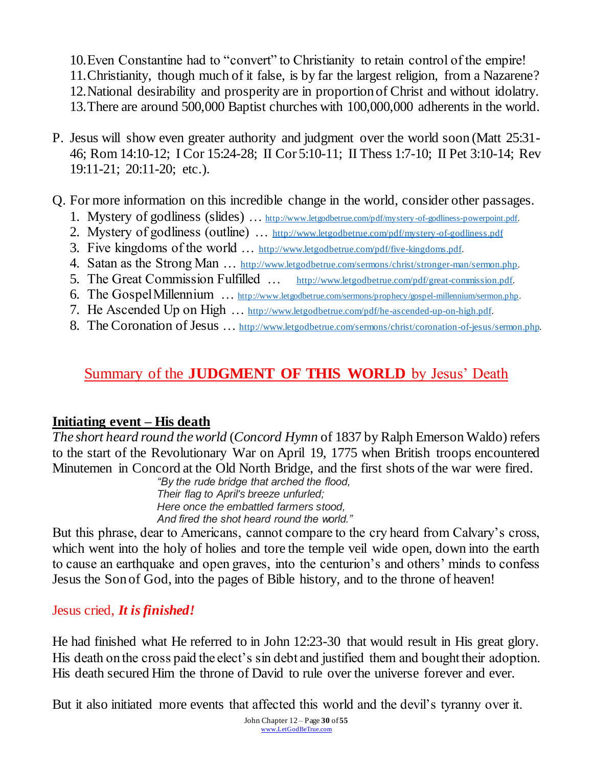10.Even Constantine had to "convert" to Christianity to retain control of the empire! 11.Christianity, though much of it false, is by far the largest religion, from a Nazarene? 12.National desirability and prosperity are in proportion of Christ and without idolatry. 13.There are around 500,000 Baptist churches with 100,000,000 adherents in the world.

P. Jesus will show even greater authority and judgment over the world soon (Matt 25:31- 46; Rom 14:10-12; I Cor 15:24-28; II Cor 5:10-11; II Thess 1:7-10; II Pet 3:10-14; Rev 19:11-21; 20:11-20; etc.).

### Q. For more information on this incredible change in the world, consider other passages.

- 1. Mystery of godliness (slides) ... <http://www.letgodbetrue.com/pdf/mystery-of-godliness-powerpoint.pdf>.
- 2. Mystery of godliness (outline) … <http://www.letgodbetrue.com/pdf/mystery-of-godliness.pdf>
- 3. Five kingdoms of the world … [http://www.letgodbetrue.com/pdf/five-kingdoms.pdf.](http://www.letgodbetrue.com/pdf/five-kingdoms.pdf)
- 4. Satan as the Strong Man … [http://www.letgodbetrue.com/sermons/christ/stronger-man/sermon.php.](http://www.letgodbetrue.com/sermons/christ/stronger-man/sermon.php)
- 5. The Great Commission Fulfilled … [http://www.letgodbetrue.com/pdf/great-commission.pdf.](http://www.letgodbetrue.com/pdf/great-commission.pdf)
- 6. The Gospel Millennium … [http://www.letgodbetrue.com/sermons/prophecy/gospel-millennium/sermon.php.](http://www.letgodbetrue.com/sermons/prophecy/gospel-millennium/sermon.php)
- 7. He Ascended Up on High … [http://www.letgodbetrue.com/pdf/he-ascended-up-on-high.pdf.](http://www.letgodbetrue.com/pdf/he-ascended-up-on-high.pdf)
- 8. The Coronation of Jesus … [http://www.letgodbetrue.com/sermons/christ/coronation-of-jesus/sermon.php.](http://www.letgodbetrue.com/sermons/christ/coronation-of-jesus/sermon.php)

# Summary of the **JUDGMENT OF THIS WORLD** by Jesus' Death

## **Initiating event – His death**

*The short heard round the world* (*Concord Hymn* of 1837 by Ralph Emerson Waldo) refers to the start of the Revolutionary War on April 19, 1775 when British troops encountered Minutemen in Concord at the Old North Bridge, and the first shots of the war were fired.

*"By the rude bridge that arched the flood, Their flag to April's breeze unfurled; Here once the embattled farmers stood, And fired the shot heard round the world."*

But this phrase, dear to Americans, cannot compare to the cry heard from Calvary's cross, which went into the holy of holies and tore the temple veil wide open, down into the earth to cause an earthquake and open graves, into the centurion's and others' minds to confess Jesus the Son of God, into the pages of Bible history, and to the throne of heaven!

## Jesus cried, *It is finished!*

He had finished what He referred to in John 12:23-30 that would result in His great glory. His death on the cross paid the elect's sin debt and justified them and bought their adoption. His death secured Him the throne of David to rule over the universe forever and ever.

But it also initiated more events that affected this world and the devil's tyranny over it.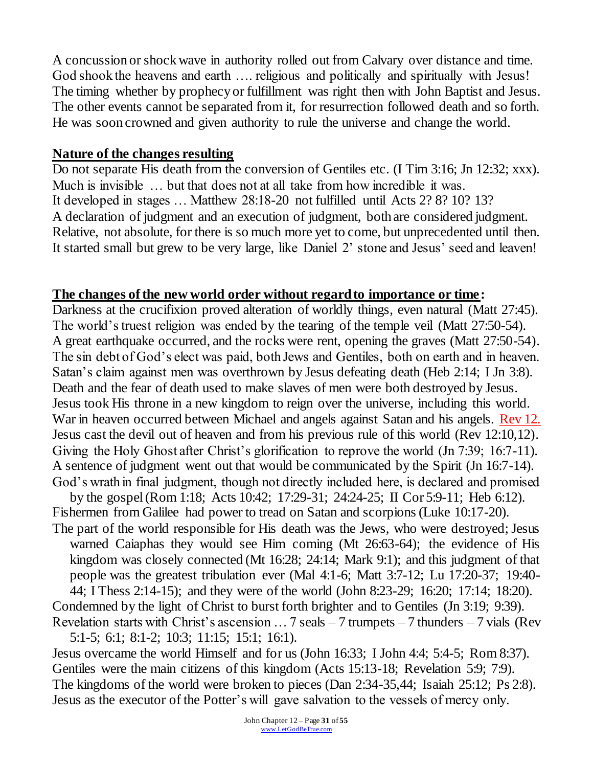A concussion or shock wave in authority rolled out from Calvary over distance and time. God shook the heavens and earth …. religious and politically and spiritually with Jesus! The timing whether by prophecy or fulfillment was right then with John Baptist and Jesus. The other events cannot be separated from it, for resurrection followed death and so forth. He was soon crowned and given authority to rule the universe and change the world.

#### **Nature of the changes resulting**

Do not separate His death from the conversion of Gentiles etc. (I Tim 3:16; Jn 12:32; xxx). Much is invisible … but that does not at all take from how incredible it was. It developed in stages … Matthew 28:18-20 not fulfilled until Acts 2? 8? 10? 13? A declaration of judgment and an execution of judgment, both are considered judgment. Relative, not absolute, for there is so much more yet to come, but unprecedented until then. It started small but grew to be very large, like Daniel 2' stone and Jesus' seed and leaven!

### **The changes of the new world order without regard to importance or time:**

Darkness at the crucifixion proved alteration of worldly things, even natural (Matt 27:45). The world's truest religion was ended by the tearing of the temple veil (Matt 27:50-54). A great earthquake occurred, and the rocks were rent, opening the graves (Matt 27:50-54). The sin debt of God's elect was paid, both Jews and Gentiles, both on earth and in heaven. Satan's claim against men was overthrown by Jesus defeating death (Heb 2:14; I Jn 3:8). Death and the fear of death used to make slaves of men were both destroyed by Jesus. Jesus took His throne in a new kingdom to reign over the universe, including this world. War in heaven occurred between Michael and angels against Satan and his angels. Rev 12. Jesus cast the devil out of heaven and from his previous rule of this world (Rev 12:10,12). Giving the Holy Ghost after Christ's glorification to reprove the world (Jn 7:39; 16:7-11). A sentence of judgment went out that would be communicated by the Spirit (Jn 16:7-14). God's wrath in final judgment, though not directly included here, is declared and promised

by the gospel (Rom 1:18; Acts 10:42; 17:29-31; 24:24-25; II Cor 5:9-11; Heb 6:12). Fishermen from Galilee had power to tread on Satan and scorpions (Luke 10:17-20). The part of the world responsible for His death was the Jews, who were destroyed; Jesus

warned Caiaphas they would see Him coming (Mt 26:63-64); the evidence of His kingdom was closely connected (Mt 16:28; 24:14; Mark 9:1); and this judgment of that people was the greatest tribulation ever (Mal 4:1-6; Matt 3:7-12; Lu 17:20-37; 19:40-

44; I Thess 2:14-15); and they were of the world (John 8:23-29; 16:20; 17:14; 18:20). Condemned by the light of Christ to burst forth brighter and to Gentiles (Jn 3:19; 9:39). Revelation starts with Christ's ascension  $\dots$  7 seals – 7 trumpets – 7 thunders – 7 vials (Rev

5:1-5; 6:1; 8:1-2; 10:3; 11:15; 15:1; 16:1). Jesus overcame the world Himself and for us (John 16:33; I John 4:4; 5:4-5; Rom 8:37). Gentiles were the main citizens of this kingdom (Acts 15:13-18; Revelation 5:9; 7:9). The kingdoms of the world were broken to pieces (Dan 2:34-35,44; Isaiah 25:12; Ps 2:8). Jesus as the executor of the Potter's will gave salvation to the vessels of mercy only.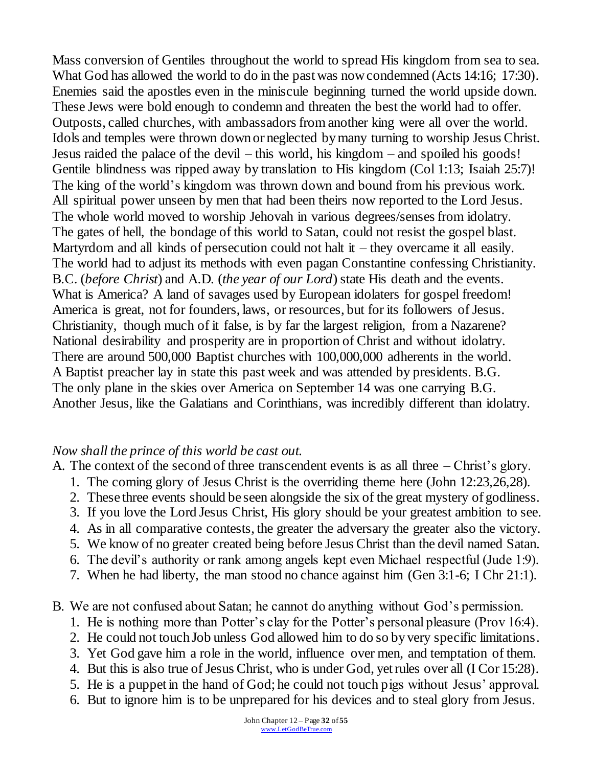Mass conversion of Gentiles throughout the world to spread His kingdom from sea to sea. What God has allowed the world to do in the past was now condemned (Acts 14:16; 17:30). Enemies said the apostles even in the miniscule beginning turned the world upside down. These Jews were bold enough to condemn and threaten the best the world had to offer. Outposts, called churches, with ambassadors from another king were all over the world. Idols and temples were thrown down or neglected by many turning to worship Jesus Christ. Jesus raided the palace of the devil – this world, his kingdom – and spoiled his goods! Gentile blindness was ripped away by translation to His kingdom (Col 1:13; Isaiah 25:7)! The king of the world's kingdom was thrown down and bound from his previous work. All spiritual power unseen by men that had been theirs now reported to the Lord Jesus. The whole world moved to worship Jehovah in various degrees/senses from idolatry. The gates of hell, the bondage of this world to Satan, could not resist the gospel blast. Martyrdom and all kinds of persecution could not halt it – they overcame it all easily. The world had to adjust its methods with even pagan Constantine confessing Christianity. B.C. (*before Christ*) and A.D. (*the year of our Lord*) state His death and the events. What is America? A land of savages used by European idolaters for gospel freedom! America is great, not for founders, laws, or resources, but for its followers of Jesus. Christianity, though much of it false, is by far the largest religion, from a Nazarene? National desirability and prosperity are in proportion of Christ and without idolatry. There are around 500,000 Baptist churches with 100,000,000 adherents in the world. A Baptist preacher lay in state this past week and was attended by presidents. B.G. The only plane in the skies over America on September 14 was one carrying B.G. Another Jesus, like the Galatians and Corinthians, was incredibly different than idolatry.

#### *Now shall the prince of this world be cast out.*

A. The context of the second of three transcendent events is as all three – Christ's glory.

- 1. The coming glory of Jesus Christ is the overriding theme here (John 12:23,26,28).
- 2. These three events should be seen alongside the six of the great mystery of godliness.
- 3. If you love the Lord Jesus Christ, His glory should be your greatest ambition to see.
- 4. As in all comparative contests, the greater the adversary the greater also the victory.
- 5. We know of no greater created being before Jesus Christ than the devil named Satan.
- 6. The devil's authority or rank among angels kept even Michael respectful (Jude 1:9).
- 7. When he had liberty, the man stood no chance against him (Gen 3:1-6; I Chr 21:1).
- B. We are not confused about Satan; he cannot do anything without God's permission.
	- 1. He is nothing more than Potter's clay for the Potter's personal pleasure (Prov 16:4).
	- 2. He could not touch Job unless God allowed him to do so by very specific limitations.
	- 3. Yet God gave him a role in the world, influence over men, and temptation of them.
	- 4. But this is also true of Jesus Christ, who is under God, yet rules over all (I Cor 15:28).
	- 5. He is a puppet in the hand of God; he could not touch pigs without Jesus' approval.
	- 6. But to ignore him is to be unprepared for his devices and to steal glory from Jesus.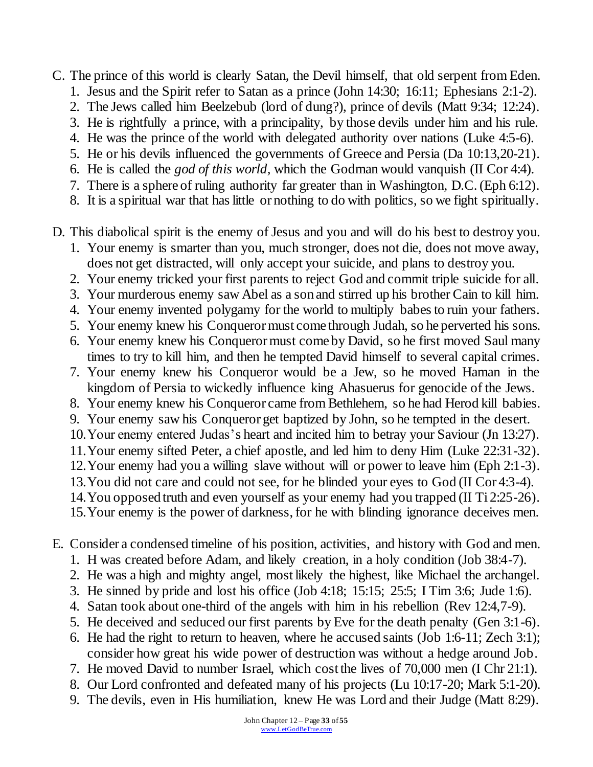C. The prince of this world is clearly Satan, the Devil himself, that old serpent from Eden.

- 1. Jesus and the Spirit refer to Satan as a prince (John 14:30; 16:11; Ephesians 2:1-2).
- 2. The Jews called him Beelzebub (lord of dung?), prince of devils (Matt 9:34; 12:24).
- 3. He is rightfully a prince, with a principality, by those devils under him and his rule.
- 4. He was the prince of the world with delegated authority over nations (Luke 4:5-6).
- 5. He or his devils influenced the governments of Greece and Persia (Da 10:13,20-21).
- 6. He is called the *god of this world,* which the Godman would vanquish (II Cor 4:4).
- 7. There is a sphere of ruling authority far greater than in Washington, D.C. (Eph 6:12).
- 8. It is a spiritual war that has little or nothing to do with politics, so we fight spiritually.
- D. This diabolical spirit is the enemy of Jesus and you and will do his best to destroy you.
	- 1. Your enemy is smarter than you, much stronger, does not die, does not move away, does not get distracted, will only accept your suicide, and plans to destroy you.
	- 2. Your enemy tricked your first parents to reject God and commit triple suicide for all.
	- 3. Your murderous enemy saw Abel as a son and stirred up his brother Cain to kill him.
	- 4. Your enemy invented polygamy for the world to multiply babes to ruin your fathers.
	- 5. Your enemy knew his Conqueror must come through Judah, so he perverted his sons.
	- 6. Your enemy knew his Conqueror must come by David, so he first moved Saul many times to try to kill him, and then he tempted David himself to several capital crimes.
	- 7. Your enemy knew his Conqueror would be a Jew, so he moved Haman in the kingdom of Persia to wickedly influence king Ahasuerus for genocide of the Jews.
	- 8. Your enemy knew his Conqueror came from Bethlehem, so he had Herod kill babies.
	- 9. Your enemy saw his Conqueror get baptized by John, so he tempted in the desert.
	- 10.Your enemy entered Judas's heart and incited him to betray your Saviour (Jn 13:27).
	- 11.Your enemy sifted Peter, a chief apostle, and led him to deny Him (Luke 22:31-32).
	- 12.Your enemy had you a willing slave without will or power to leave him (Eph 2:1-3).
	- 13.You did not care and could not see, for he blinded your eyes to God (II Cor 4:3-4).
	- 14.You opposed truth and even yourself as your enemy had you trapped (II Ti 2:25-26).
	- 15.Your enemy is the power of darkness, for he with blinding ignorance deceives men.
- E. Consider a condensed timeline of his position, activities, and history with God and men.
	- 1. H was created before Adam, and likely creation, in a holy condition (Job 38:4-7).
	- 2. He was a high and mighty angel, most likely the highest, like Michael the archangel.
	- 3. He sinned by pride and lost his office (Job 4:18; 15:15; 25:5; I Tim 3:6; Jude 1:6).
	- 4. Satan took about one-third of the angels with him in his rebellion (Rev 12:4,7-9).
	- 5. He deceived and seduced our first parents by Eve for the death penalty (Gen 3:1-6).
	- 6. He had the right to return to heaven, where he accused saints (Job 1:6-11; Zech 3:1); consider how great his wide power of destruction was without a hedge around Job.
	- 7. He moved David to number Israel, which cost the lives of 70,000 men (I Chr 21:1).
	- 8. Our Lord confronted and defeated many of his projects (Lu 10:17-20; Mark 5:1-20).
	- 9. The devils, even in His humiliation, knew He was Lord and their Judge (Matt 8:29).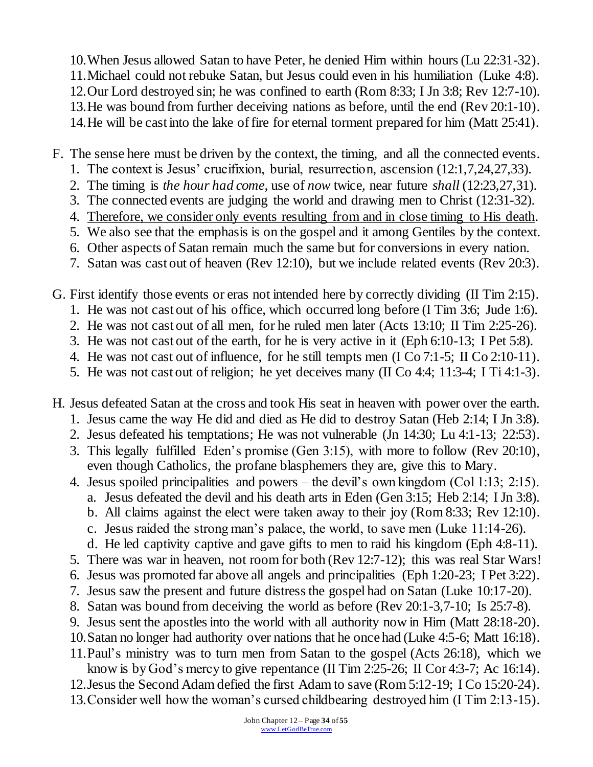10.When Jesus allowed Satan to have Peter, he denied Him within hours (Lu 22:31-32). 11.Michael could not rebuke Satan, but Jesus could even in his humiliation (Luke 4:8). 12.Our Lord destroyed sin; he was confined to earth (Rom 8:33; I Jn 3:8; Rev 12:7-10). 13.He was bound from further deceiving nations as before, until the end (Rev 20:1-10). 14.He will be cast into the lake of fire for eternal torment prepared for him (Matt 25:41).

F. The sense here must be driven by the context, the timing, and all the connected events.

- 1. The context is Jesus' crucifixion, burial, resurrection, ascension (12:1,7,24,27,33).
- 2. The timing is *the hour had come,* use of *now* twice, near future *shall* (12:23,27,31).
- 3. The connected events are judging the world and drawing men to Christ (12:31-32).
- 4. Therefore, we consider only events resulting from and in close timing to His death.
- 5. We also see that the emphasis is on the gospel and it among Gentiles by the context.
- 6. Other aspects of Satan remain much the same but for conversions in every nation.
- 7. Satan was cast out of heaven (Rev 12:10), but we include related events (Rev 20:3).
- G. First identify those events or eras not intended here by correctly dividing (II Tim 2:15).
	- 1. He was not cast out of his office, which occurred long before (I Tim 3:6; Jude 1:6).
	- 2. He was not cast out of all men, for he ruled men later (Acts 13:10; II Tim 2:25-26).
	- 3. He was not cast out of the earth, for he is very active in it (Eph 6:10-13; I Pet 5:8).
	- 4. He was not cast out of influence, for he still tempts men (I Co 7:1-5; II Co 2:10-11).
	- 5. He was not cast out of religion; he yet deceives many (II Co 4:4; 11:3-4; I Ti 4:1-3).
- H. Jesus defeated Satan at the cross and took His seat in heaven with power over the earth.
	- 1. Jesus came the way He did and died as He did to destroy Satan (Heb 2:14; I Jn 3:8).
	- 2. Jesus defeated his temptations; He was not vulnerable (Jn 14:30; Lu 4:1-13; 22:53).
	- 3. This legally fulfilled Eden's promise (Gen 3:15), with more to follow (Rev 20:10), even though Catholics, the profane blasphemers they are, give this to Mary.
	- 4. Jesus spoiled principalities and powers the devil's own kingdom (Col 1:13; 2:15).
		- a. Jesus defeated the devil and his death arts in Eden (Gen 3:15; Heb 2:14; I Jn 3:8). b. All claims against the elect were taken away to their joy (Rom 8:33; Rev 12:10).
		- c. Jesus raided the strong man's palace, the world, to save men (Luke 11:14-26).
		- d. He led captivity captive and gave gifts to men to raid his kingdom (Eph 4:8-11).
	- 5. There was war in heaven, not room for both (Rev 12:7-12); this was real Star Wars!
	- 6. Jesus was promoted far above all angels and principalities (Eph 1:20-23; I Pet 3:22).
	- 7. Jesus saw the present and future distress the gospel had on Satan (Luke 10:17-20).
	- 8. Satan was bound from deceiving the world as before (Rev 20:1-3,7-10; Is 25:7-8).
	- 9. Jesus sent the apostles into the world with all authority now in Him (Matt 28:18-20).
	- 10.Satan no longer had authority over nations that he once had (Luke 4:5-6; Matt 16:18).
	- 11.Paul's ministry was to turn men from Satan to the gospel (Acts 26:18), which we know is by God's mercy to give repentance (II Tim 2:25-26; II Cor 4:3-7; Ac 16:14).
	- 12.Jesus the Second Adam defied the first Adam to save (Rom 5:12-19; I Co 15:20-24).
	- 13.Consider well how the woman's cursed childbearing destroyed him (I Tim 2:13-15).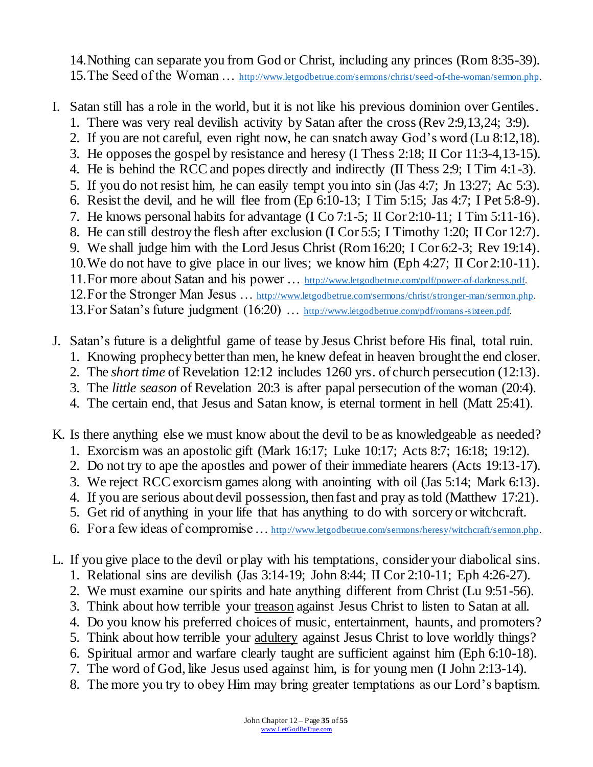14.Nothing can separate you from God or Christ, including any princes (Rom 8:35-39). 15.The Seed of the Woman … [http://www.letgodbetrue.com/sermons/christ/seed-of-the-woman/sermon.php.](http://www.letgodbetrue.com/sermons/christ/seed-of-the-woman/sermon.php)

I. Satan still has a role in the world, but it is not like his previous dominion over Gentiles.

- 1. There was very real devilish activity by Satan after the cross (Rev 2:9,13,24; 3:9).
- 2. If you are not careful, even right now, he can snatch away God's word (Lu 8:12,18).
- 3. He opposes the gospel by resistance and heresy (I Thess 2:18; II Cor 11:3-4,13-15).
- 4. He is behind the RCC and popes directly and indirectly (II Thess 2:9; I Tim 4:1-3).
- 5. If you do not resist him, he can easily tempt you into sin (Jas 4:7; Jn 13:27; Ac 5:3).
- 6. Resist the devil, and he will flee from (Ep 6:10-13; I Tim 5:15; Jas 4:7; I Pet 5:8-9).
- 7. He knows personal habits for advantage (I Co 7:1-5; II Cor 2:10-11; I Tim 5:11-16).
- 8. He can still destroy the flesh after exclusion (I Cor 5:5; I Timothy 1:20; II Cor 12:7).
- 9. We shall judge him with the Lord Jesus Christ (Rom 16:20; I Cor 6:2-3; Rev 19:14). 10.We do not have to give place in our lives; we know him (Eph 4:27; II Cor 2:10-11).
- 
- 11.For more about Satan and his power … [http://www.letgodbetrue.com/pdf/power-of-darkness.pdf.](http://www.letgodbetrue.com/pdf/power-of-darkness.pdf)
- 12.For the Stronger Man Jesus … [http://www.letgodbetrue.com/sermons/christ/stronger-man/sermon.php.](http://www.letgodbetrue.com/sermons/christ/stronger-man/sermon.php)
- 13.For Satan's future judgment (16:20) … [http://www.letgodbetrue.com/pdf/romans-sixteen.pdf.](http://www.letgodbetrue.com/pdf/romans-sixteen.pdf)
- J. Satan's future is a delightful game of tease by Jesus Christ before His final, total ruin.
	- 1. Knowing prophecy better than men, he knew defeat in heaven brought the end closer.
	- 2. The *short time* of Revelation 12:12 includes 1260 yrs. of church persecution (12:13).
	- 3. The *little season* of Revelation 20:3 is after papal persecution of the woman (20:4).
	- 4. The certain end, that Jesus and Satan know, is eternal torment in hell (Matt 25:41).
- K. Is there anything else we must know about the devil to be as knowledgeable as needed?
	- 1. Exorcism was an apostolic gift (Mark 16:17; Luke 10:17; Acts 8:7; 16:18; 19:12).
	- 2. Do not try to ape the apostles and power of their immediate hearers (Acts 19:13-17).
	- 3. We reject RCC exorcism games along with anointing with oil (Jas 5:14; Mark 6:13).
	- 4. If you are serious about devil possession, then fast and pray as told (Matthew 17:21).
	- 5. Get rid of anything in your life that has anything to do with sorcery or witchcraft.
	- 6. For a few ideas of compromise … [http://www.letgodbetrue.com/sermons/heresy/witchcraft/sermon.php.](http://www.letgodbetrue.com/sermons/heresy/witchcraft/sermon.php)
- L. If you give place to the devil or play with his temptations, consider your diabolical sins.
	- 1. Relational sins are devilish (Jas 3:14-19; John 8:44; II Cor 2:10-11; Eph 4:26-27).
	- 2. We must examine our spirits and hate anything different from Christ (Lu 9:51-56).
	- 3. Think about how terrible your treason against Jesus Christ to listen to Satan at all.
	- 4. Do you know his preferred choices of music, entertainment, haunts, and promoters?
	- 5. Think about how terrible your adultery against Jesus Christ to love worldly things?
	- 6. Spiritual armor and warfare clearly taught are sufficient against him (Eph 6:10-18).
	- 7. The word of God, like Jesus used against him, is for young men (I John 2:13-14).
	- 8. The more you try to obey Him may bring greater temptations as our Lord's baptism.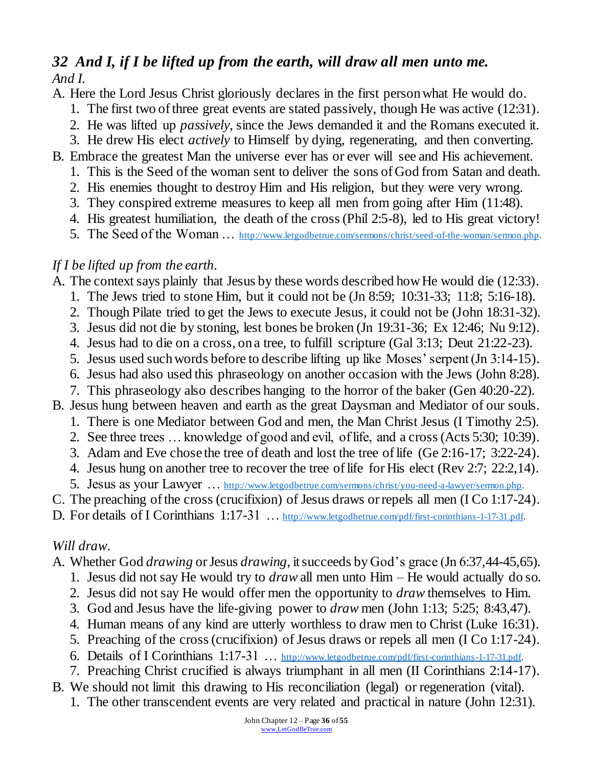## *32 And I, if I be lifted up from the earth, will draw all men unto me. And I.*

A. Here the Lord Jesus Christ gloriously declares in the first person what He would do.

- 1. The first two of three great events are stated passively, though He was active (12:31).
- 2. He was lifted up *passively*, since the Jews demanded it and the Romans executed it.
- 3. He drew His elect *actively* to Himself by dying, regenerating, and then converting.
- B. Embrace the greatest Man the universe ever has or ever will see and His achievement.
	- 1. This is the Seed of the woman sent to deliver the sons of God from Satan and death.
	- 2. His enemies thought to destroy Him and His religion, but they were very wrong.
	- 3. They conspired extreme measures to keep all men from going after Him (11:48).
	- 4. His greatest humiliation, the death of the cross (Phil 2:5-8), led to His great victory!
	- 5. The Seed of the Woman … [http://www.letgodbetrue.com/sermons/christ/seed-of-the-woman/sermon.php.](http://www.letgodbetrue.com/sermons/christ/seed-of-the-woman/sermon.php)

### *If I be lifted up from the earth.*

- A. The context says plainly that Jesus by these words described how He would die (12:33).
	- 1. The Jews tried to stone Him, but it could not be (Jn 8:59; 10:31-33; 11:8; 5:16-18).
	- 2. Though Pilate tried to get the Jews to execute Jesus, it could not be (John 18:31-32).
	- 3. Jesus did not die by stoning, lest bones be broken (Jn 19:31-36; Ex 12:46; Nu 9:12).
	- 4. Jesus had to die on a cross, on a tree, to fulfill scripture (Gal 3:13; Deut 21:22-23).
	- 5. Jesus used such words before to describe lifting up like Moses' serpent (Jn 3:14-15).
	- 6. Jesus had also used this phraseology on another occasion with the Jews (John 8:28).
	- 7. This phraseology also describes hanging to the horror of the baker (Gen 40:20-22).
- B. Jesus hung between heaven and earth as the great Daysman and Mediator of our souls.
	- 1. There is one Mediator between God and men, the Man Christ Jesus (I Timothy 2:5).
	- 2. See three trees … knowledge of good and evil, of life, and a cross (Acts 5:30; 10:39).
	- 3. Adam and Eve chose the tree of death and lost the tree of life (Ge 2:16-17; 3:22-24).
	- 4. Jesus hung on another tree to recover the tree of life for His elect (Rev 2:7; 22:2,14).
	- 5. Jesus as your Lawyer ... [http://www.letgodbetrue.com/sermons/christ/you-need-a-lawyer/sermon.php.](http://www.letgodbetrue.com/sermons/christ/you-need-a-lawyer/sermon.php)
- C. The preaching of the cross (crucifixion) of Jesus draws or repels all men (I Co 1:17-24).
- D. For details of I Corinthians 1:17-31 ... [http://www.letgodbetrue.com/pdf/first-corinthians-1-17-31.pdf.](http://www.letgodbetrue.com/pdf/first-corinthians-1-17-31.pdf)

#### *Will draw.*

- A. Whether God *drawing* or Jesus *drawing*, it succeeds by God's grace (Jn 6:37,44-45,65).
	- 1. Jesus did not say He would try to *draw* all men unto Him He would actually do so.
	- 2. Jesus did not say He would offer men the opportunity to *draw* themselves to Him.
	- 3. God and Jesus have the life-giving power to *draw* men (John 1:13; 5:25; 8:43,47).
	- 4. Human means of any kind are utterly worthless to draw men to Christ (Luke 16:31).
	- 5. Preaching of the cross (crucifixion) of Jesus draws or repels all men (I Co 1:17-24).
	- 6. Details of I Corinthians 1:17-31 … [http://www.letgodbetrue.com/pdf/first-corinthians-1-17-31.pdf.](http://www.letgodbetrue.com/pdf/first-corinthians-1-17-31.pdf)
	- 7. Preaching Christ crucified is always triumphant in all men (II Corinthians 2:14-17).
- B. We should not limit this drawing to His reconciliation (legal) or regeneration (vital).
	- 1. The other transcendent events are very related and practical in nature (John 12:31).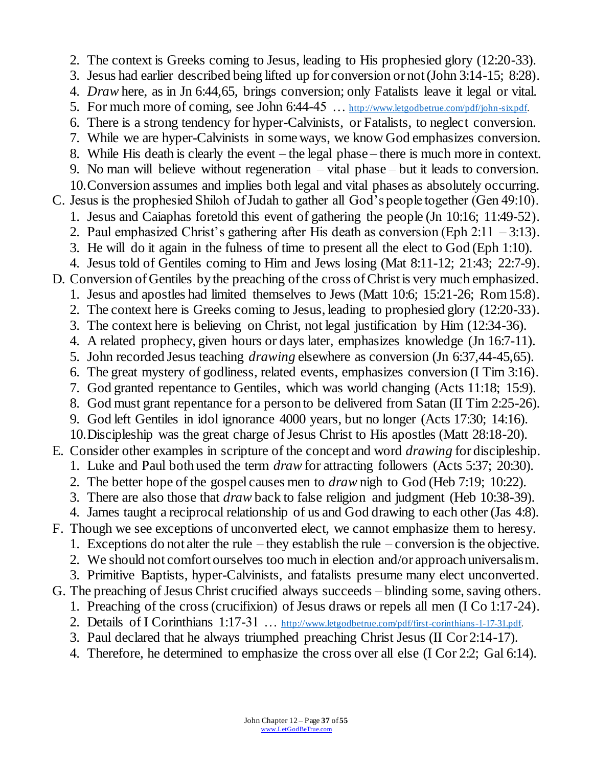2. The context is Greeks coming to Jesus, leading to His prophesied glory (12:20-33). 3. Jesus had earlier described being lifted up for conversion or not (John 3:14-15; 8:28). 4. *Draw* here, as in Jn 6:44,65, brings conversion; only Fatalists leave it legal or vital. 5. For much more of coming, see John 6:44-45 ... [http://www.letgodbetrue.com/pdf/john-six.pdf.](http://www.letgodbetrue.com/pdf/john-six.pdf) 6. There is a strong tendency for hyper-Calvinists, or Fatalists, to neglect conversion. 7. While we are hyper-Calvinists in some ways, we know God emphasizes conversion. 8. While His death is clearly the event – the legal phase – there is much more in context. 9. No man will believe without regeneration – vital phase – but it leads to conversion. 10.Conversion assumes and implies both legal and vital phases as absolutely occurring. C. Jesus is the prophesied Shiloh of Judah to gather all God's people together (Gen 49:10). 1. Jesus and Caiaphas foretold this event of gathering the people (Jn 10:16; 11:49-52). 2. Paul emphasized Christ's gathering after His death as conversion (Eph  $2:11 - 3:13$ ). 3. He will do it again in the fulness of time to present all the elect to God (Eph 1:10). 4. Jesus told of Gentiles coming to Him and Jews losing (Mat 8:11-12; 21:43; 22:7-9). D. Conversion of Gentiles by the preaching of the cross of Christ is very much emphasized. 1. Jesus and apostles had limited themselves to Jews (Matt 10:6; 15:21-26; Rom 15:8). 2. The context here is Greeks coming to Jesus, leading to prophesied glory (12:20-33). 3. The context here is believing on Christ, not legal justification by Him (12:34-36). 4. A related prophecy, given hours or days later, emphasizes knowledge (Jn 16:7-11). 5. John recorded Jesus teaching *drawing* elsewhere as conversion (Jn 6:37,44-45,65). 6. The great mystery of godliness, related events, emphasizes conversion (I Tim 3:16). 7. God granted repentance to Gentiles, which was world changing (Acts 11:18; 15:9). 8. God must grant repentance for a person to be delivered from Satan (II Tim 2:25-26). 9. God left Gentiles in idol ignorance 4000 years, but no longer (Acts 17:30; 14:16). 10.Discipleship was the great charge of Jesus Christ to His apostles (Matt 28:18-20). E. Consider other examples in scripture of the concept and word *drawing* for discipleship. 1. Luke and Paul both used the term *draw* for attracting followers (Acts 5:37; 20:30). 2. The better hope of the gospel causes men to *draw* nigh to God (Heb 7:19; 10:22). 3. There are also those that *draw* back to false religion and judgment (Heb 10:38-39). 4. James taught a reciprocal relationship of us and God drawing to each other (Jas 4:8). F. Though we see exceptions of unconverted elect, we cannot emphasize them to heresy. 1. Exceptions do not alter the rule – they establish the rule – conversion is the objective. 2. We should not comfort ourselves too much in election and/or approach universalism. 3. Primitive Baptists, hyper-Calvinists, and fatalists presume many elect unconverted. G. The preaching of Jesus Christ crucified always succeeds – blinding some, saving others. 1. Preaching of the cross (crucifixion) of Jesus draws or repels all men (I Co 1:17-24). 2. Details of I Corinthians 1:17-31 ... [http://www.letgodbetrue.com/pdf/first-corinthians-1-17-31.pdf.](http://www.letgodbetrue.com/pdf/first-corinthians-1-17-31.pdf) 3. Paul declared that he always triumphed preaching Christ Jesus (II Cor 2:14-17).

4. Therefore, he determined to emphasize the cross over all else (I Cor 2:2; Gal 6:14).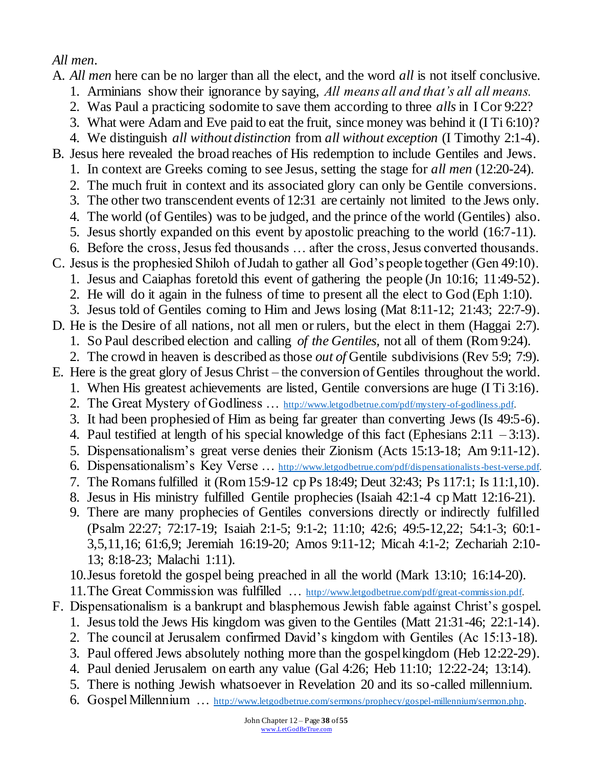## *All men.*

A. *All men* here can be no larger than all the elect, and the word *all* is not itself conclusive.

- 1. Arminians show their ignorance by saying, *All means all and that's all all means.*
- 2. Was Paul a practicing sodomite to save them according to three *alls*in I Cor 9:22?
- 3. What were Adam and Eve paid to eat the fruit, since money was behind it (I Ti 6:10)?
- 4. We distinguish *all without distinction* from *all without exception* (I Timothy 2:1-4).
- B. Jesus here revealed the broad reaches of His redemption to include Gentiles and Jews.
	- 1. In context are Greeks coming to see Jesus, setting the stage for *all men* (12:20-24).
	- 2. The much fruit in context and its associated glory can only be Gentile conversions. 3. The other two transcendent events of 12:31 are certainly not limited to the Jews only.
	- 4. The world (of Gentiles) was to be judged, and the prince of the world (Gentiles) also.
	- 5. Jesus shortly expanded on this event by apostolic preaching to the world (16:7-11).
	- 6. Before the cross, Jesus fed thousands … after the cross, Jesus converted thousands.
- C. Jesus is the prophesied Shiloh of Judah to gather all God's people together (Gen 49:10).
	- 1. Jesus and Caiaphas foretold this event of gathering the people (Jn 10:16; 11:49-52).
	- 2. He will do it again in the fulness of time to present all the elect to God (Eph 1:10).
	- 3. Jesus told of Gentiles coming to Him and Jews losing (Mat 8:11-12; 21:43; 22:7-9).
- D. He is the Desire of all nations, not all men or rulers, but the elect in them (Haggai 2:7).
	- 1. So Paul described election and calling *of the Gentiles,* not all of them (Rom 9:24).
	- 2. The crowd in heaven is described as those *out of* Gentile subdivisions (Rev 5:9; 7:9).
- E. Here is the great glory of Jesus Christ the conversion of Gentiles throughout the world.
	- 1. When His greatest achievements are listed, Gentile conversions are huge (I Ti 3:16).
	- 2. The Great Mystery of Godliness ... [http://www.letgodbetrue.com/pdf/mystery-of-godliness.pdf.](http://www.letgodbetrue.com/pdf/mystery-of-godliness.pdf)
	- 3. It had been prophesied of Him as being far greater than converting Jews (Is 49:5-6).
	- 4. Paul testified at length of his special knowledge of this fact (Ephesians  $2:11 3:13$ ).
	- 5. Dispensationalism's great verse denies their Zionism (Acts 15:13-18; Am 9:11-12).
	- 6. Dispensationalism's Key Verse … <http://www.letgodbetrue.com/pdf/dispensationalists-best-verse.pdf>.
	- 7. The Romans fulfilled it (Rom 15:9-12 cp Ps 18:49; Deut 32:43; Ps 117:1; Is 11:1,10).
	- 8. Jesus in His ministry fulfilled Gentile prophecies (Isaiah 42:1-4 cp Matt 12:16-21).
	- 9. There are many prophecies of Gentiles conversions directly or indirectly fulfilled (Psalm 22:27; 72:17-19; Isaiah 2:1-5; 9:1-2; 11:10; 42:6; 49:5-12,22; 54:1-3; 60:1- 3,5,11,16; 61:6,9; Jeremiah 16:19-20; Amos 9:11-12; Micah 4:1-2; Zechariah 2:10- 13; 8:18-23; Malachi 1:11).
	- 10.Jesus foretold the gospel being preached in all the world (Mark 13:10; 16:14-20).
	- 11.The Great Commission was fulfilled … [http://www.letgodbetrue.com/pdf/great-commission.pdf.](http://www.letgodbetrue.com/pdf/great-commission.pdf)
- F. Dispensationalism is a bankrupt and blasphemous Jewish fable against Christ's gospel.
	- 1. Jesus told the Jews His kingdom was given to the Gentiles (Matt 21:31-46; 22:1-14).
	- 2. The council at Jerusalem confirmed David's kingdom with Gentiles (Ac 15:13-18).
	- 3. Paul offered Jews absolutely nothing more than the gospel kingdom (Heb 12:22-29).
	- 4. Paul denied Jerusalem on earth any value (Gal 4:26; Heb 11:10; 12:22-24; 13:14).
	- 5. There is nothing Jewish whatsoever in Revelation 20 and its so-called millennium.
	- 6. Gospel Millennium … [http://www.letgodbetrue.com/sermons/prophecy/gospel-millennium/sermon.php.](http://www.letgodbetrue.com/sermons/prophecy/gospel-millennium/sermon.php)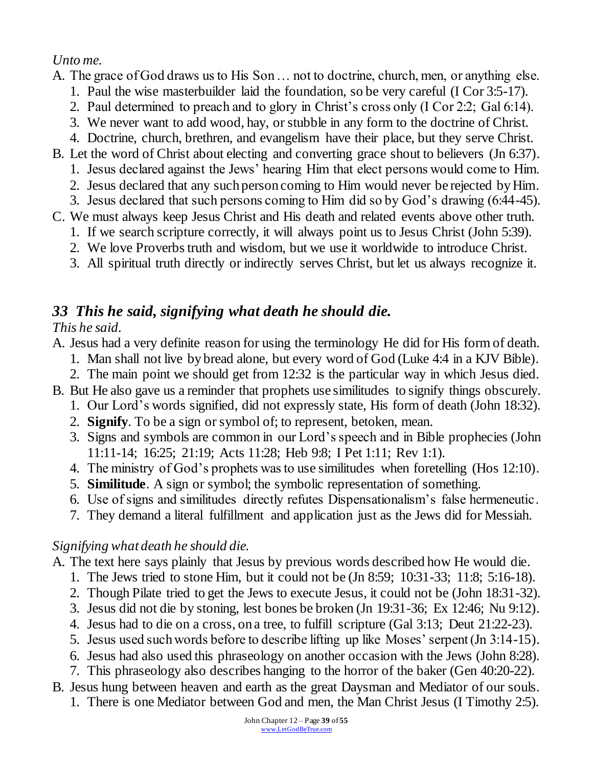## *Unto me.*

A. The grace of God draws us to His Son … not to doctrine, church, men, or anything else.

- 1. Paul the wise masterbuilder laid the foundation, so be very careful (I Cor 3:5-17).
- 2. Paul determined to preach and to glory in Christ's cross only (I Cor 2:2; Gal 6:14).
- 3. We never want to add wood, hay, or stubble in any form to the doctrine of Christ.
- 4. Doctrine, church, brethren, and evangelism have their place, but they serve Christ.
- B. Let the word of Christ about electing and converting grace shout to believers (Jn 6:37).
	- 1. Jesus declared against the Jews' hearing Him that elect persons would come to Him.
	- 2. Jesus declared that any such person coming to Him would never be rejected by Him.
	- 3. Jesus declared that such persons coming to Him did so by God's drawing (6:44-45).
- C. We must always keep Jesus Christ and His death and related events above other truth.
	- 1. If we search scripture correctly, it will always point us to Jesus Christ (John 5:39). 2. We love Proverbs truth and wisdom, but we use it worldwide to introduce Christ.
	- 3. All spiritual truth directly or indirectly serves Christ, but let us always recognize it.

## *33 This he said, signifying what death he should die.*

### *This he said.*

A. Jesus had a very definite reason for using the terminology He did for His form of death.

- 1. Man shall not live by bread alone, but every word of God (Luke 4:4 in a KJV Bible).
- 2. The main point we should get from 12:32 is the particular way in which Jesus died.
- B. But He also gave us a reminder that prophets use similitudes to signify things obscurely.
	- 1. Our Lord's words signified, did not expressly state, His form of death (John 18:32).
	- 2. **Signify**. To be a sign or symbol of; to represent, betoken, mean.
	- 3. Signs and symbols are common in our Lord's speech and in Bible prophecies (John 11:11-14; 16:25; 21:19; Acts 11:28; Heb 9:8; I Pet 1:11; Rev 1:1).
	- 4. The ministry of God's prophets was to use similitudes when foretelling (Hos 12:10).
	- 5. **Similitude**. A sign or symbol; the symbolic representation of something.
	- 6. Use of signs and similitudes directly refutes Dispensationalism's false hermeneutic.
	- 7. They demand a literal fulfillment and application just as the Jews did for Messiah.

## *Signifying what death he should die.*

A. The text here says plainly that Jesus by previous words described how He would die.

- 1. The Jews tried to stone Him, but it could not be (Jn 8:59; 10:31-33; 11:8; 5:16-18).
- 2. Though Pilate tried to get the Jews to execute Jesus, it could not be (John 18:31-32).
- 3. Jesus did not die by stoning, lest bones be broken (Jn 19:31-36; Ex 12:46; Nu 9:12).
- 4. Jesus had to die on a cross, on a tree, to fulfill scripture (Gal 3:13; Deut 21:22-23).
- 5. Jesus used such words before to describe lifting up like Moses' serpent (Jn 3:14-15).
- 6. Jesus had also used this phraseology on another occasion with the Jews (John 8:28).
- 7. This phraseology also describes hanging to the horror of the baker (Gen 40:20-22).
- B. Jesus hung between heaven and earth as the great Daysman and Mediator of our souls.
	- 1. There is one Mediator between God and men, the Man Christ Jesus (I Timothy 2:5).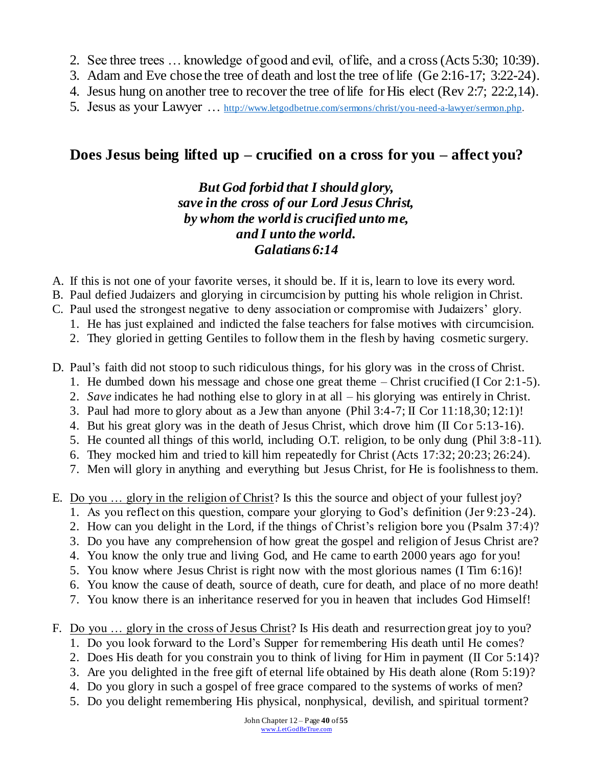- 2. See three trees … knowledge of good and evil, of life, and a cross (Acts 5:30; 10:39).
- 3. Adam and Eve chose the tree of death and lost the tree of life (Ge 2:16-17; 3:22-24).
- 4. Jesus hung on another tree to recover the tree of life for His elect (Rev 2:7; 22:2,14).
- 5. Jesus as your Lawyer … [http://www.letgodbetrue.com/sermons/christ/you-need-a-lawyer/sermon.php.](http://www.letgodbetrue.com/sermons/christ/you-need-a-lawyer/sermon.php)

## **Does Jesus being lifted up – crucified on a cross for you – affect you?**

### *But God forbid that I should glory, save in the cross of our Lord Jesus Christ, by whom the world is crucified unto me, and I unto the world. Galatians 6:14*

- A. If this is not one of your favorite verses, it should be. If it is, learn to love its every word.
- B. Paul defied Judaizers and glorying in circumcision by putting his whole religion in Christ.
- C. Paul used the strongest negative to deny association or compromise with Judaizers' glory.
	- 1. He has just explained and indicted the false teachers for false motives with circumcision.
	- 2. They gloried in getting Gentiles to follow them in the flesh by having cosmetic surgery.
- D. Paul's faith did not stoop to such ridiculous things, for his glory was in the cross of Christ.
	- 1. He dumbed down his message and chose one great theme Christ crucified (I Cor 2:1-5).
	- 2. *Save* indicates he had nothing else to glory in at all his glorying was entirely in Christ.
	- 3. Paul had more to glory about as a Jew than anyone (Phil 3:4-7; II Cor 11:18,30; 12:1)!
	- 4. But his great glory was in the death of Jesus Christ, which drove him (II Cor 5:13-16).
	- 5. He counted all things of this world, including O.T. religion, to be only dung (Phil 3:8-11).
	- 6. They mocked him and tried to kill him repeatedly for Christ (Acts 17:32; 20:23; 26:24).
	- 7. Men will glory in anything and everything but Jesus Christ, for He is foolishness to them.
- E. Do you … glory in the religion of Christ? Is this the source and object of your fullest joy?
	- 1. As you reflect on this question, compare your glorying to God's definition (Jer 9:23-24).
	- 2. How can you delight in the Lord, if the things of Christ's religion bore you (Psalm 37:4)?
	- 3. Do you have any comprehension of how great the gospel and religion of Jesus Christ are?
	- 4. You know the only true and living God, and He came to earth 2000 years ago for you!
	- 5. You know where Jesus Christ is right now with the most glorious names (I Tim 6:16)!
	- 6. You know the cause of death, source of death, cure for death, and place of no more death!
	- 7. You know there is an inheritance reserved for you in heaven that includes God Himself!
- F. Do you … glory in the cross of Jesus Christ? Is His death and resurrection great joy to you?
	- 1. Do you look forward to the Lord's Supper for remembering His death until He comes?
	- 2. Does His death for you constrain you to think of living for Him in payment (II Cor 5:14)?
	- 3. Are you delighted in the free gift of eternal life obtained by His death alone (Rom 5:19)?
	- 4. Do you glory in such a gospel of free grace compared to the systems of works of men?
	- 5. Do you delight remembering His physical, nonphysical, devilish, and spiritual torment?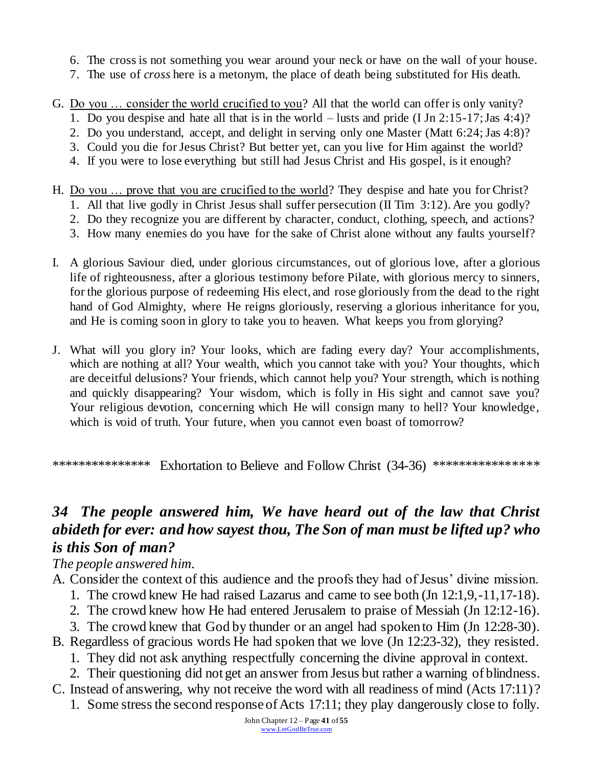- 6. The cross is not something you wear around your neck or have on the wall of your house.
- 7. The use of *cross* here is a metonym, the place of death being substituted for His death.
- G. Do you … consider the world crucified to you? All that the world can offer is only vanity?
	- 1. Do you despise and hate all that is in the world lusts and pride (I Jn 2:15-17; Jas 4:4)?
	- 2. Do you understand, accept, and delight in serving only one Master (Matt 6:24; Jas 4:8)?
	- 3. Could you die for Jesus Christ? But better yet, can you live for Him against the world?
	- 4. If you were to lose everything but still had Jesus Christ and His gospel, is it enough?
- H. Do you … prove that you are crucified to the world? They despise and hate you for Christ?
	- 1. All that live godly in Christ Jesus shall suffer persecution (II Tim 3:12). Are you godly?
	- 2. Do they recognize you are different by character, conduct, clothing, speech, and actions?
	- 3. How many enemies do you have for the sake of Christ alone without any faults yourself?
- I. A glorious Saviour died, under glorious circumstances, out of glorious love, after a glorious life of righteousness, after a glorious testimony before Pilate, with glorious mercy to sinners, for the glorious purpose of redeeming His elect, and rose gloriously from the dead to the right hand of God Almighty, where He reigns gloriously, reserving a glorious inheritance for you, and He is coming soon in glory to take you to heaven. What keeps you from glorying?
- J. What will you glory in? Your looks, which are fading every day? Your accomplishments, which are nothing at all? Your wealth, which you cannot take with you? Your thoughts, which are deceitful delusions? Your friends, which cannot help you? Your strength, which is nothing and quickly disappearing? Your wisdom, which is folly in His sight and cannot save you? Your religious devotion, concerning which He will consign many to hell? Your knowledge, which is void of truth. Your future, when you cannot even boast of tomorrow?

\*\*\*\*\*\*\*\*\*\*\*\*\*\*\* Exhortation to Believe and Follow Christ (34-36) \*\*\*\*\*\*\*\*\*\*\*\*\*\*\*

## *34 The people answered him, We have heard out of the law that Christ abideth for ever: and how sayest thou, The Son of man must be lifted up? who is this Son of man?*

*The people answered him.*

- A. Consider the context of this audience and the proofs they had of Jesus' divine mission.
	- 1. The crowd knew He had raised Lazarus and came to see both (Jn 12:1,9,-11,17-18).
	- 2. The crowd knew how He had entered Jerusalem to praise of Messiah (Jn 12:12-16).
	- 3. The crowd knew that God by thunder or an angel had spoken to Him (Jn 12:28-30).
- B. Regardless of gracious words He had spoken that we love (Jn 12:23-32), they resisted.
	- 1. They did not ask anything respectfully concerning the divine approval in context.
	- 2. Their questioning did not get an answer from Jesus but rather a warning of blindness.
- C. Instead of answering, why not receive the word with all readiness of mind (Acts 17:11)?
	- 1. Some stress the second response of Acts 17:11; they play dangerously close to folly.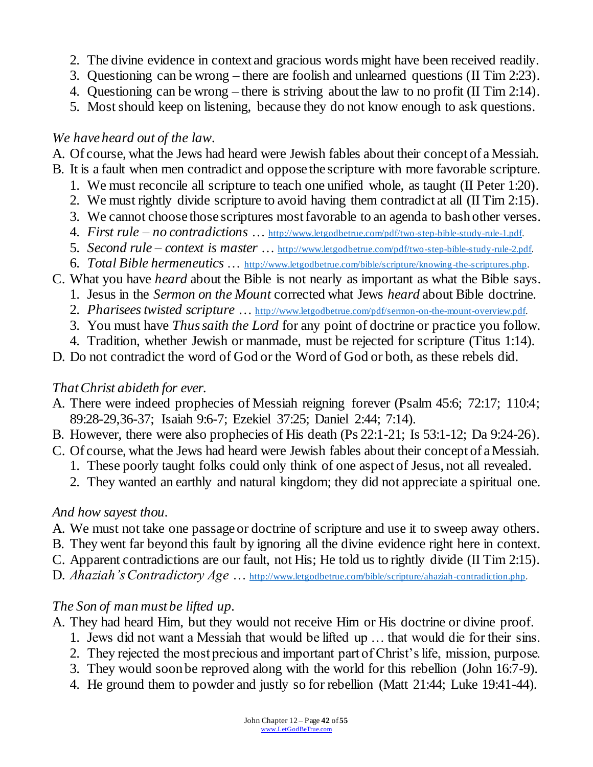- 2. The divine evidence in context and gracious words might have been received readily.
- 3. Questioning can be wrong there are foolish and unlearned questions (II Tim 2:23).
- 4. Questioning can be wrong there is striving about the law to no profit (II Tim 2:14).
- 5. Most should keep on listening, because they do not know enough to ask questions.

### *We have heard out of the law.*

A. Of course, what the Jews had heard were Jewish fables about their concept of a Messiah.

- B. It is a fault when men contradict and oppose the scripture with more favorable scripture.
	- 1. We must reconcile all scripture to teach one unified whole, as taught (II Peter 1:20).
	- 2. We must rightly divide scripture to avoid having them contradict at all (II Tim 2:15).
	- 3. We cannot choose those scriptures most favorable to an agenda to bash other verses.
	- 4. *First rule – no contradictions* … [http://www.letgodbetrue.com/pdf/two-step-bible-study-rule-1.pdf.](http://www.letgodbetrue.com/pdf/two-step-bible-study-rule-1.pdf)
	- 5. *Second rule – context is master* … [http://www.letgodbetrue.com/pdf/two-step-bible-study-rule-2.pdf.](http://www.letgodbetrue.com/pdf/two-step-bible-study-rule-2.pdf)
	- 6. *Total Bible hermeneutics* … [http://www.letgodbetrue.com/bible/scripture/knowing-the-scriptures.php.](http://www.letgodbetrue.com/bible/scripture/knowing-the-scriptures.php)
- C. What you have *heard* about the Bible is not nearly as important as what the Bible says.
	- 1. Jesus in the *Sermon on the Mount* corrected what Jews *heard* about Bible doctrine.
	- 2. *Pharisees twisted scripture* … [http://www.letgodbetrue.com/pdf/sermon-on-the-mount-overview.pdf.](http://www.letgodbetrue.com/pdf/sermon-on-the-mount-overview.pdf)
	- 3. You must have *Thus saith the Lord* for any point of doctrine or practice you follow.
	- 4. Tradition, whether Jewish or manmade, must be rejected for scripture (Titus 1:14).
- D. Do not contradict the word of God or the Word of God or both, as these rebels did.

#### *That Christ abideth for ever.*

- A. There were indeed prophecies of Messiah reigning forever (Psalm 45:6; 72:17; 110:4; 89:28-29,36-37; Isaiah 9:6-7; Ezekiel 37:25; Daniel 2:44; 7:14).
- B. However, there were also prophecies of His death (Ps 22:1-21; Is 53:1-12; Da 9:24-26).
- C. Of course, what the Jews had heard were Jewish fables about their concept of a Messiah.
	- 1. These poorly taught folks could only think of one aspect of Jesus, not all revealed.
	- 2. They wanted an earthly and natural kingdom; they did not appreciate a spiritual one.

### *And how sayest thou.*

- A. We must not take one passage or doctrine of scripture and use it to sweep away others.
- B. They went far beyond this fault by ignoring all the divine evidence right here in context.
- C. Apparent contradictions are our fault, not His; He told us to rightly divide (II Tim 2:15).
- D. *Ahaziah's Contradictory Age* ... [http://www.letgodbetrue.com/bible/scripture/ahaziah-contradiction.php.](http://www.letgodbetrue.com/bible/scripture/ahaziah-contradiction.php)

### *The Son of man must be lifted up.*

- A. They had heard Him, but they would not receive Him or His doctrine or divine proof.
	- 1. Jews did not want a Messiah that would be lifted up … that would die for their sins.
	- 2. They rejected the most precious and important part of Christ's life, mission, purpose.
	- 3. They would soon be reproved along with the world for this rebellion (John 16:7-9).
	- 4. He ground them to powder and justly so for rebellion (Matt 21:44; Luke 19:41-44).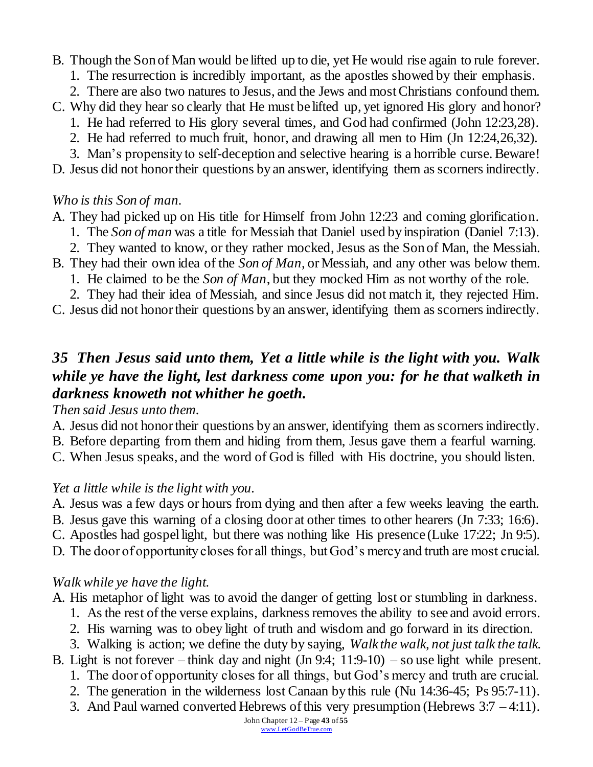B. Though the Son of Man would be lifted up to die, yet He would rise again to rule forever.

- 1. The resurrection is incredibly important, as the apostles showed by their emphasis.
- 2. There are also two natures to Jesus, and the Jews and most Christians confound them.
- C. Why did they hear so clearly that He must be lifted up, yet ignored His glory and honor?
	- 1. He had referred to His glory several times, and God had confirmed (John 12:23,28).
	- 2. He had referred to much fruit, honor, and drawing all men to Him (Jn 12:24,26,32).
	- 3. Man's propensity to self-deception and selective hearing is a horrible curse. Beware!

D. Jesus did not honor their questions by an answer, identifying them as scorners indirectly.

### *Who is this Son of man.*

A. They had picked up on His title for Himself from John 12:23 and coming glorification.

- 1. The *Son of man* was a title for Messiah that Daniel used by inspiration (Daniel 7:13).
- 2. They wanted to know, or they rather mocked, Jesus as the Son of Man, the Messiah.
- B. They had their own idea of the *Son of Man*, or Messiah, and any other was below them.
	- 1. He claimed to be the *Son of Man*, but they mocked Him as not worthy of the role.
	- 2. They had their idea of Messiah, and since Jesus did not match it, they rejected Him.
- C. Jesus did not honor their questions by an answer, identifying them as scorners indirectly.

## *35 Then Jesus said unto them, Yet a little while is the light with you. Walk while ye have the light, lest darkness come upon you: for he that walketh in darkness knoweth not whither he goeth.*

*Then said Jesus unto them.*

- A. Jesus did not honor their questions by an answer, identifying them as scorners indirectly.
- B. Before departing from them and hiding from them, Jesus gave them a fearful warning.
- C. When Jesus speaks, and the word of God is filled with His doctrine, you should listen.

## *Yet a little while is the light with you.*

- A. Jesus was a few days or hours from dying and then after a few weeks leaving the earth.
- B. Jesus gave this warning of a closing door at other times to other hearers (Jn 7:33; 16:6).
- C. Apostles had gospel light, but there was nothing like His presence (Luke 17:22; Jn 9:5).
- D. The door of opportunity closes for all things, but God's mercy and truth are most crucial.

## *Walk while ye have the light.*

A. His metaphor of light was to avoid the danger of getting lost or stumbling in darkness.

- 1. As the rest of the verse explains, darkness removes the ability to see and avoid errors.
- 2. His warning was to obey light of truth and wisdom and go forward in its direction.
- 3. Walking is action; we define the duty by saying, *Walk the walk, not just talk the talk.*
- B. Light is not forever think day and night (Jn 9:4; 11:9-10) so use light while present.
	- 1. The door of opportunity closes for all things, but God's mercy and truth are crucial.
	- 2. The generation in the wilderness lost Canaan by this rule (Nu 14:36-45; Ps 95:7-11).
	- 3. And Paul warned converted Hebrews of this very presumption (Hebrews 3:7 4:11).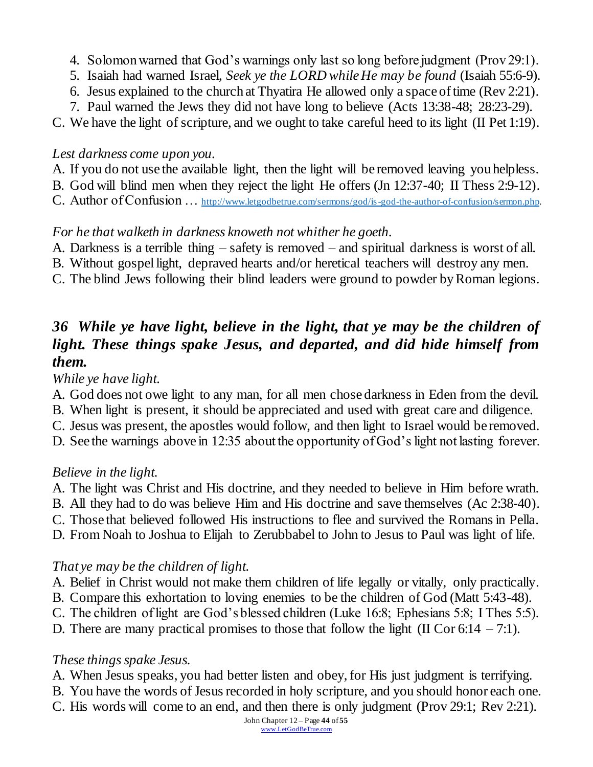- 4. Solomon warned that God's warnings only last so long before judgment (Prov 29:1).
- 5. Isaiah had warned Israel, *Seek ye the LORD while He may be found* (Isaiah 55:6-9).
- 6. Jesus explained to the church at Thyatira He allowed only a space of time (Rev 2:21).
- 7. Paul warned the Jews they did not have long to believe (Acts 13:38-48; 28:23-29).

C. We have the light of scripture, and we ought to take careful heed to its light (II Pet 1:19).

### *Lest darkness come upon you.*

- A. If you do not use the available light, then the light will be removed leaving you helpless.
- B. God will blind men when they reject the light He offers (Jn 12:37-40; II Thess 2:9-12).
- C. Author of Confusion … [http://www.letgodbetrue.com/sermons/god/is-god-the-author-of-confusion/sermon.php.](http://www.letgodbetrue.com/sermons/god/is-god-the-author-of-confusion/sermon.php)

## *For he that walketh in darkness knoweth not whither he goeth.*

- A. Darkness is a terrible thing safety is removed and spiritual darkness is worst of all.
- B. Without gospel light, depraved hearts and/or heretical teachers will destroy any men.
- C. The blind Jews following their blind leaders were ground to powder by Roman legions.

## *36 While ye have light, believe in the light, that ye may be the children of light. These things spake Jesus, and departed, and did hide himself from them.*

*While ye have light.*

- A. God does not owe light to any man, for all men chose darkness in Eden from the devil.
- B. When light is present, it should be appreciated and used with great care and diligence.
- C. Jesus was present, the apostles would follow, and then light to Israel would be removed.
- D. See the warnings above in 12:35 about the opportunity of God's light not lasting forever.

### *Believe in the light.*

- A. The light was Christ and His doctrine, and they needed to believe in Him before wrath.
- B. All they had to do was believe Him and His doctrine and save themselves (Ac 2:38-40).
- C. Those that believed followed His instructions to flee and survived the Romans in Pella.
- D. From Noah to Joshua to Elijah to Zerubbabel to John to Jesus to Paul was light of life.

## *That ye may be the children of light.*

- A. Belief in Christ would not make them children of life legally or vitally, only practically.
- B. Compare this exhortation to loving enemies to be the children of God (Matt 5:43-48).
- C. The children of light are God's blessed children (Luke 16:8; Ephesians 5:8; I Thes 5:5).
- D. There are many practical promises to those that follow the light (II Cor 6:14 7:1).

### *These things spake Jesus.*

- A. When Jesus speaks, you had better listen and obey, for His just judgment is terrifying.
- B. You have the words of Jesus recorded in holy scripture, and you should honor each one.
- C. His words will come to an end, and then there is only judgment (Prov 29:1; Rev 2:21).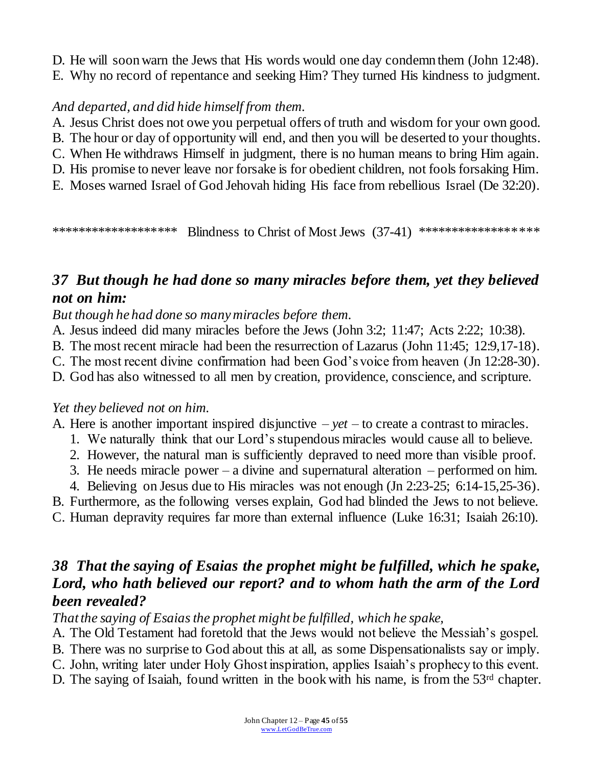- D. He will soon warn the Jews that His words would one day condemn them (John 12:48).
- E. Why no record of repentance and seeking Him? They turned His kindness to judgment.

### *And departed, and did hide himself from them.*

- A. Jesus Christ does not owe you perpetual offers of truth and wisdom for your own good.
- B. The hour or day of opportunity will end, and then you will be deserted to your thoughts.
- C. When He withdraws Himself in judgment, there is no human means to bring Him again.
- D. His promise to never leave nor forsake is for obedient children, not fools forsaking Him.
- E. Moses warned Israel of God Jehovah hiding His face from rebellious Israel (De 32:20).

\*\*\*\*\*\*\*\*\*\*\*\*\*\*\*\*\*\*\* Blindness to Christ of Most Jews (37-41) \*\*\*\*\*\*\*\*\*\*\*\*\*\*\*\*\*\*\*

## *37 But though he had done so many miracles before them, yet they believed not on him:*

*But though he had done so many miracles before them.*

- A. Jesus indeed did many miracles before the Jews (John 3:2; 11:47; Acts 2:22; 10:38).
- B. The most recent miracle had been the resurrection of Lazarus (John 11:45; 12:9,17-18).
- C. The most recent divine confirmation had been God's voice from heaven (Jn 12:28-30).
- D. God has also witnessed to all men by creation, providence, conscience, and scripture.

### *Yet they believed not on him.*

- A. Here is another important inspired disjunctive  $-$  *yet*  $-$  to create a contrast to miracles.
	- 1. We naturally think that our Lord's stupendous miracles would cause all to believe.
	- 2. However, the natural man is sufficiently depraved to need more than visible proof.
	- 3. He needs miracle power a divine and supernatural alteration performed on him.
	- 4. Believing on Jesus due to His miracles was not enough (Jn 2:23-25; 6:14-15,25-36).

B. Furthermore, as the following verses explain, God had blinded the Jews to not believe.

C. Human depravity requires far more than external influence (Luke 16:31; Isaiah 26:10).

## *38 That the saying of Esaias the prophet might be fulfilled, which he spake, Lord, who hath believed our report? and to whom hath the arm of the Lord been revealed?*

*That the saying of Esaias the prophet might be fulfilled, which he spake,*

A. The Old Testament had foretold that the Jews would not believe the Messiah's gospel.

- B. There was no surprise to God about this at all, as some Dispensationalists say or imply.
- C. John, writing later under Holy Ghost inspiration, applies Isaiah's prophecy to this event.
- D. The saying of Isaiah, found written in the book with his name, is from the 53<sup>rd</sup> chapter.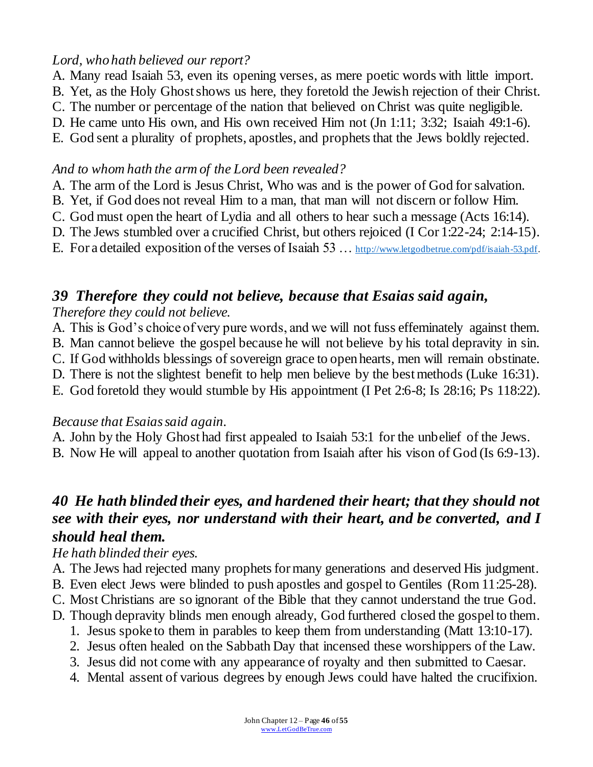### *Lord, who hath believed our report?*

- A. Many read Isaiah 53, even its opening verses, as mere poetic words with little import.
- B. Yet, as the Holy Ghost shows us here, they foretold the Jewish rejection of their Christ.
- C. The number or percentage of the nation that believed on Christ was quite negligible.
- D. He came unto His own, and His own received Him not (Jn 1:11; 3:32; Isaiah 49:1-6).
- E. God sent a plurality of prophets, apostles, and prophets that the Jews boldly rejected.

### *And to whom hath the arm of the Lord been revealed?*

- A. The arm of the Lord is Jesus Christ, Who was and is the power of God for salvation.
- B. Yet, if God does not reveal Him to a man, that man will not discern or follow Him.
- C. God must open the heart of Lydia and all others to hear such a message (Acts 16:14).
- D. The Jews stumbled over a crucified Christ, but others rejoiced (I Cor 1:22-24; 2:14-15).
- E. For a detailed exposition of the verses of Isaiah 53 … [http://www.letgodbetrue.com/pdf/isaiah-53.pdf.](http://www.letgodbetrue.com/pdf/isaiah-53.pdf)

# *39 Therefore they could not believe, because that Esaias said again,*

### *Therefore they could not believe.*

- A. This is God's choice of very pure words, and we will not fuss effeminately against them.
- B. Man cannot believe the gospel because he will not believe by his total depravity in sin.
- C. If God withholds blessings of sovereign grace to open hearts, men will remain obstinate.
- D. There is not the slightest benefit to help men believe by the best methods (Luke 16:31).
- E. God foretold they would stumble by His appointment (I Pet 2:6-8; Is 28:16; Ps 118:22).

### *Because that Esaias said again.*

- A. John by the Holy Ghost had first appealed to Isaiah 53:1 for the unbelief of the Jews.
- B. Now He will appeal to another quotation from Isaiah after his vison of God (Is 6:9-13).

## *40 He hath blinded their eyes, and hardened their heart; that they should not see with their eyes, nor understand with their heart, and be converted, and I should heal them.*

### *He hath blinded their eyes.*

- A. The Jews had rejected many prophets for many generations and deserved His judgment.
- B. Even elect Jews were blinded to push apostles and gospel to Gentiles (Rom 11:25-28).
- C. Most Christians are so ignorant of the Bible that they cannot understand the true God.
- D. Though depravity blinds men enough already, God furthered closed the gospel to them.
	- 1. Jesus spoke to them in parables to keep them from understanding (Matt 13:10-17).
	- 2. Jesus often healed on the Sabbath Day that incensed these worshippers of the Law.
	- 3. Jesus did not come with any appearance of royalty and then submitted to Caesar.
	- 4. Mental assent of various degrees by enough Jews could have halted the crucifixion.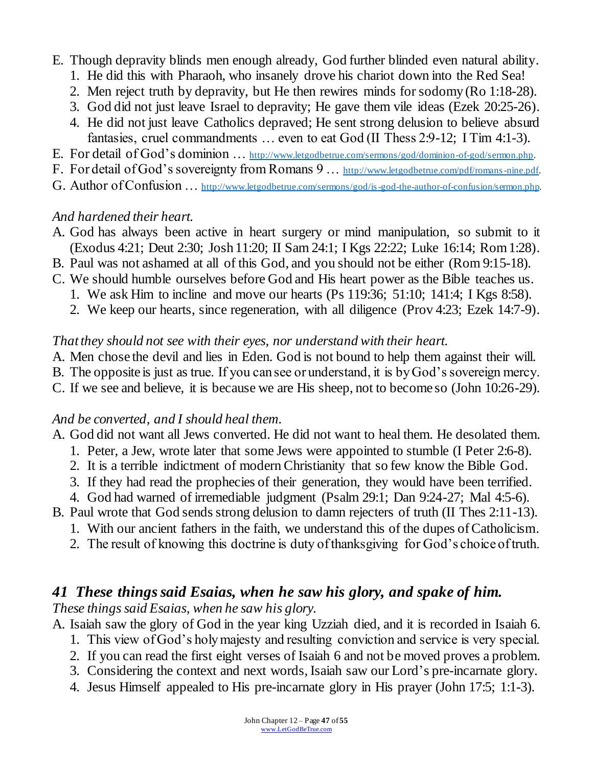- E. Though depravity blinds men enough already, God further blinded even natural ability.
	- 1. He did this with Pharaoh, who insanely drove his chariot down into the Red Sea!
	- 2. Men reject truth by depravity, but He then rewires minds for sodomy (Ro 1:18-28).
	- 3. God did not just leave Israel to depravity; He gave them vile ideas (Ezek 20:25-26).
	- 4. He did not just leave Catholics depraved; He sent strong delusion to believe absurd fantasies, cruel commandments … even to eat God (II Thess 2:9-12; I Tim 4:1-3).
- E. For detail of God's dominion ... [http://www.letgodbetrue.com/sermons/god/dominion-of-god/sermon.php.](http://www.letgodbetrue.com/sermons/god/dominion-of-god/sermon.php)
- F. For detail of God's sovereignty from Romans 9 ... [http://www.letgodbetrue.com/pdf/romans-nine.pdf.](http://www.letgodbetrue.com/pdf/romans-nine.pdf)
- G. Author of Confusion … [http://www.letgodbetrue.com/sermons/god/is-god-the-author-of-confusion/sermon.php.](http://www.letgodbetrue.com/sermons/god/is-god-the-author-of-confusion/sermon.php)

### *And hardened their heart.*

- A. God has always been active in heart surgery or mind manipulation, so submit to it (Exodus 4:21; Deut 2:30; Josh 11:20; II Sam 24:1; I Kgs 22:22; Luke 16:14; Rom 1:28).
- B. Paul was not ashamed at all of this God, and you should not be either (Rom 9:15-18).
- C. We should humble ourselves before God and His heart power as the Bible teaches us.
	- 1. We ask Him to incline and move our hearts (Ps 119:36; 51:10; 141:4; I Kgs 8:58).
	- 2. We keep our hearts, since regeneration, with all diligence (Prov 4:23; Ezek 14:7-9).

#### *That they should not see with their eyes, nor understand with their heart.*

- A. Men chose the devil and lies in Eden. God is not bound to help them against their will.
- B. The opposite is just as true. If you can see or understand, it is by God's sovereign mercy.
- C. If we see and believe, it is because we are His sheep, not to become so (John 10:26-29).

### *And be converted, and I should heal them.*

- A. God did not want all Jews converted. He did not want to heal them. He desolated them.
	- 1. Peter, a Jew, wrote later that some Jews were appointed to stumble (I Peter 2:6-8).
	- 2. It is a terrible indictment of modern Christianity that so few know the Bible God.
	- 3. If they had read the prophecies of their generation, they would have been terrified.
	- 4. God had warned of irremediable judgment (Psalm 29:1; Dan 9:24-27; Mal 4:5-6).
- B. Paul wrote that God sends strong delusion to damn rejecters of truth (II Thes 2:11-13).
	- 1. With our ancient fathers in the faith, we understand this of the dupes of Catholicism.
	- 2. The result of knowing this doctrine is duty of thanksgiving for God's choice of truth.

## *41 These things said Esaias, when he saw his glory, and spake of him.*

*These things said Esaias, when he saw his glory.*

- A. Isaiah saw the glory of God in the year king Uzziah died, and it is recorded in Isaiah 6.
	- 1. This view of God's holy majesty and resulting conviction and service is very special.
	- 2. If you can read the first eight verses of Isaiah 6 and not be moved proves a problem.
	- 3. Considering the context and next words, Isaiah saw our Lord's pre-incarnate glory.
	- 4. Jesus Himself appealed to His pre-incarnate glory in His prayer (John 17:5; 1:1-3).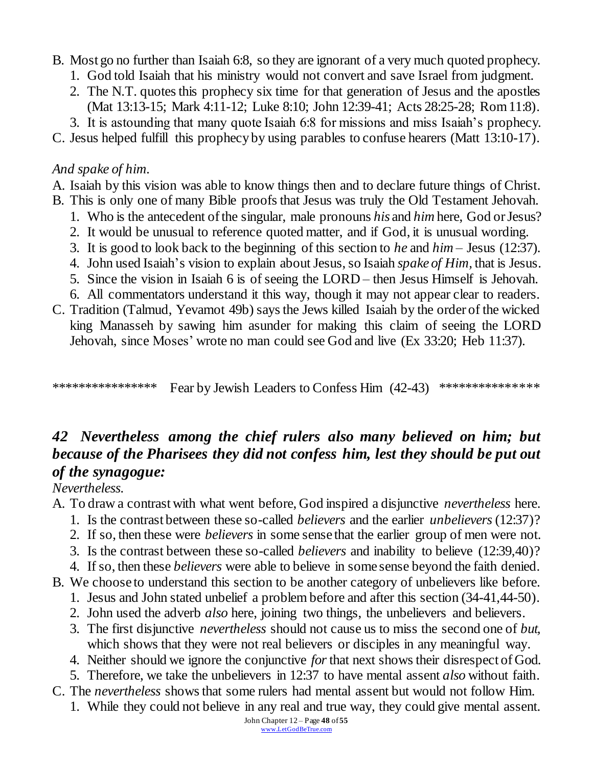- B. Most go no further than Isaiah 6:8, so they are ignorant of a very much quoted prophecy.
	- 1. God told Isaiah that his ministry would not convert and save Israel from judgment.
	- 2. The N.T. quotes this prophecy six time for that generation of Jesus and the apostles (Mat 13:13-15; Mark 4:11-12; Luke 8:10; John 12:39-41; Acts 28:25-28; Rom 11:8).
	- 3. It is astounding that many quote Isaiah 6:8 for missions and miss Isaiah's prophecy.

C. Jesus helped fulfill this prophecy by using parables to confuse hearers (Matt 13:10-17).

## *And spake of him.*

A. Isaiah by this vision was able to know things then and to declare future things of Christ.

- B. This is only one of many Bible proofs that Jesus was truly the Old Testament Jehovah.
	- 1. Who is the antecedent of the singular, male pronouns *his* and *him* here, God or Jesus?
	- 2. It would be unusual to reference quoted matter, and if God, it is unusual wording.
	- 3. It is good to look back to the beginning of this section to *he* and *him* Jesus (12:37).
	- 4. John used Isaiah's vision to explain about Jesus, so Isaiah *spake of Him,* that is Jesus.
	- 5. Since the vision in Isaiah 6 is of seeing the LORD then Jesus Himself is Jehovah.
	- 6. All commentators understand it this way, though it may not appear clear to readers.
- C. Tradition (Talmud, Yevamot 49b) saysthe Jews killed Isaiah by the order of the wicked king Manasseh by sawing him asunder for making this claim of seeing the LORD Jehovah, since Moses' wrote no man could see God and live (Ex 33:20; Heb 11:37).

\*\*\*\*\*\*\*\*\*\*\*\*\*\*\*\*\* Fear by Jewish Leaders to Confess Him (42-43) \*\*\*\*\*\*\*\*\*\*\*\*\*\*\*\*

# *42 Nevertheless among the chief rulers also many believed on him; but because of the Pharisees they did not confess him, lest they should be put out of the synagogue:*

### *Nevertheless.*

- A. To draw a contrast with what went before, God inspired a disjunctive *nevertheless* here.
	- 1. Is the contrast between these so-called *believers* and the earlier *unbelievers* (12:37)?
	- 2. If so, then these were *believers* in some sense that the earlier group of men were not.
	- 3. Is the contrast between these so-called *believers* and inability to believe (12:39,40)?
	- 4. If so, then these *believers* were able to believe in some sense beyond the faith denied.
- B. We choose to understand this section to be another category of unbelievers like before.
	- 1. Jesus and John stated unbelief a problem before and after this section (34-41,44-50).
	- 2. John used the adverb *also* here, joining two things, the unbelievers and believers.
	- 3. The first disjunctive *nevertheless* should not cause us to miss the second one of *but,*  which shows that they were not real believers or disciples in any meaningful way.
	- 4. Neither should we ignore the conjunctive *for*that next showstheir disrespect of God.
	- 5. Therefore, we take the unbelievers in 12:37 to have mental assent *also* without faith.
- C. The *nevertheless* shows that some rulers had mental assent but would not follow Him.
	- 1. While they could not believe in any real and true way, they could give mental assent.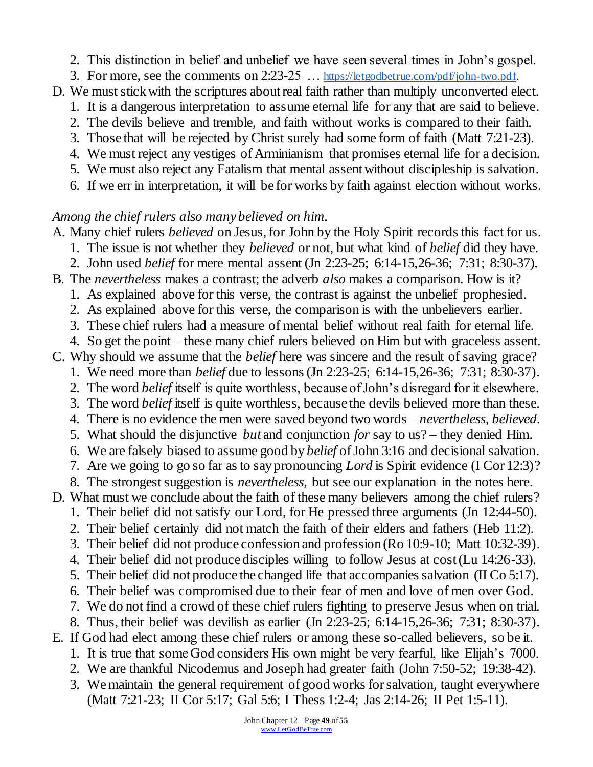- 2. This distinction in belief and unbelief we have seen several times in John's gospel.
- 3. For more, see the comments on 2:23-25 … [https://letgodbetrue.com/pdf/john-two.pdf.](https://letgodbetrue.com/pdf/john-two.pdf)
- D. We must stick with the scriptures about real faith rather than multiply unconverted elect.
	- 1. It is a dangerous interpretation to assume eternal life for any that are said to believe.
	- 2. The devils believe and tremble, and faith without works is compared to their faith.
	- 3. Those that will be rejected by Christ surely had some form of faith (Matt 7:21-23).
	- 4. We must reject any vestiges of Arminianism that promises eternal life for a decision.
	- 5. We must also reject any Fatalism that mental assent without discipleship is salvation. 6. If we err in interpretation, it will be for works by faith against election without works.

### *Among the chief rulers also many believed on him.*

A. Many chief rulers *believed* on Jesus, for John by the Holy Spirit records this fact for us.

- 1. The issue is not whether they *believed* or not, but what kind of *belief* did they have.
- 2. John used *belief* for mere mental assent (Jn 2:23-25; 6:14-15,26-36; 7:31; 8:30-37).
- B. The *nevertheless* makes a contrast; the adverb *also* makes a comparison. How is it?
	- 1. As explained above for this verse, the contrast is against the unbelief prophesied.
	- 2. As explained above for this verse, the comparison is with the unbelievers earlier.
	- 3. These chief rulers had a measure of mental belief without real faith for eternal life.
	- 4. So get the point these many chief rulers believed on Him but with graceless assent.
- C. Why should we assume that the *belief* here was sincere and the result of saving grace?
	- 1. We need more than *belief* due to lessons (Jn 2:23-25; 6:14-15,26-36; 7:31; 8:30-37).
	- 2. The word *belief* itself is quite worthless, because of John's disregard for it elsewhere. 3. The word *belief* itself is quite worthless, because the devils believed more than these.
	- 4. There is no evidence the men were saved beyond two words *nevertheless, believed.*
	- 5. What should the disjunctive *but* and conjunction *for* say to us? they denied Him.
	- 6. We are falsely biased to assume good by *belief* ofJohn 3:16 and decisional salvation.
	- 7. Are we going to go so far as to say pronouncing *Lord* is Spirit evidence (I Cor 12:3)?
	- 8. The strongest suggestion is *nevertheless*, but see our explanation in the notes here.
- D. What must we conclude about the faith of these many believers among the chief rulers?
	- 1. Their belief did not satisfy our Lord, for He pressed three arguments (Jn 12:44-50).
	- 2. Their belief certainly did not match the faith of their elders and fathers (Heb 11:2).
	- 3. Their belief did not produce confession and profession (Ro 10:9-10; Matt 10:32-39).
	- 4. Their belief did not produce disciples willing to follow Jesus at cost (Lu 14:26-33).
	- 5. Their belief did not produce the changed life that accompanies salvation (II Co 5:17).
	- 6. Their belief was compromised due to their fear of men and love of men over God.
	- 7. We do not find a crowd of these chief rulers fighting to preserve Jesus when on trial.
	- 8. Thus, their belief was devilish as earlier (Jn 2:23-25; 6:14-15,26-36; 7:31; 8:30-37).
- E. If God had elect among these chief rulers or among these so-called believers, so be it.
	- 1. It is true that some God considers His own might be very fearful, like Elijah's 7000.
	- 2. We are thankful Nicodemus and Joseph had greater faith (John 7:50-52; 19:38-42).
	- 3. We maintain the general requirement of good works for salvation, taught everywhere (Matt 7:21-23; II Cor 5:17; Gal 5:6; I Thess 1:2-4; Jas 2:14-26; II Pet 1:5-11).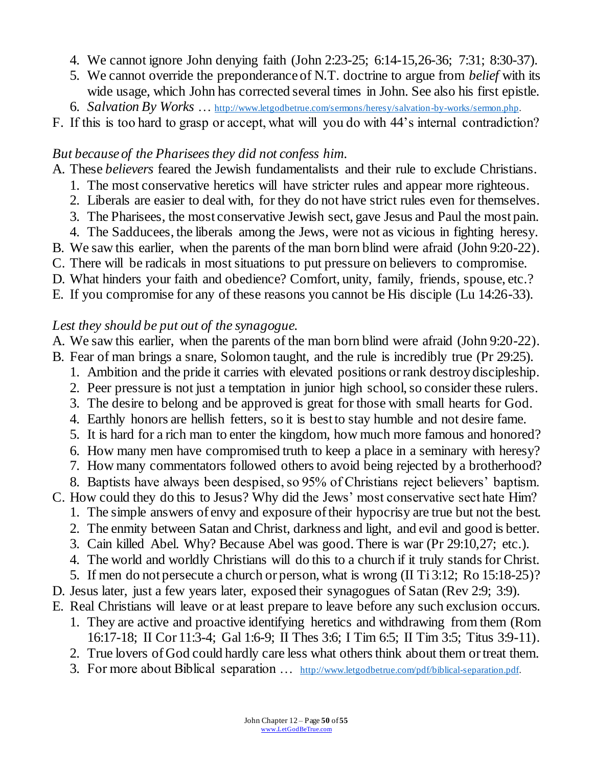- 4. We cannot ignore John denying faith (John 2:23-25; 6:14-15,26-36; 7:31; 8:30-37).
- 5. We cannot override the preponderance of N.T. doctrine to argue from *belief* with its wide usage, which John has corrected several times in John. See also his first epistle.
- 6. *Salvation By Works* … <http://www.letgodbetrue.com/sermons/heresy/salvation-by-works/sermon.php>.
- F. If this is too hard to grasp or accept, what will you do with 44's internal contradiction?

### *But because of the Pharisees they did not confess him.*

A. These *believers* feared the Jewish fundamentalists and their rule to exclude Christians.

- 1. The most conservative heretics will have stricter rules and appear more righteous.
- 2. Liberals are easier to deal with, for they do not have strict rules even for themselves.
- 3. The Pharisees, the most conservative Jewish sect, gave Jesus and Paul the most pain.
- 4. The Sadducees, the liberals among the Jews, were not as vicious in fighting heresy.
- B. We saw this earlier, when the parents of the man born blind were afraid (John 9:20-22).
- C. There will be radicals in most situations to put pressure on believers to compromise.
- D. What hinders your faith and obedience? Comfort, unity, family, friends, spouse, etc.?
- E. If you compromise for any of these reasons you cannot be His disciple (Lu 14:26-33).

### *Lest they should be put out of the synagogue.*

- A. We saw this earlier, when the parents of the man born blind were afraid (John 9:20-22).
- B. Fear of man brings a snare, Solomon taught, and the rule is incredibly true (Pr 29:25).
	- 1. Ambition and the pride it carries with elevated positions or rank destroy discipleship.
	- 2. Peer pressure is not just a temptation in junior high school, so consider these rulers.
	- 3. The desire to belong and be approved is great for those with small hearts for God.
	- 4. Earthly honors are hellish fetters, so it is best to stay humble and not desire fame.
	- 5. It is hard for a rich man to enter the kingdom, how much more famous and honored?
	- 6. How many men have compromised truth to keep a place in a seminary with heresy?
	- 7. How many commentators followed others to avoid being rejected by a brotherhood?
	- 8. Baptists have always been despised, so 95% of Christians reject believers' baptism.
- C. How could they do this to Jesus? Why did the Jews' most conservative sect hate Him?
	- 1. The simple answers of envy and exposure of their hypocrisy are true but not the best.
	- 2. The enmity between Satan and Christ, darkness and light, and evil and good is better.
	- 3. Cain killed Abel. Why? Because Abel was good. There is war (Pr 29:10,27; etc.).
	- 4. The world and worldly Christians will do this to a church if it truly stands for Christ.
	- 5. If men do not persecute a church or person, what is wrong (II Ti 3:12; Ro 15:18-25)?
- D. Jesus later, just a few years later, exposed their synagogues of Satan (Rev 2:9; 3:9).
- E. Real Christians will leave or at least prepare to leave before any such exclusion occurs.
	- 1. They are active and proactive identifying heretics and withdrawing from them (Rom 16:17-18; II Cor 11:3-4; Gal 1:6-9; II Thes 3:6; I Tim 6:5; II Tim 3:5; Titus 3:9-11).
	- 2. True lovers of God could hardly care less what others think about them or treat them.
	- 3. For more about Biblical separation ... [http://www.letgodbetrue.com/pdf/biblical-separation.pdf.](http://www.letgodbetrue.com/pdf/biblical-separation.pdf)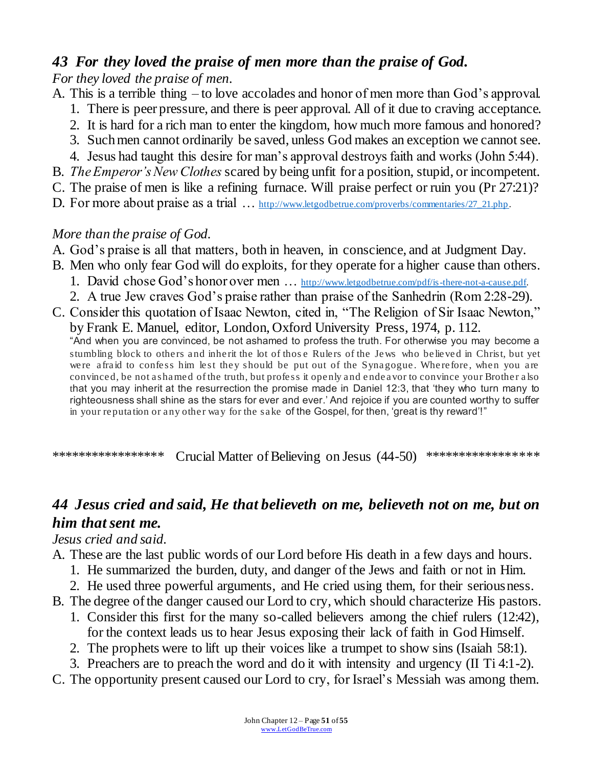## *43 For they loved the praise of men more than the praise of God.*

*For they loved the praise of men.*

- A. This is a terrible thing to love accolades and honor of men more than God's approval.
	- 1. There is peer pressure, and there is peer approval. All of it due to craving acceptance.
	- 2. It is hard for a rich man to enter the kingdom, how much more famous and honored?
	- 3. Such men cannot ordinarily be saved, unless God makes an exception we cannot see.
	- 4. Jesus had taught this desire for man's approval destroys faith and works (John 5:44).
- B. *The Emperor's New Clothes* scared by being unfit for a position, stupid, or incompetent.
- C. The praise of men is like a refining furnace. Will praise perfect or ruin you (Pr 27:21)?
- D. For more about praise as a trial ... [http://www.letgodbetrue.com/proverbs/commentaries/27\\_21.php.](http://www.letgodbetrue.com/proverbs/commentaries/27_21.php)

## *More than the praise of God.*

- A. God's praise is all that matters, both in heaven, in conscience, and at Judgment Day.
- B. Men who only fear God will do exploits, for they operate for a higher cause than others.
	- 1. David chose God's honor over men ... [http://www.letgodbetrue.com/pdf/is-there-not-a-cause.pdf.](http://www.letgodbetrue.com/pdf/is-there-not-a-cause.pdf)
	- 2. A true Jew craves God's praise rather than praise of the Sanhedrin (Rom 2:28-29).
- C. Consider this quotation of Isaac Newton, cited in, "The Religion of Sir Isaac Newton," by Frank E. Manuel, editor, London, Oxford University Press, 1974, p. 112.

"And when you are convinced, be not ashamed to profess the truth. For otherwise you may become a stumbling block to others and inherit the lot of those Rulers of the Jews who believed in Christ, but yet were afraid to confess him lest they should be put out of the Synagogue. Wherefore, when you are convinced, be not ashamed of the truth, but profess it openly and endeavor to convince your Brother also that you may inherit at the resurrection the promise made in Daniel 12:3, that 'they who turn many to righteousness shall shine as the stars for ever and ever.' And rejoice if you are counted worthy to suffer in your reputation or any other way for the sake of the Gospel, for then, 'great is thy reward'!"

\*\*\*\*\*\*\*\*\*\*\*\*\*\*\*\*\* Crucial Matter of Believing on Jesus (44-50) \*\*\*\*\*\*\*\*\*\*\*\*\*\*\*\*\*

# *44 Jesus cried and said, He that believeth on me, believeth not on me, but on him that sent me.*

### *Jesus cried and said.*

- A. These are the last public words of our Lord before His death in a few days and hours.
	- 1. He summarized the burden, duty, and danger of the Jews and faith or not in Him.
	- 2. He used three powerful arguments, and He cried using them, for their seriousness.
- B. The degree of the danger caused our Lord to cry, which should characterize His pastors.
	- 1. Consider this first for the many so-called believers among the chief rulers (12:42), for the context leads us to hear Jesus exposing their lack of faith in God Himself.
	- 2. The prophets were to lift up their voices like a trumpet to show sins (Isaiah 58:1).
	- 3. Preachers are to preach the word and do it with intensity and urgency (II Ti 4:1-2).
- C. The opportunity present caused our Lord to cry, for Israel's Messiah was among them.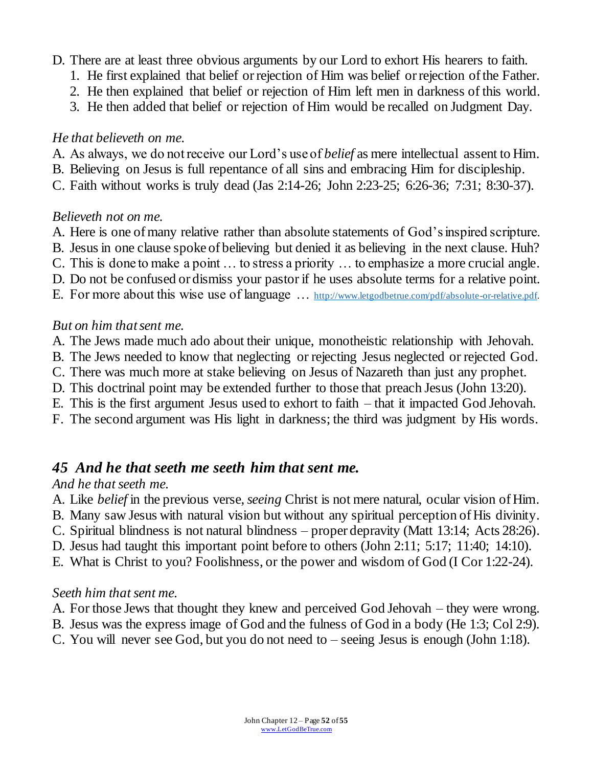- D. There are at least three obvious arguments by our Lord to exhort His hearers to faith.
	- 1. He first explained that belief or rejection of Him was belief or rejection of the Father.
	- 2. He then explained that belief or rejection of Him left men in darkness of this world.
	- 3. He then added that belief or rejection of Him would be recalled on Judgment Day.

### *He that believeth on me.*

- A. As always, we do not receive our Lord's use of *belief* as mere intellectual assent to Him.
- B. Believing on Jesus is full repentance of all sins and embracing Him for discipleship.
- C. Faith without works is truly dead (Jas 2:14-26; John 2:23-25; 6:26-36; 7:31; 8:30-37).

#### *Believeth not on me.*

- A. Here is one of many relative rather than absolute statements of God's inspired scripture.
- B. Jesus in one clause spoke of believing but denied it as believing in the next clause. Huh?
- C. This is done to make a point … to stress a priority … to emphasize a more crucial angle.
- D. Do not be confused or dismiss your pastor if he uses absolute terms for a relative point.
- E. For more about this wise use of language … [http://www.letgodbetrue.com/pdf/absolute-or-relative.pdf.](http://www.letgodbetrue.com/pdf/absolute-or-relative.pdf)

#### *But on him that sent me.*

- A. The Jews made much ado about their unique, monotheistic relationship with Jehovah.
- B. The Jews needed to know that neglecting or rejecting Jesus neglected or rejected God.
- C. There was much more at stake believing on Jesus of Nazareth than just any prophet.
- D. This doctrinal point may be extended further to those that preach Jesus (John 13:20).
- E. This is the first argument Jesus used to exhort to faith that it impacted God Jehovah.
- F. The second argument was His light in darkness; the third was judgment by His words.

## *45 And he that seeth me seeth him that sent me.*

### *And he that seeth me.*

- A. Like *belief* in the previous verse, *seeing* Christ is not mere natural, ocular vision of Him.
- B. Many saw Jesus with natural vision but without any spiritual perception of His divinity.
- C. Spiritual blindness is not natural blindness proper depravity (Matt 13:14; Acts 28:26).
- D. Jesus had taught this important point before to others (John 2:11; 5:17; 11:40; 14:10).
- E. What is Christ to you? Foolishness, or the power and wisdom of God (I Cor 1:22-24).

### *Seeth him that sent me.*

- A. For those Jews that thought they knew and perceived God Jehovah they were wrong.
- B. Jesus was the express image of God and the fulness of God in a body (He 1:3; Col 2:9).
- C. You will never see God, but you do not need to seeing Jesus is enough (John 1:18).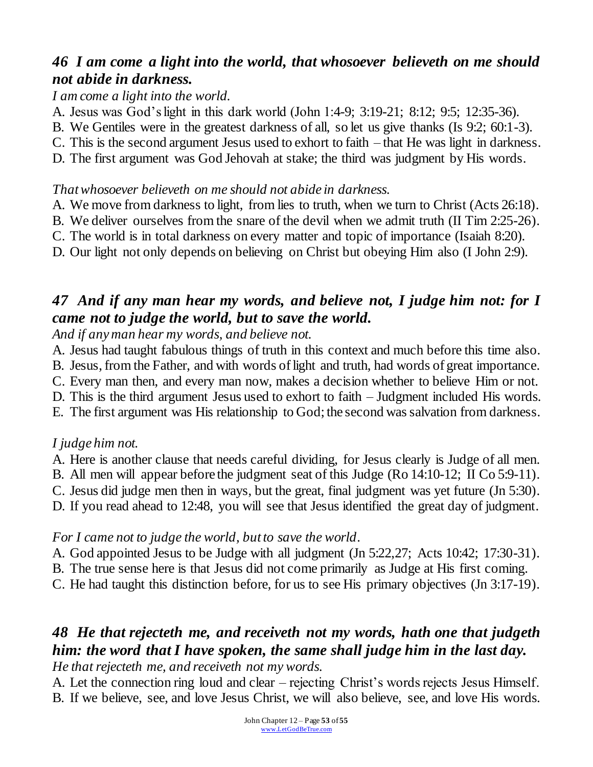## *46 I am come a light into the world, that whosoever believeth on me should not abide in darkness.*

*I am come a light into the world.*

- A. Jesus was God's light in this dark world (John 1:4-9; 3:19-21; 8:12; 9:5; 12:35-36).
- B. We Gentiles were in the greatest darkness of all, so let us give thanks (Is 9:2; 60:1-3).
- C. This is the second argument Jesus used to exhort to faith that He was light in darkness.
- D. The first argument was God Jehovah at stake; the third was judgment by His words.

#### *That whosoever believeth on me should not abide in darkness.*

- A. We move from darkness to light, from lies to truth, when we turn to Christ (Acts 26:18).
- B. We deliver ourselves from the snare of the devil when we admit truth (II Tim 2:25-26).
- C. The world is in total darkness on every matter and topic of importance (Isaiah 8:20).
- D. Our light not only depends on believing on Christ but obeying Him also (I John 2:9).

## *47 And if any man hear my words, and believe not, I judge him not: for I came not to judge the world, but to save the world.*

*And if any man hear my words, and believe not.*

- A. Jesus had taught fabulous things of truth in this context and much before this time also.
- B. Jesus, from the Father, and with words of light and truth, had words of great importance.
- C. Every man then, and every man now, makes a decision whether to believe Him or not.
- D. This is the third argument Jesus used to exhort to faith Judgment included His words.
- E. The first argument was His relationship to God; the second was salvation from darkness.

### *I judge him not.*

- A. Here is another clause that needs careful dividing, for Jesus clearly is Judge of all men.
- B. All men will appear before the judgment seat of this Judge (Ro 14:10-12; II Co 5:9-11).
- C. Jesus did judge men then in ways, but the great, final judgment was yet future (Jn 5:30).
- D. If you read ahead to 12:48, you will see that Jesus identified the great day of judgment.

#### *For I came not to judge the world, but to save the world*.

- A. God appointed Jesus to be Judge with all judgment (Jn 5:22,27; Acts 10:42; 17:30-31).
- B. The true sense here is that Jesus did not come primarily as Judge at His first coming.
- C. He had taught this distinction before, for us to see His primary objectives (Jn 3:17-19).

### *48 He that rejecteth me, and receiveth not my words, hath one that judgeth him: the word that I have spoken, the same shall judge him in the last day. He that rejecteth me, and receiveth not my words.*

A. Let the connection ring loud and clear – rejecting Christ's words rejects Jesus Himself. B. If we believe, see, and love Jesus Christ, we will also believe, see, and love His words.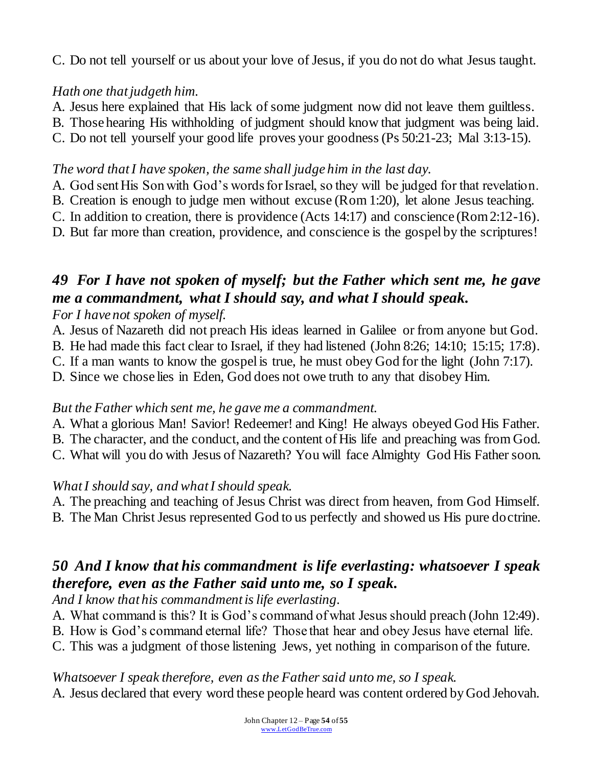C. Do not tell yourself or us about your love of Jesus, if you do not do what Jesus taught.

## *Hath one that judgeth him.*

- A. Jesus here explained that His lack of some judgment now did not leave them guiltless.
- B. Those hearing His withholding of judgment should know that judgment was being laid.
- C. Do not tell yourself your good life proves your goodness (Ps 50:21-23; Mal 3:13-15).

### *The word that I have spoken, the same shall judge him in the last day.*

- A. God sent His Son with God's words for Israel, so they will be judged for that revelation.
- B. Creation is enough to judge men without excuse (Rom 1:20), let alone Jesus teaching.
- C. In addition to creation, there is providence (Acts 14:17) and conscience (Rom 2:12-16).
- D. But far more than creation, providence, and conscience is the gospel by the scriptures!

# *49 For I have not spoken of myself; but the Father which sent me, he gave me a commandment, what I should say, and what I should speak.*

*For I have not spoken of myself.*

- A. Jesus of Nazareth did not preach His ideas learned in Galilee or from anyone but God.
- B. He had made this fact clear to Israel, if they had listened (John 8:26; 14:10; 15:15; 17:8).
- C. If a man wants to know the gospel is true, he must obey God for the light (John 7:17).
- D. Since we chose lies in Eden, God does not owe truth to any that disobey Him.

## *But the Father which sent me, he gave me a commandment.*

- A. What a glorious Man! Savior! Redeemer! and King! He always obeyed God His Father.
- B. The character, and the conduct, and the content of His life and preaching was from God.
- C. What will you do with Jesus of Nazareth? You will face Almighty God His Father soon.

## *What I should say, and what I should speak.*

- A. The preaching and teaching of Jesus Christ was direct from heaven, from God Himself.
- B. The Man Christ Jesus represented God to us perfectly and showed us His pure doctrine.

# *50 And I know that his commandment is life everlasting: whatsoever I speak therefore, even as the Father said unto me, so I speak.*

*And I know that his commandment is life everlasting.*

- A. What command is this? It is God's command of what Jesus should preach (John 12:49).
- B. How is God's command eternal life? Those that hear and obey Jesus have eternal life.
- C. This was a judgment of those listening Jews, yet nothing in comparison of the future.

## *Whatsoever I speak therefore, even as the Father said unto me, so I speak.*

A. Jesus declared that every word these people heard was content ordered by God Jehovah.